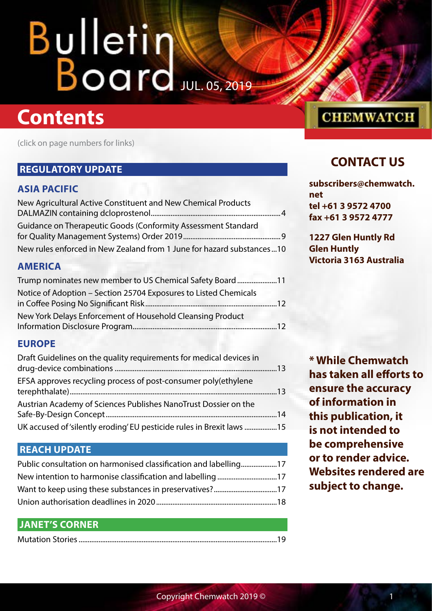## **Contents**

(click on page numbers for links)

## **[REGULATORY UPDATE](#page-3-0)**

## **[ASIA PACIFIC](#page-3-0)**

| New Agricultural Active Constituent and New Chemical Products         |  |
|-----------------------------------------------------------------------|--|
|                                                                       |  |
| Guidance on Therapeutic Goods (Conformity Assessment Standard         |  |
|                                                                       |  |
| New rules enforced in New Zealand from 1 June for hazard substances10 |  |

## **[AMERICA](#page-10-0)**

| Trump nominates new member to US Chemical Safety Board11         |  |
|------------------------------------------------------------------|--|
| Notice of Adoption - Section 25704 Exposures to Listed Chemicals |  |
|                                                                  |  |
| New York Delays Enforcement of Household Cleansing Product       |  |
|                                                                  |  |

## **[EUROPE](#page-12-0)**

| Draft Guidelines on the quality requirements for medical devices in   |  |
|-----------------------------------------------------------------------|--|
|                                                                       |  |
| EFSA approves recycling process of post-consumer poly(ethylene        |  |
| Austrian Academy of Sciences Publishes NanoTrust Dossier on the       |  |
| UK accused of 'silently eroding' EU pesticide rules in Brexit laws 15 |  |

## **[REACH UPDATE](#page-16-0)**

| Public consultation on harmonised classification and labelling17 |  |
|------------------------------------------------------------------|--|
| New intention to harmonise classification and labelling 17       |  |
|                                                                  |  |
|                                                                  |  |

## **[JANET'S CORNER](#page-18-0)**

|--|

## **CHEMWATCH**

## **CONTACT US**

**[subscribers@chemwatch.](mailto:subscribers@chemwatch.net) [net](mailto:subscribers@chemwatch.net) tel +61 3 9572 4700 fax +61 3 9572 4777**

**1227 Glen Huntly Rd Glen Huntly Victoria 3163 Australia**

**\* While Chemwatch has taken all efforts to ensure the accuracy of information in this publication, it is not intended to be comprehensive or to render advice. Websites rendered are subject to change.**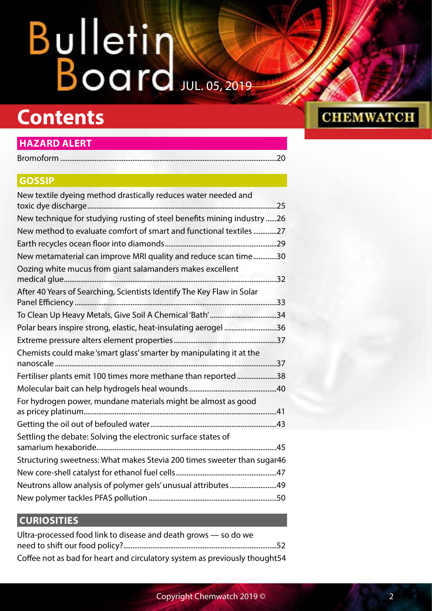## **Contents**

## **[HAZARD ALERT](#page-19-0)**

| <b>GOSSIP</b>                                                            |
|--------------------------------------------------------------------------|
| New textile dyeing method drastically reduces water needed and           |
| New technique for studying rusting of steel benefits mining industry  26 |
| New method to evaluate comfort of smart and functional textiles27        |
|                                                                          |
| New metamaterial can improve MRI quality and reduce scan time30          |
| Oozing white mucus from giant salamanders makes excellent<br>32          |
| After 40 Years of Searching, Scientists Identify The Key Flaw in Solar   |
|                                                                          |
| Polar bears inspire strong, elastic, heat-insulating aerogel 36          |
|                                                                          |
| Chemists could make 'smart glass' smarter by manipulating it at the      |
| Fertiliser plants emit 100 times more methane than reported38            |
|                                                                          |
| For hydrogen power, mundane materials might be almost as good            |
|                                                                          |
| Settling the debate: Solving the electronic surface states of            |
| Structuring sweetness: What makes Stevia 200 times sweeter than sugar46  |
|                                                                          |
| Neutrons allow analysis of polymer gels' unusual attributes49            |

## **[CURIOSITIES](#page-51-0)**

| Ultra-processed food link to disease and death grows - so do we            |  |
|----------------------------------------------------------------------------|--|
|                                                                            |  |
| Coffee not as bad for heart and circulatory system as previously thought54 |  |

New polymer tackles PFAS pollution [.......................................................................50](#page-49-0)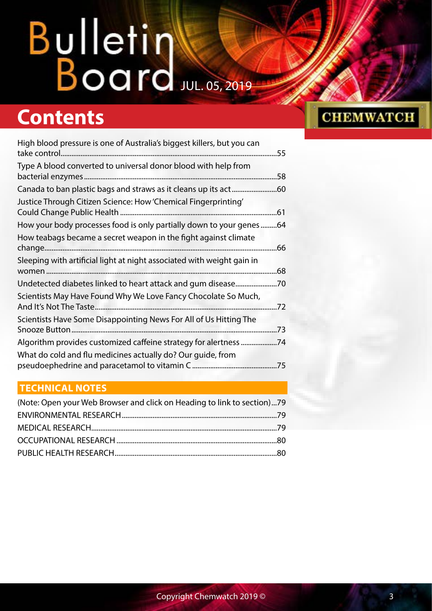## **Contents**

| High blood pressure is one of Australia's biggest killers, but you can | .55 |
|------------------------------------------------------------------------|-----|
| Type A blood converted to universal donor blood with help from         | .58 |
| Canada to ban plastic bags and straws as it cleans up its act          | .60 |
| Justice Through Citizen Science: How 'Chemical Fingerprinting'         | .61 |
| How your body processes food is only partially down to your genes      | .64 |
| How teabags became a secret weapon in the fight against climate        | .66 |
| Sleeping with artificial light at night associated with weight gain in |     |
|                                                                        | .68 |
| Undetected diabetes linked to heart attack and gum disease             | 70  |
| Scientists May Have Found Why We Love Fancy Chocolate So Much,         | .72 |
| Scientists Have Some Disappointing News For All of Us Hitting The      | .73 |
| Algorithm provides customized caffeine strategy for alertness          | 74  |
| What do cold and flu medicines actually do? Our guide, from            | .75 |

## **[TECHNICAL NOTES](#page-78-0)**

| (Note: Open your Web Browser and click on Heading to link to section)79 |  |
|-------------------------------------------------------------------------|--|
|                                                                         |  |
|                                                                         |  |
|                                                                         |  |
|                                                                         |  |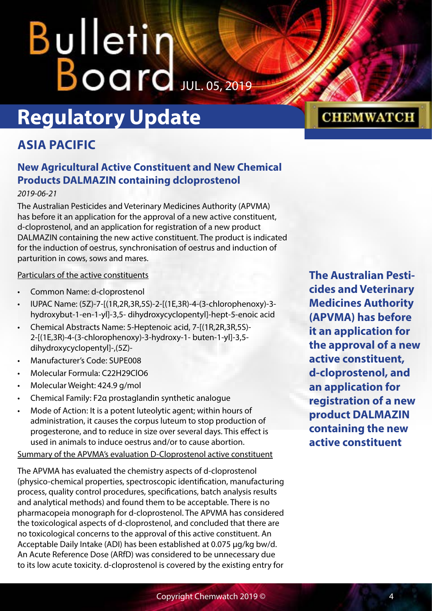## <span id="page-3-0"></span>Bulletin  $B$ oard  $JUL.$  05, 2019

## **Regulatory Update**

## **ASIA PACIFIC**

## **New Agricultural Active Constituent and New Chemical Products DALMAZIN containing dcloprostenol**

## *2019-06-21*

The Australian Pesticides and Veterinary Medicines Authority (APVMA) has before it an application for the approval of a new active constituent, d-cloprostenol, and an application for registration of a new product DALMAZIN containing the new active constituent. The product is indicated for the induction of oestrus, synchronisation of oestrus and induction of parturition in cows, sows and mares.

## Particulars of the active constituents

- Common Name: d-cloprostenol
- IUPAC Name: (5Z)-7-[(1R,2R,3R,5S)-2-[(1E,3R)-4-(3-chlorophenoxy)-3 hydroxybut-1-en-1-yl]-3,5- dihydroxycyclopentyl]-hept-5-enoic acid
- Chemical Abstracts Name: 5-Heptenoic acid, 7-[(1R,2R,3R,5S)- 2-[(1E,3R)-4-(3-chlorophenoxy)-3-hydroxy-1- buten-1-yl]-3,5 dihydroxycyclopentyl]-,(5Z)-
- Manufacturer's Code: SUPE008
- Molecular Formula: C22H29ClO6
- Molecular Weight: 424.9 g/mol
- Chemical Family: F2α prostaglandin synthetic analogue
- Mode of Action: It is a potent luteolytic agent; within hours of administration, it causes the corpus luteum to stop production of progesterone, and to reduce in size over several days. This effect is used in animals to induce oestrus and/or to cause abortion.

Summary of the APVMA's evaluation D-Cloprostenol active constituent

The APVMA has evaluated the chemistry aspects of d-cloprostenol (physico-chemical properties, spectroscopic identification, manufacturing process, quality control procedures, specifications, batch analysis results and analytical methods) and found them to be acceptable. There is no pharmacopeia monograph for d-cloprostenol. The APVMA has considered the toxicological aspects of d-cloprostenol, and concluded that there are no toxicological concerns to the approval of this active constituent. An Acceptable Daily Intake (ADI) has been established at 0.075 µg/kg bw/d. An Acute Reference Dose (ARfD) was considered to be unnecessary due to its low acute toxicity. d-cloprostenol is covered by the existing entry for

**The Australian Pesticides and Veterinary Medicines Authority (APVMA) has before it an application for the approval of a new active constituent, d-cloprostenol, and an application for registration of a new product DALMAZIN containing the new active constituent**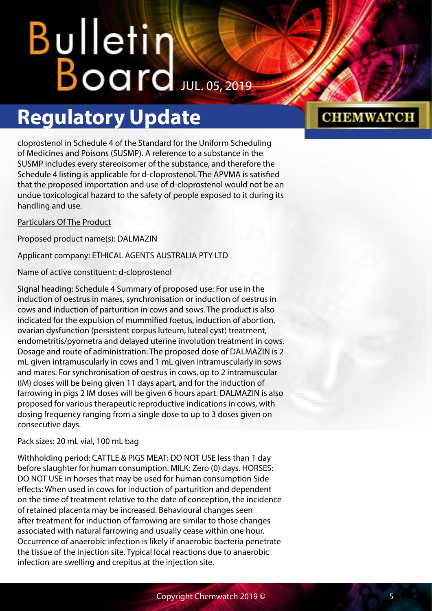## **Regulatory Update**

cloprostenol in Schedule 4 of the Standard for the Uniform Scheduling of Medicines and Poisons (SUSMP). A reference to a substance in the SUSMP includes every stereoisomer of the substance, and therefore the Schedule 4 listing is applicable for d-cloprostenol. The APVMA is satisfied that the proposed importation and use of d-cloprostenol would not be an undue toxicological hazard to the safety of people exposed to it during its handling and use.

## Particulars Of The Product

Proposed product name(s): DALMAZIN

Applicant company: ETHICAL AGENTS AUSTRALIA PTY LTD

Name of active constituent: d-cloprostenol

Signal heading: Schedule 4 Summary of proposed use: For use in the induction of oestrus in mares, synchronisation or induction of oestrus in cows and induction of parturition in cows and sows. The product is also indicated for the expulsion of mummified foetus, induction of abortion, ovarian dysfunction (persistent corpus luteum, luteal cyst) treatment, endometritis/pyometra and delayed uterine involution treatment in cows. Dosage and route of administration: The proposed dose of DALMAZIN is 2 mL given intramuscularly in cows and 1 mL given intramuscularly in sows and mares. For synchronisation of oestrus in cows, up to 2 intramuscular (IM) doses will be being given 11 days apart, and for the induction of farrowing in pigs 2 IM doses will be given 6 hours apart. DALMAZIN is also proposed for various therapeutic reproductive indications in cows, with dosing frequency ranging from a single dose to up to 3 doses given on consecutive days.

## Pack sizes: 20 mL vial, 100 mL bag

Withholding period: CATTLE & PIGS MEAT: DO NOT USE less than 1 day before slaughter for human consumption. MILK: Zero (0) days. HORSES: DO NOT USE in horses that may be used for human consumption Side effects: When used in cows for induction of parturition and dependent on the time of treatment relative to the date of conception, the incidence of retained placenta may be increased. Behavioural changes seen after treatment for induction of farrowing are similar to those changes associated with natural farrowing and usually cease within one hour. Occurrence of anaerobic infection is likely if anaerobic bacteria penetrate the tissue of the injection site. Typical local reactions due to anaerobic infection are swelling and crepitus at the injection site.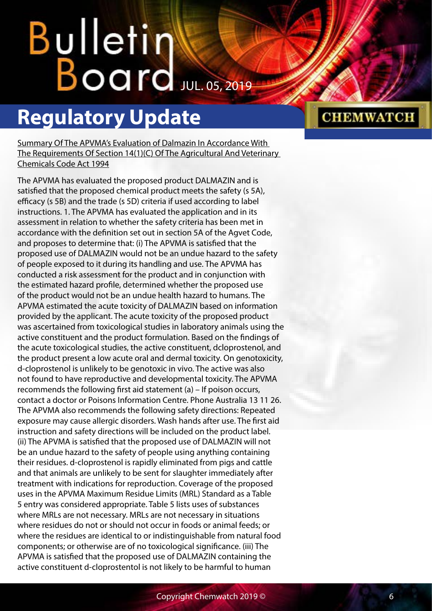## Bulletin  $B$ oard Jul. 05, 2019

## **Regulatory Update**

Summary Of The APVMA's Evaluation of Dalmazin In Accordance With The Requirements Of Section 14(1)(C) Of The Agricultural And Veterinary Chemicals Code Act 1994

The APVMA has evaluated the proposed product DALMAZIN and is satisfied that the proposed chemical product meets the safety (s 5A), efficacy (s 5B) and the trade (s 5D) criteria if used according to label instructions. 1. The APVMA has evaluated the application and in its assessment in relation to whether the safety criteria has been met in accordance with the definition set out in section 5A of the Agvet Code, and proposes to determine that: (i) The APVMA is satisfied that the proposed use of DALMAZIN would not be an undue hazard to the safety of people exposed to it during its handling and use. The APVMA has conducted a risk assessment for the product and in conjunction with the estimated hazard profile, determined whether the proposed use of the product would not be an undue health hazard to humans. The APVMA estimated the acute toxicity of DALMAZIN based on information provided by the applicant. The acute toxicity of the proposed product was ascertained from toxicological studies in laboratory animals using the active constituent and the product formulation. Based on the findings of the acute toxicological studies, the active constituent, dcloprostenol, and the product present a low acute oral and dermal toxicity. On genotoxicity, d-cloprostenol is unlikely to be genotoxic in vivo. The active was also not found to have reproductive and developmental toxicity. The APVMA recommends the following first aid statement (a) – If poison occurs, contact a doctor or Poisons Information Centre. Phone Australia 13 11 26. The APVMA also recommends the following safety directions: Repeated exposure may cause allergic disorders. Wash hands after use. The first aid instruction and safety directions will be included on the product label. (ii) The APVMA is satisfied that the proposed use of DALMAZIN will not be an undue hazard to the safety of people using anything containing their residues. d-cloprostenol is rapidly eliminated from pigs and cattle and that animals are unlikely to be sent for slaughter immediately after treatment with indications for reproduction. Coverage of the proposed uses in the APVMA Maximum Residue Limits (MRL) Standard as a Table 5 entry was considered appropriate. Table 5 lists uses of substances where MRLs are not necessary. MRLs are not necessary in situations where residues do not or should not occur in foods or animal feeds; or where the residues are identical to or indistinguishable from natural food components; or otherwise are of no toxicological significance. (iii) The APVMA is satisfied that the proposed use of DALMAZIN containing the active constituent d-cloprostentol is not likely to be harmful to human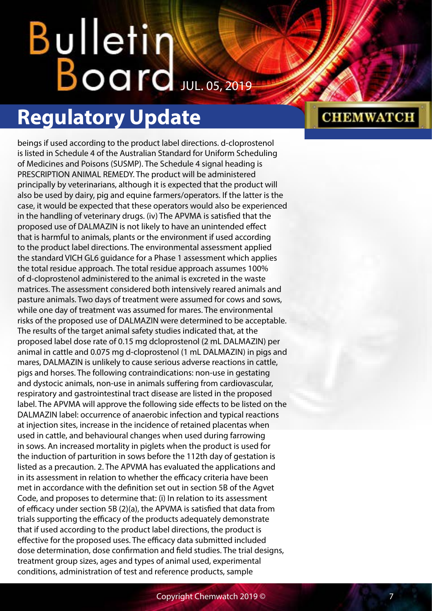## Bulletin  $B$ oard Jul. 05, 2019

## **Regulatory Update**

beings if used according to the product label directions. d-cloprostenol is listed in Schedule 4 of the Australian Standard for Uniform Scheduling of Medicines and Poisons (SUSMP). The Schedule 4 signal heading is PRESCRIPTION ANIMAL REMEDY. The product will be administered principally by veterinarians, although it is expected that the product will also be used by dairy, pig and equine farmers/operators. If the latter is the case, it would be expected that these operators would also be experienced in the handling of veterinary drugs. (iv) The APVMA is satisfied that the proposed use of DALMAZIN is not likely to have an unintended effect that is harmful to animals, plants or the environment if used according to the product label directions. The environmental assessment applied the standard VICH GL6 guidance for a Phase 1 assessment which applies the total residue approach. The total residue approach assumes 100% of d-cloprostenol administered to the animal is excreted in the waste matrices. The assessment considered both intensively reared animals and pasture animals. Two days of treatment were assumed for cows and sows, while one day of treatment was assumed for mares. The environmental risks of the proposed use of DALMAZIN were determined to be acceptable. The results of the target animal safety studies indicated that, at the proposed label dose rate of 0.15 mg dcloprostenol (2 mL DALMAZIN) per animal in cattle and 0.075 mg d-cloprostenol (1 mL DALMAZIN) in pigs and mares, DALMAZIN is unlikely to cause serious adverse reactions in cattle, pigs and horses. The following contraindications: non-use in gestating and dystocic animals, non-use in animals suffering from cardiovascular, respiratory and gastrointestinal tract disease are listed in the proposed label. The APVMA will approve the following side effects to be listed on the DALMAZIN label: occurrence of anaerobic infection and typical reactions at injection sites, increase in the incidence of retained placentas when used in cattle, and behavioural changes when used during farrowing in sows. An increased mortality in piglets when the product is used for the induction of parturition in sows before the 112th day of gestation is listed as a precaution. 2. The APVMA has evaluated the applications and in its assessment in relation to whether the efficacy criteria have been met in accordance with the definition set out in section 5B of the Agvet Code, and proposes to determine that: (i) In relation to its assessment of efficacy under section 5B (2)(a), the APVMA is satisfied that data from trials supporting the efficacy of the products adequately demonstrate that if used according to the product label directions, the product is effective for the proposed uses. The efficacy data submitted included dose determination, dose confirmation and field studies. The trial designs, treatment group sizes, ages and types of animal used, experimental conditions, administration of test and reference products, sample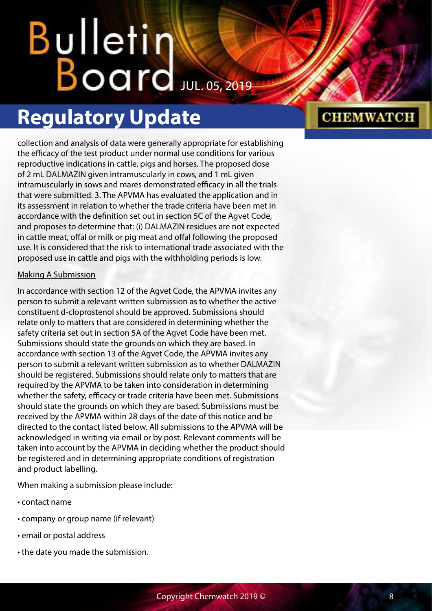## **Regulatory Update**

collection and analysis of data were generally appropriate for establishing the efficacy of the test product under normal use conditions for various reproductive indications in cattle, pigs and horses. The proposed dose of 2 mL DALMAZIN given intramuscularly in cows, and 1 mL given intramuscularly in sows and mares demonstrated efficacy in all the trials that were submitted. 3. The APVMA has evaluated the application and in its assessment in relation to whether the trade criteria have been met in accordance with the definition set out in section 5C of the Agvet Code, and proposes to determine that: (i) DALMAZIN residues are not expected in cattle meat, offal or milk or pig meat and offal following the proposed use. It is considered that the risk to international trade associated with the proposed use in cattle and pigs with the withholding periods is low.

## Making A Submission

In accordance with section 12 of the Agvet Code, the APVMA invites any person to submit a relevant written submission as to whether the active constituent d-cloprostenol should be approved. Submissions should relate only to matters that are considered in determining whether the safety criteria set out in section 5A of the Agvet Code have been met. Submissions should state the grounds on which they are based. In accordance with section 13 of the Agvet Code, the APVMA invites any person to submit a relevant written submission as to whether DALMAZIN should be registered. Submissions should relate only to matters that are required by the APVMA to be taken into consideration in determining whether the safety, efficacy or trade criteria have been met. Submissions should state the grounds on which they are based. Submissions must be received by the APVMA within 28 days of the date of this notice and be directed to the contact listed below. All submissions to the APVMA will be acknowledged in writing via email or by post. Relevant comments will be taken into account by the APVMA in deciding whether the product should be registered and in determining appropriate conditions of registration and product labelling.

When making a submission please include:

- contact name
- company or group name (if relevant)
- email or postal address
- the date you made the submission.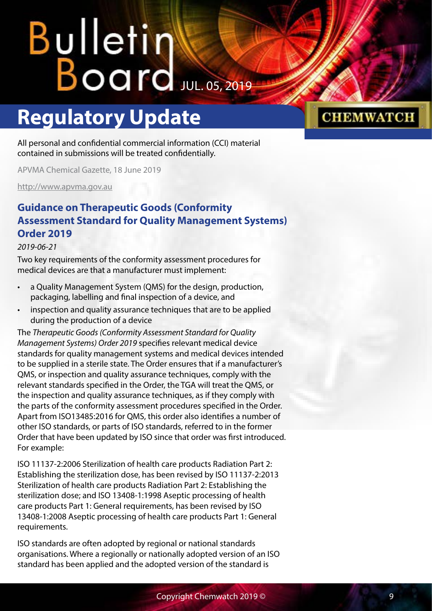## <span id="page-8-0"></span>Bulletin Williams

## **Regulatory Update**

### All personal and confidential commercial information (CCI) material contained in submissions will be treated confidentially.

APVMA Chemical Gazette, 18 June 2019

<http://www.apvma.gov.au>

## **Guidance on Therapeutic Goods (Conformity Assessment Standard for Quality Management Systems) Order 2019**

### *2019-06-21*

Two key requirements of the conformity assessment procedures for medical devices are that a manufacturer must implement:

- a Quality Management System (QMS) for the design, production, packaging, labelling and final inspection of a device, and
- inspection and quality assurance techniques that are to be applied during the production of a device

The *[Therapeutic Goods \(Conformity Assessment Standard for Quality](https://www.legislation.gov.au/Series/F2019L00426)  [Management Systems\) Order 2019](https://www.legislation.gov.au/Series/F2019L00426)* specifies relevant medical device standards for quality management systems and medical devices intended to be supplied in a sterile state. The Order ensures that if a manufacturer's QMS, or inspection and quality assurance techniques, comply with the relevant standards specified in the Order, the TGA will treat the QMS, or the inspection and quality assurance techniques, as if they comply with the parts of the conformity assessment procedures specified in the Order. Apart from ISO13485:2016 for QMS, this order also identifies a number of other ISO standards, or parts of ISO standards, referred to in the former Order that have been updated by ISO since that order was first introduced. For example:

ISO 11137-2:2006 Sterilization of health care products Radiation Part 2: Establishing the sterilization dose, has been revised by ISO 11137-2:2013 Sterilization of health care products Radiation Part 2: Establishing the sterilization dose; and ISO 13408-1:1998 Aseptic processing of health care products Part 1: General requirements, has been revised by ISO 13408-1:2008 Aseptic processing of health care products Part 1: General requirements.

ISO standards are often adopted by regional or national standards organisations. Where a regionally or nationally adopted version of an ISO standard has been applied and the adopted version of the standard is

## Copyright Chemwatch 2019 © 9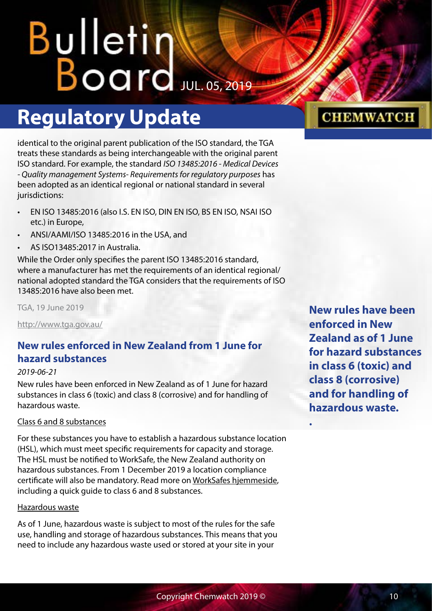## <span id="page-9-0"></span>**Regulatory Update**

identical to the original parent publication of the ISO standard, the TGA treats these standards as being interchangeable with the original parent ISO standard. For example, the standard *ISO 13485:2016 - Medical Devices - Quality management Systems- Requirements for regulatory purposes* has been adopted as an identical regional or national standard in several jurisdictions:

- EN ISO 13485:2016 (also I.S. EN ISO, DIN EN ISO, BS EN ISO, NSAI ISO etc.) in Europe,
- ANSI/AAMI/ISO 13485:2016 in the USA, and
- AS ISO13485:2017 in Australia.

While the Order only specifies the parent ISO 13485:2016 standard, where a manufacturer has met the requirements of an identical regional/ national adopted standard the TGA considers that the requirements of ISO 13485:2016 have also been met.

TGA, 19 June 2019

<http://www.tga.gov.au/>

## **New rules enforced in New Zealand from 1 June for hazard substances**

## *2019-06-21*

New rules have been enforced in New Zealand as of 1 June for hazard substances in class 6 (toxic) and class 8 (corrosive) and for handling of hazardous waste.

## Class 6 and 8 substances

For these substances you have to establish a hazardous substance location (HSL), which must meet specific requirements for capacity and storage. The HSL must be notified to WorkSafe, the New Zealand authority on hazardous substances. From 1 December 2019 a location compliance certificate will also be mandatory. Read more on [WorkSafes hjemmeside,](https://worksafe.govt.nz/topic-and-industry/hazardous-substances/managing/storage/) including a quick guide to class 6 and 8 substances.

### Hazardous waste

As of 1 June, hazardous waste is subject to most of the rules for the safe use, handling and storage of hazardous substances. This means that you need to include any hazardous waste used or stored at your site in your

**New rules have been enforced in New Zealand as of 1 June for hazard substances in class 6 (toxic) and class 8 (corrosive) and for handling of hazardous waste.**

**.**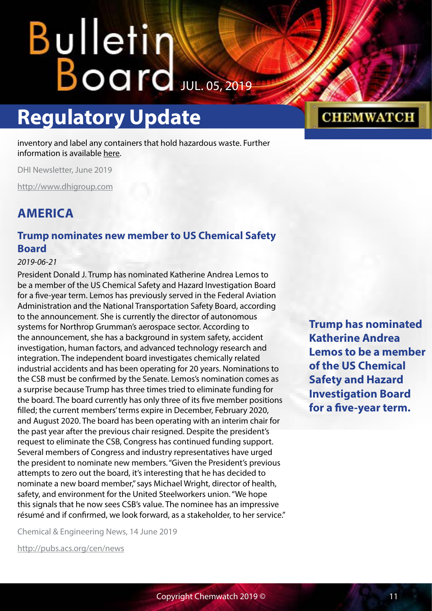## <span id="page-10-0"></span>Bulletin Karl

## **Regulatory Update**

inventory and label any containers that hold hazardous waste. Further information is available [here.](https://worksafe.govt.nz/topic-and-industry/hazardous-substances/managing/hazardous-waste/)

DHI Newsletter, June 2019

<http://www.dhigroup.com>

## **AMERICA**

## **Trump nominates new member to US Chemical Safety Board**

### *2019-06-21*

President Donald J. Trump has nominated Katherine Andrea Lemos to be a member of the US Chemical Safety and Hazard Investigation Board for a five-year term. Lemos has previously served in the Federal Aviation Administration and the National Transportation Safety Board, according to the announcement. She is currently the director of autonomous systems for Northrop Grumman's aerospace sector. According to the announcement, she has a background in system safety, accident investigation, human factors, and advanced technology research and integration. The independent board investigates chemically related industrial accidents and has been operating for 20 years. Nominations to the CSB must be confirmed by the Senate. Lemos's nomination comes as a surprise because Trump has three times tried to eliminate funding for the board. The board currently has only three of its five member positions filled; the current members' terms expire in December, February 2020, and August 2020. The board has been operating with an interim chair for the past year after the previous chair resigned. Despite the president's request to eliminate the CSB, Congress has continued funding support. Several members of Congress and industry representatives have urged the president to nominate new members. "Given the President's previous attempts to zero out the board, it's interesting that he has decided to nominate a new board member," says Michael Wright, director of health, safety, and environment for the United Steelworkers union. "We hope this signals that he now sees CSB's value. The nominee has an impressive résumé and if confirmed, we look forward, as a stakeholder, to her service."

Chemical & Engineering News, 14 June 2019

<http://pubs.acs.org/cen/news>

**Trump has nominated Katherine Andrea Lemos to be a member of the US Chemical Safety and Hazard Investigation Board for a five-year term.**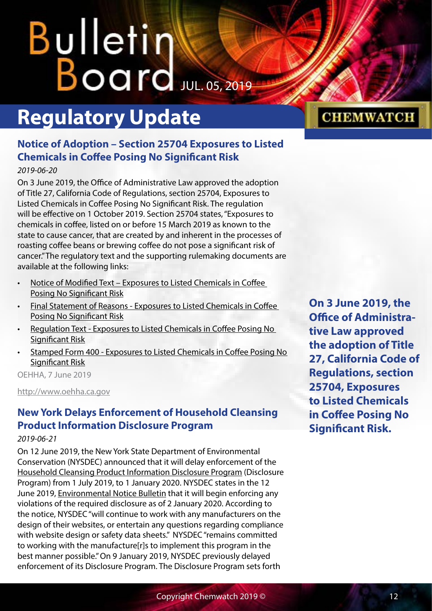## <span id="page-11-0"></span>**Bulletin** Board JUL. 05, 2019

## **Regulatory Update**

## **Notice of Adoption – Section 25704 Exposures to Listed Chemicals in Coffee Posing No Significant Risk**

*2019-06-20*

On 3 June 2019, the Office of Administrative Law approved the adoption of Title 27, California Code of Regulations, section 25704, Exposures to Listed Chemicals in Coffee Posing No Significant Risk. The regulation will be effective on 1 October 2019. Section 25704 states, "Exposures to chemicals in coffee, listed on or before 15 March 2019 as known to the state to cause cancer, that are created by and inherent in the processes of roasting coffee beans or brewing coffee do not pose a significant risk of cancer." The regulatory text and the supporting rulemaking documents are available at the following links:

- [Notice of Modified Text Exposures to Listed Chemicals in Coffee](https://oehha.ca.gov/media/downloads/crnr/noticemodifiedtext03152019.pdf)  [Posing No Significant Risk](https://oehha.ca.gov/media/downloads/crnr/noticemodifiedtext03152019.pdf)
- [Final Statement of Reasons Exposures to Listed Chemicals in Coffee](https://oehha.ca.gov/media/downloads/crnr/fsorcoffee060719.pdf)  [Posing No Significant Risk](https://oehha.ca.gov/media/downloads/crnr/fsorcoffee060719.pdf)
- [Regulation Text Exposures to Listed Chemicals in Coffee Posing No](https://oehha.ca.gov/media/downloads/crnr/regtextcoffee060719.pdf)  [Significant Risk](https://oehha.ca.gov/media/downloads/crnr/regtextcoffee060719.pdf)
- [Stamped Form 400 Exposures to Listed Chemicals in Coffee Posing No](https://oehha.ca.gov/media/downloads/crnr/form400approved060319.pdf)  [Significant Risk](https://oehha.ca.gov/media/downloads/crnr/form400approved060319.pdf)

OEHHA, 7 June 2019

<http://www.oehha.ca.gov>

## **New York Delays Enforcement of Household Cleansing Product Information Disclosure Program**

## *2019-06-21*

On 12 June 2019, the New York State Department of Environmental Conservation (NYSDEC) announced that it will delay enforcement of the [Household Cleansing Product Information Disclosure Program](https://www.dec.ny.gov/chemical/109021.html) (Disclosure Program) from 1 July 2019, to 1 January 2020. NYSDEC states in the 12 June 2019, [Environmental Notice Bulletin](https://www.dec.ny.gov/enb/20190612_not0.html) that it will begin enforcing any violations of the required disclosure as of 2 January 2020. According to the notice, NYSDEC "will continue to work with any manufacturers on the design of their websites, or entertain any questions regarding compliance with website design or safety data sheets." NYSDEC "remains committed to working with the manufacture[r]s to implement this program in the best manner possible." On 9 January 2019, NYSDEC previously delayed enforcement of its Disclosure Program. The Disclosure Program sets forth

**On 3 June 2019, the Office of Administrative Law approved the adoption of Title 27, California Code of Regulations, section 25704, Exposures to Listed Chemicals in Coffee Posing No Significant Risk.**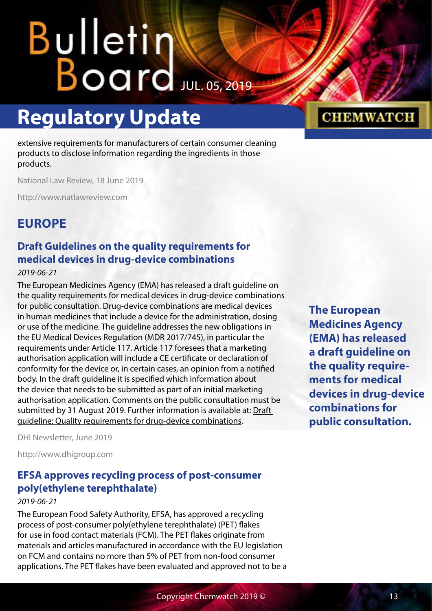## <span id="page-12-0"></span>**Regulatory Update**

extensive requirements for manufacturers of certain consumer cleaning products to disclose information regarding the ingredients in those products.

National Law Review, 18 June 2019

<http://www.natlawreview.com>

## **EUROPE**

## **Draft Guidelines on the quality requirements for medical devices in drug-device combinations**

### *2019-06-21*

The European Medicines Agency (EMA) has released a draft guideline on the quality requirements for medical devices in drug-device combinations for public consultation. Drug-device combinations are medical devices in human medicines that include a device for the administration, dosing or use of the medicine. The guideline addresses the new obligations in the EU Medical Devices Regulation (MDR 2017/745), in particular the requirements under Article 117. Article 117 foresees that a marketing authorisation application will include a CE certificate or declaration of conformity for the device or, in certain cases, an opinion from a notified body. In the draft guideline it is specified which information about the device that needs to be submitted as part of an initial marketing authorisation application. Comments on the public consultation must be submitted by 31 August 2019. Further information is available at: [Draft](https://www.ema.europa.eu/en/quality-requirements-drug-device-combinations)  [guideline: Quality requirements for drug-device combinations.](https://www.ema.europa.eu/en/quality-requirements-drug-device-combinations)

DHI Newsletter, June 2019

<http://www.dhigroup.com>

## **EFSA approves recycling process of post‐consumer poly(ethylene terephthalate)**

### *2019-06-21*

The European Food Safety Authority, EFSA, has approved a recycling process of post‐consumer poly(ethylene terephthalate) (PET) flakes for use in food contact materials (FCM). The PET flakes originate from materials and articles manufactured in accordance with the EU legislation on FCM and contains no more than 5% of PET from non‐food consumer applications. The PET flakes have been evaluated and approved not to be a

## **CHEMWATCH**

**The European Medicines Agency (EMA) has released a draft guideline on the quality requirements for medical devices in drug-device combinations for public consultation.**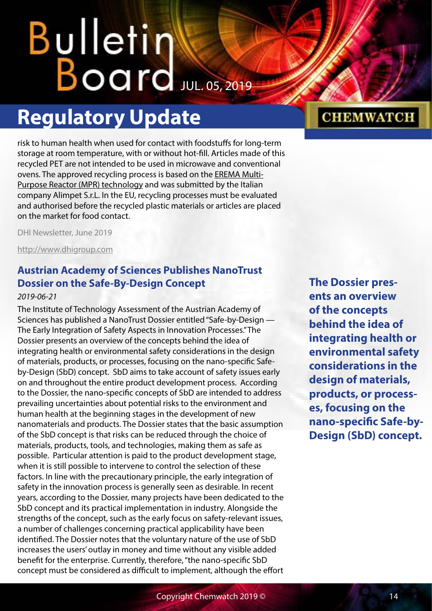## <span id="page-13-0"></span>**Bulletin**  $B$ oard Jul. 05, 2019

## **Regulatory Update**

risk to human health when used for contact with foodstuffs for long-term storage at room temperature, with or without hot-fill. Articles made of this recycled PET are not intended to be used in microwave and conventional ovens. The approved recycling process is based on the [EREMA Multi-](https://efsa.onlinelibrary.wiley.com/doi/10.2903/j.efsa.2019.5677)[Purpose Reactor \(MPR\) technology](https://efsa.onlinelibrary.wiley.com/doi/10.2903/j.efsa.2019.5677) and was submitted by the Italian company Alimpet S.r.L. In the EU, recycling processes must be evaluated and authorised before the recycled plastic materials or articles are placed on the market for food contact.

DHI Newsletter, June 2019

<http://www.dhigroup.com>

## **Austrian Academy of Sciences Publishes NanoTrust Dossier on the Safe-By-Design Concept**

### *2019-06-21*

The Institute of Technology Assessment of the Austrian Academy of Sciences has published a NanoTrust Dossier entitled "Safe-by-Design — The Early Integration of Safety Aspects in Innovation Processes." The Dossier presents an overview of the concepts behind the idea of integrating health or environmental safety considerations in the design of materials, products, or processes, focusing on the nano-specific Safeby-Design (SbD) concept. SbD aims to take account of safety issues early on and throughout the entire product development process. According to the Dossier, the nano-specific concepts of SbD are intended to address prevailing uncertainties about potential risks to the environment and human health at the beginning stages in the development of new nanomaterials and products. The Dossier states that the basic assumption of the SbD concept is that risks can be reduced through the choice of materials, products, tools, and technologies, making them as safe as possible. Particular attention is paid to the product development stage, when it is still possible to intervene to control the selection of these factors. In line with the precautionary principle, the early integration of safety in the innovation process is generally seen as desirable. In recent years, according to the Dossier, many projects have been dedicated to the SbD concept and its practical implementation in industry. Alongside the strengths of the concept, such as the early focus on safety-relevant issues, a number of challenges concerning practical applicability have been identified. The Dossier notes that the voluntary nature of the use of SbD increases the users' outlay in money and time without any visible added benefit for the enterprise. Currently, therefore, "the nano-specific SbD concept must be considered as difficult to implement, although the effort

**The Dossier presents an overview of the concepts behind the idea of integrating health or environmental safety considerations in the design of materials, products, or processes, focusing on the nano-specific Safe-by-Design (SbD) concept.**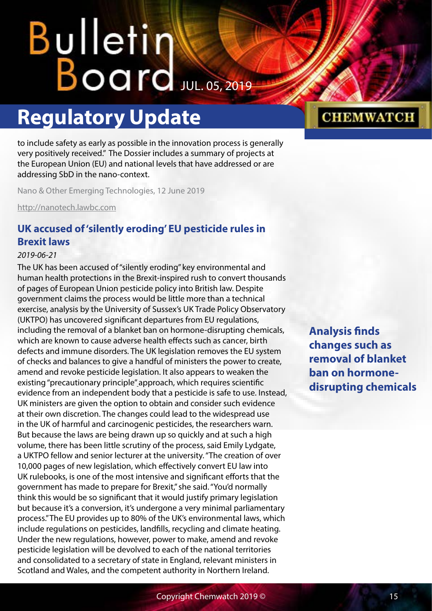## <span id="page-14-0"></span>Bulletin Board JUL. 05, 2019

## **Regulatory Update**

to include safety as early as possible in the innovation process is generally very positively received." The Dossier includes a summary of projects at the European Union (EU) and national levels that have addressed or are addressing SbD in the nano-context.

Nano & Other Emerging Technologies, 12 June 2019

<http://nanotech.lawbc.com>

## **UK accused of 'silently eroding' EU pesticide rules in Brexit laws**

## *2019-06-21*

The UK has been accused of "silently eroding" key environmental and human health protections in the Brexit-inspired rush to convert thousands of pages of European Union pesticide policy into British law. Despite government claims the process would be little more than a technical exercise, analysis by the University of Sussex's UK Trade Policy Observatory (UKTPO) has uncovered significant departures from EU regulations, including the removal of a blanket ban on hormone-disrupting chemicals, which are known to cause adverse health effects such as cancer, birth defects and immune disorders. The UK legislation removes the EU system of checks and balances to give a handful of ministers the power to create, amend and revoke pesticide legislation. It also appears to weaken the existing "precautionary principle" approach, which requires scientific evidence from an independent body that a pesticide is safe to use. Instead, UK ministers are given the option to obtain and consider such evidence at their own discretion. The changes could lead to the widespread use in the UK of harmful and carcinogenic pesticides, the researchers warn. But because the laws are being drawn up so quickly and at such a high volume, there has been little scrutiny of the process, said Emily Lydgate, a UKTPO fellow and senior lecturer at the university. "The creation of over 10,000 pages of new legislation, which effectively convert EU law into UK rulebooks, is one of the most intensive and significant efforts that the government has made to prepare for [Brexit](https://www.theguardian.com/politics/eu-referendum)," she said. "You'd normally think this would be so significant that it would justify primary legislation but because it's a conversion, it's undergone a very minimal parliamentary process." The EU [provides](https://www.theguardian.com/politics/2019/mar/27/eu-fears-environmental-fallout-from-wild-west-brexit) up to 80% of the UK's environmental laws, which include regulations on pesticides, landfills, recycling and climate heating. Under the new regulations, however, power to make, amend and revoke pesticide legislation will be devolved to each of the national territories and consolidated to a secretary of state in England, relevant ministers in Scotland and Wales, and the competent authority in Northern Ireland.

**Analysis finds changes such as removal of blanket ban on hormonedisrupting chemicals**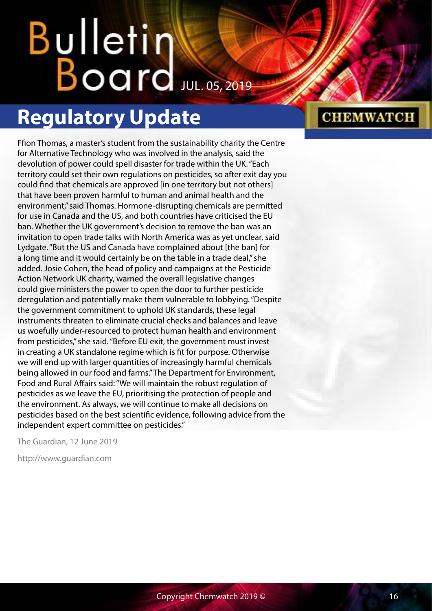## Bulletin  $B$ oard Jul. 05, 2019

## **Regulatory Update**

Ffion Thomas, a master's student from the sustainability charity the Centre for Alternative Technology who was involved in the analysis, said the devolution of power could spell disaster for trade within the UK. "Each territory could set their own regulations on pesticides, so after exit day you could find that chemicals are approved [in one territory but not others] that have been proven harmful to human and animal health and the environment," said Thomas. Hormone-disrupting chemicals are permitted for use in Canada and the US, and both countries have criticised the EU ban. Whether the UK government's decision to remove the ban was an invitation to open trade talks with North America was as yet unclear, said Lydgate. "But the US and Canada have complained about [the ban] for a long time and it would certainly be on the table in a trade deal," she added. Josie Cohen, the head of policy and campaigns at the Pesticide Action Network UK charity, warned the overall legislative changes could give ministers the power to open the door to further pesticide deregulation and potentially make them vulnerable to lobbying. "Despite the government commitment to uphold UK standards, these legal instruments threaten to eliminate crucial checks and balances and leave us woefully under-resourced to protect human health and environment from pesticides," she said. "Before EU exit, the government must invest in creating a UK standalone regime which is fit for purpose. Otherwise we will end up with larger quantities of increasingly harmful chemicals being allowed in our food and farms." The Department for Environment, Food and Rural Affairs said: "We will maintain the robust regulation of pesticides as we leave the EU, prioritising the protection of people and the environment. As always, we will continue to make all decisions on pesticides based on the best scientific evidence, following advice from the independent expert committee on pesticides."

The Guardian, 12 June 2019

<http://www.guardian.com>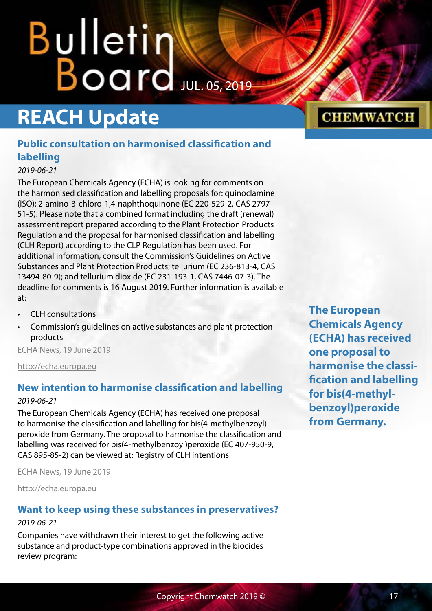# <span id="page-16-0"></span>Bulletin<br>Board

## **REACH Update**

## **Public consultation on harmonised classification and labelling**

## *2019-06-21*

The European Chemicals Agency (ECHA) is looking for comments on the harmonised classification and labelling proposals for: quinoclamine (ISO); 2-amino-3-chloro-1,4-naphthoquinone (EC 220-529-2, CAS 2797- 51-5). Please note that a combined format including the draft (renewal) assessment report prepared according to the Plant Protection Products Regulation and the proposal for harmonised classification and labelling (CLH Report) according to the CLP Regulation has been used. For additional information, consult the Commission's Guidelines on Active Substances and Plant Protection Products; tellurium (EC 236-813-4, CAS 13494-80-9); and tellurium dioxide (EC 231-193-1, CAS 7446-07-3). The deadline for comments is 16 August 2019. Further information is available at:

- [CLH consultations](http://elmlinks.echa.europa.eu/c/4/?T=OTMzMDcxOTU%3AcDEtYjE5MTcwLTA5NTlmYWNjMGQ4NTQ0ZmJiYWU0NGM0NjIwNTY1OWJk%3AbmF0QGNoZW13YXRjaC5uZXQ%3AbGVhZC1hMDI0MDJjZmMwZTBlNzExODBmYTAwNTA1Njk1MmIzMS03M2M5Nzk1MDk1NmE0MWFhYWEyNjgyNDVlNTQ2ODYwMg%3AZmFsc2U%3AOA%3A%3AaHR0cHM6Ly9lY2hhLmV1cm9wYS5ldS9oYXJtb25pc2VkLWNsYXNzaWZpY2F0aW9uLWFuZC1sYWJlbGxpbmctY29uc3VsdGF0aW9uP19jbGRlZT1ibUYwUUdOb1pXMTNZWFJqYUM1dVpYUSUzZCZyZWNpcGllbnRpZD1sZWFkLWEwMjQwMmNmYzBlMGU3MTE4MGZhMDA1MDU2OTUyYjMxLTczYzk3OTUwOTU2YTQxYWFhYTI2ODI0NWU1NDY4NjAyJmVzaWQ9YmM2NmE0NWQtNWE5Mi1lOTExLTgxMGQtMDA1MDU2YjkzMTBl&K=SZOYYuPQ1PMy7uRrMmAWwA)
- [Commission's guidelines on active substances and plant protection](http://elmlinks.echa.europa.eu/c/4/?T=OTMzMDcxOTU%3AcDEtYjE5MTcwLTA5NTlmYWNjMGQ4NTQ0ZmJiYWU0NGM0NjIwNTY1OWJk%3AbmF0QGNoZW13YXRjaC5uZXQ%3AbGVhZC1hMDI0MDJjZmMwZTBlNzExODBmYTAwNTA1Njk1MmIzMS03M2M5Nzk1MDk1NmE0MWFhYWEyNjgyNDVlNTQ2ODYwMg%3AZmFsc2U%3AOQ%3A%3AaHR0cHM6Ly9lYy5ldXJvcGEuZXUvZm9vZC9wbGFudC9wZXN0aWNpZGVzL2FwcHJvdmFsX2FjdGl2ZV9zdWJzdGFuY2VzL2d1aWRhbmNlX2RvY3VtZW50c19lbj9fY2xkZWU9Ym1GMFFHTm9aVzEzWVhSamFDNXVaWFElM2QmcmVjaXBpZW50aWQ9bGVhZC1hMDI0MDJjZmMwZTBlNzExODBmYTAwNTA1Njk1MmIzMS03M2M5Nzk1MDk1NmE0MWFhYWEyNjgyNDVlNTQ2ODYwMiZlc2lkPWJjNjZhNDVkLTVhOTItZTkxMS04MTBkLTAwNTA1NmI5MzEwZQ&K=RWwWbJ665awDKYeV_19O_w)  [products](http://elmlinks.echa.europa.eu/c/4/?T=OTMzMDcxOTU%3AcDEtYjE5MTcwLTA5NTlmYWNjMGQ4NTQ0ZmJiYWU0NGM0NjIwNTY1OWJk%3AbmF0QGNoZW13YXRjaC5uZXQ%3AbGVhZC1hMDI0MDJjZmMwZTBlNzExODBmYTAwNTA1Njk1MmIzMS03M2M5Nzk1MDk1NmE0MWFhYWEyNjgyNDVlNTQ2ODYwMg%3AZmFsc2U%3AOQ%3A%3AaHR0cHM6Ly9lYy5ldXJvcGEuZXUvZm9vZC9wbGFudC9wZXN0aWNpZGVzL2FwcHJvdmFsX2FjdGl2ZV9zdWJzdGFuY2VzL2d1aWRhbmNlX2RvY3VtZW50c19lbj9fY2xkZWU9Ym1GMFFHTm9aVzEzWVhSamFDNXVaWFElM2QmcmVjaXBpZW50aWQ9bGVhZC1hMDI0MDJjZmMwZTBlNzExODBmYTAwNTA1Njk1MmIzMS03M2M5Nzk1MDk1NmE0MWFhYWEyNjgyNDVlNTQ2ODYwMiZlc2lkPWJjNjZhNDVkLTVhOTItZTkxMS04MTBkLTAwNTA1NmI5MzEwZQ&K=RWwWbJ665awDKYeV_19O_w)

ECHA News, 19 June 2019

<http://echa.europa.eu>

## **New intention to harmonise classification and labelling**

### *2019-06-21*

The European Chemicals Agency (ECHA) has received one proposal to harmonise the classification and labelling for bis(4-methylbenzoyl) peroxide from Germany. The proposal to harmonise the classification and labelling was received for bis(4-methylbenzoyl)peroxide (EC 407-950-9, CAS 895-85-2) can be viewed at: [Registry of CLH intentions](http://elmlinks.echa.europa.eu/c/4/?T=OTMzMDcxOTU%3AcDEtYjE5MTcwLTA5NTlmYWNjMGQ4NTQ0ZmJiYWU0NGM0NjIwNTY1OWJk%3AbmF0QGNoZW13YXRjaC5uZXQ%3AbGVhZC1hMDI0MDJjZmMwZTBlNzExODBmYTAwNTA1Njk1MmIzMS03M2M5Nzk1MDk1NmE0MWFhYWEyNjgyNDVlNTQ2ODYwMg%3AZmFsc2U%3AMTA%3A%3AaHR0cHM6Ly9lY2hhLmV1cm9wYS5ldS9yZWdpc3RyeS1vZi1jbGgtaW50ZW50aW9ucy11bnRpbC1vdXRjb21lP19jbGRlZT1ibUYwUUdOb1pXMTNZWFJqYUM1dVpYUSUzZCZyZWNpcGllbnRpZD1sZWFkLWEwMjQwMmNmYzBlMGU3MTE4MGZhMDA1MDU2OTUyYjMxLTczYzk3OTUwOTU2YTQxYWFhYTI2ODI0NWU1NDY4NjAyJmVzaWQ9YmM2NmE0NWQtNWE5Mi1lOTExLTgxMGQtMDA1MDU2YjkzMTBl&K=Z-s9pHU-tZgjbWniDbeYjQ)

ECHA News, 19 June 2019

<http://echa.europa.eu>

## **Want to keep using these substances in preservatives?**

## *2019-06-21*

Companies have withdrawn their interest to get the following active substance and product-type combinations approved in the biocides review program:

**The European Chemicals Agency (ECHA) has received one proposal to harmonise the classification and labelling for bis(4-methylbenzoyl)peroxide from Germany.**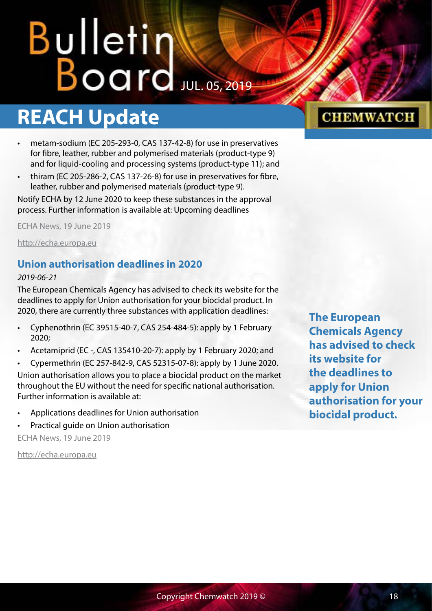## <span id="page-17-0"></span>**REACH Update**

- metam-sodium (EC 205-293-0, CAS 137-42-8) for use in preservatives for fibre, leather, rubber and polymerised materials (product-type 9) and for liquid-cooling and processing systems (product-type 11); and
- thiram (EC 205-286-2, CAS 137-26-8) for use in preservatives for fibre, leather, rubber and polymerised materials (product-type 9).

Notify ECHA by 12 June 2020 to keep these substances in the approval process. Further information is available at: [Upcoming deadlines](http://elmlinks.echa.europa.eu/c/4/?T=OTMzMDcxOTU%3AcDEtYjE5MTcwLTA5NTlmYWNjMGQ4NTQ0ZmJiYWU0NGM0NjIwNTY1OWJk%3AbmF0QGNoZW13YXRjaC5uZXQ%3AbGVhZC1hMDI0MDJjZmMwZTBlNzExODBmYTAwNTA1Njk1MmIzMS03M2M5Nzk1MDk1NmE0MWFhYWEyNjgyNDVlNTQ2ODYwMg%3AZmFsc2U%3AMTE%3A%3AaHR0cHM6Ly9lY2hhLmV1cm9wYS5ldS9yZWd1bGF0aW9ucy9iaW9jaWRhbC1wcm9kdWN0cy1yZWd1bGF0aW9uL3VwY29taW5nLWRlYWRsaW5lcz9fY2xkZWU9Ym1GMFFHTm9aVzEzWVhSamFDNXVaWFElM2QmcmVjaXBpZW50aWQ9bGVhZC1hMDI0MDJjZmMwZTBlNzExODBmYTAwNTA1Njk1MmIzMS03M2M5Nzk1MDk1NmE0MWFhYWEyNjgyNDVlNTQ2ODYwMiZlc2lkPWJjNjZhNDVkLTVhOTItZTkxMS04MTBkLTAwNTA1NmI5MzEwZQ&K=iQvJkfZdIXO50Tvoew9sGQ)

ECHA News, 19 June 2019

<http://echa.europa.eu>

## **Union authorisation deadlines in 2020**

### *2019-06-21*

The European Chemicals Agency has advised to check its website for the deadlines to apply for Union authorisation for your biocidal product. In 2020, there are currently three substances with application deadlines:

- Cyphenothrin (EC 39515-40-7, CAS 254-484-5): apply by 1 February 2020;
- Acetamiprid (EC -, CAS 135410-20-7): apply by 1 February 2020; and
- Cypermethrin (EC 257-842-9, CAS 52315-07-8): apply by 1 June 2020.

Union authorisation allows you to place a biocidal product on the market throughout the EU without the need for specific national authorisation. Further information is available at:

- [Applications deadlines for Union authorisation](http://elmlinks.echa.europa.eu/c/4/?T=OTMzMDcxOTU%3AcDEtYjE5MTcwLTA5NTlmYWNjMGQ4NTQ0ZmJiYWU0NGM0NjIwNTY1OWJk%3AbmF0QGNoZW13YXRjaC5uZXQ%3AbGVhZC1hMDI0MDJjZmMwZTBlNzExODBmYTAwNTA1Njk1MmIzMS03M2M5Nzk1MDk1NmE0MWFhYWEyNjgyNDVlNTQ2ODYwMg%3AZmFsc2U%3AMTI%3A%3AaHR0cHM6Ly9lY2hhLmV1cm9wYS5ldS9yZWd1bGF0aW9ucy9iaW9jaWRhbC1wcm9kdWN0cy1yZWd1bGF0aW9uL2F1dGhvcmlzYXRpb24tb2YtYmlvY2lkYWwtcHJvZHVjdHMvdW5pb24tYXV0aG9yaXNhdGlvbi9kZWFkbGluZXMtdW5pb24tYXV0aG9yaXNhdGlvbi1hcHBsaWNhdGlvbnMvMjAyMD9fY2xkZWU9Ym1GMFFHTm9aVzEzWVhSamFDNXVaWFElM2QmcmVjaXBpZW50aWQ9bGVhZC1hMDI0MDJjZmMwZTBlNzExODBmYTAwNTA1Njk1MmIzMS03M2M5Nzk1MDk1NmE0MWFhYWEyNjgyNDVlNTQ2ODYwMiZlc2lkPWJjNjZhNDVkLTVhOTItZTkxMS04MTBkLTAwNTA1NmI5MzEwZQ&K=d8A1NcFaOKkUqvccU7DJlw)
- [Practical guide on Union authorisation](http://elmlinks.echa.europa.eu/c/4/?T=OTMzMDcxOTU%3AcDEtYjE5MTcwLTA5NTlmYWNjMGQ4NTQ0ZmJiYWU0NGM0NjIwNTY1OWJk%3AbmF0QGNoZW13YXRjaC5uZXQ%3AbGVhZC1hMDI0MDJjZmMwZTBlNzExODBmYTAwNTA1Njk1MmIzMS03M2M5Nzk1MDk1NmE0MWFhYWEyNjgyNDVlNTQ2ODYwMg%3AZmFsc2U%3AMTM%3A%3AaHR0cHM6Ly9lY2hhLmV1cm9wYS5ldS9wcmFjdGljYWwtZ3VpZGVzL2Jwci1wcmFjdGljYWwtZ3VpZGVzP19jbGRlZT1ibUYwUUdOb1pXMTNZWFJqYUM1dVpYUSUzZCZyZWNpcGllbnRpZD1sZWFkLWEwMjQwMmNmYzBlMGU3MTE4MGZhMDA1MDU2OTUyYjMxLTczYzk3OTUwOTU2YTQxYWFhYTI2ODI0NWU1NDY4NjAyJmVzaWQ9YmM2NmE0NWQtNWE5Mi1lOTExLTgxMGQtMDA1MDU2YjkzMTBl&K=Tqzr0JganBBGzrOUgw8HQA)

ECHA News, 19 June 2019

<http://echa.europa.eu>

## **CHEMWATCH**

**The European Chemicals Agency has advised to check its website for the deadlines to apply for Union authorisation for your biocidal product.**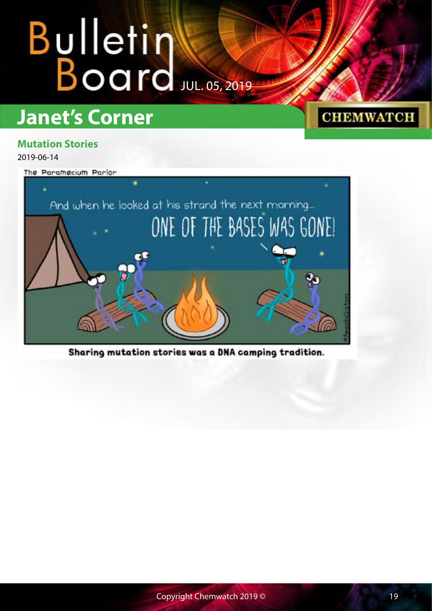## <span id="page-18-0"></span>**Janet's Corner**

## **Mutation Stories**

2019-06-14

The Paramecium Parlor



Sharing mutation stories was a DNA camping tradition.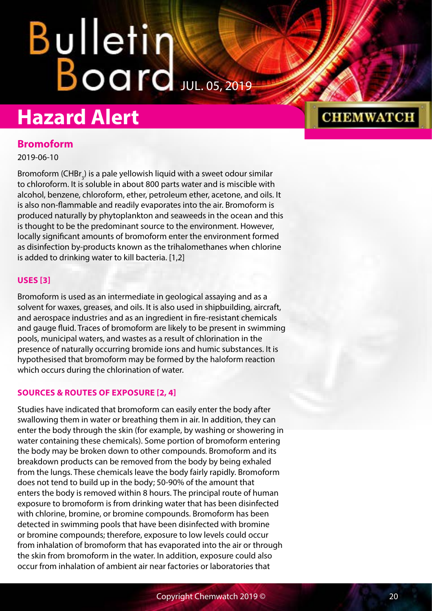## <span id="page-19-0"></span>**Hazard Alert**

## **CHEMWATCH**

## **Bromoform**

2019-06-10

Bromoform (CHB $r_{3}$ ) is a pale yellowish liquid with a sweet odour similar to chloroform. It is soluble in about 800 parts water and is miscible with alcohol, benzene, chloroform, ether, petroleum ether, acetone, and oils. It is also non-flammable and readily evaporates into the air. Bromoform is produced naturally by phytoplankton and seaweeds in the ocean and this is thought to be the predominant source to the environment. However, locally significant amounts of bromoform enter the environment formed as disinfection by-products known as the trihalomethanes when chlorine is added to drinking water to kill bacteria. [1,2]

## **USES [3]**

Bromoform is used as an intermediate in geological assaying and as a solvent for waxes, greases, and oils. It is also used in shipbuilding, aircraft, and aerospace industries and as an ingredient in fire-resistant chemicals and gauge fluid. Traces of bromoform are likely to be present in swimming pools, municipal waters, and wastes as a result of chlorination in the presence of naturally occurring bromide ions and humic substances. It is hypothesised that bromoform may be formed by the haloform reaction which occurs during the chlorination of water.

## **SOURCES & ROUTES OF EXPOSURE [2, 4]**

Studies have indicated that bromoform can easily enter the body after swallowing them in water or breathing them in air. In addition, they can enter the body through the skin (for example, by washing or showering in water containing these chemicals). Some portion of bromoform entering the body may be broken down to other compounds. Bromoform and its breakdown products can be removed from the body by being exhaled from the lungs. These chemicals leave the body fairly rapidly. Bromoform does not tend to build up in the body; 50-90% of the amount that enters the body is removed within 8 hours. The principal route of human exposure to bromoform is from drinking water that has been disinfected with chlorine, bromine, or bromine compounds. Bromoform has been detected in swimming pools that have been disinfected with bromine or bromine compounds; therefore, exposure to low levels could occur from inhalation of bromoform that has evaporated into the air or through the skin from bromoform in the water. In addition, exposure could also occur from inhalation of ambient air near factories or laboratories that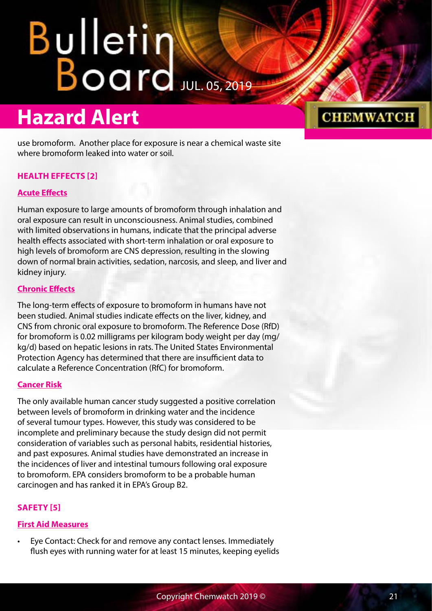## **Hazard Alert**

use bromoform. Another place for exposure is near a chemical waste site where bromoform leaked into water or soil.

## **HEALTH EFFECTS [2]**

## **Acute Effects**

Human exposure to large amounts of bromoform through inhalation and oral exposure can result in unconsciousness. Animal studies, combined with limited observations in humans, indicate that the principal adverse health effects associated with short-term inhalation or oral exposure to high levels of bromoform are CNS depression, resulting in the slowing down of normal brain activities, sedation, narcosis, and sleep, and liver and kidney injury.

## **Chronic Effects**

The long-term effects of exposure to bromoform in humans have not been studied. Animal studies indicate effects on the liver, kidney, and CNS from chronic oral exposure to bromoform. The Reference Dose (RfD) for bromoform is 0.02 milligrams per kilogram body weight per day (mg/ kg/d) based on hepatic lesions in rats. The United States Environmental Protection Agency has determined that there are insufficient data to calculate a Reference Concentration (RfC) for bromoform.

## **Cancer Risk**

The only available human cancer study suggested a positive correlation between levels of bromoform in drinking water and the incidence of several tumour types. However, this study was considered to be incomplete and preliminary because the study design did not permit consideration of variables such as personal habits, residential histories, and past exposures. Animal studies have demonstrated an increase in the incidences of liver and intestinal tumours following oral exposure to bromoform. EPA considers bromoform to be a probable human carcinogen and has ranked it in EPA's Group B2.

## **SAFETY [5]**

## **First Aid Measures**

• Eye Contact: Check for and remove any contact lenses. Immediately flush eyes with running water for at least 15 minutes, keeping eyelids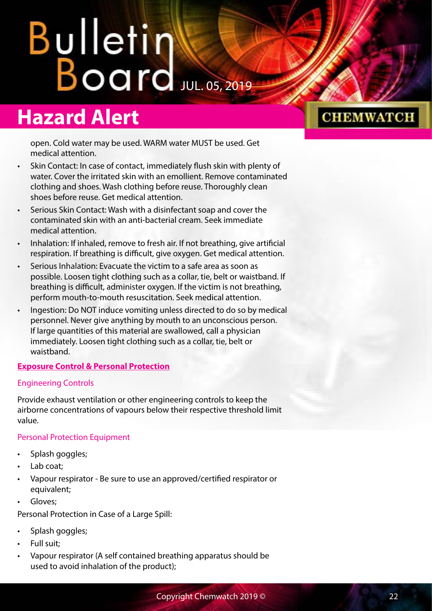## **Hazard Alert**

open. Cold water may be used. WARM water MUST be used. Get medical attention.

- Skin Contact: In case of contact, immediately flush skin with plenty of water. Cover the irritated skin with an emollient. Remove contaminated clothing and shoes. Wash clothing before reuse. Thoroughly clean shoes before reuse. Get medical attention.
- Serious Skin Contact: Wash with a disinfectant soap and cover the contaminated skin with an anti-bacterial cream. Seek immediate medical attention.
- Inhalation: If inhaled, remove to fresh air. If not breathing, give artificial respiration. If breathing is difficult, give oxygen. Get medical attention.
- Serious Inhalation: Evacuate the victim to a safe area as soon as possible. Loosen tight clothing such as a collar, tie, belt or waistband. If breathing is difficult, administer oxygen. If the victim is not breathing, perform mouth-to-mouth resuscitation. Seek medical attention.
- Ingestion: Do NOT induce vomiting unless directed to do so by medical personnel. Never give anything by mouth to an unconscious person. If large quantities of this material are swallowed, call a physician immediately. Loosen tight clothing such as a collar, tie, belt or waistband.

## **Exposure Control & Personal Protection**

## Engineering Controls

Provide exhaust ventilation or other engineering controls to keep the airborne concentrations of vapours below their respective threshold limit value.

## Personal Protection Equipment

- Splash goggles;
- Lab coat:
- Vapour respirator Be sure to use an approved/certified respirator or equivalent;
- Gloves;

Personal Protection in Case of a Large Spill:

- Splash goggles;
- Full suit;
- Vapour respirator (A self contained breathing apparatus should be used to avoid inhalation of the product);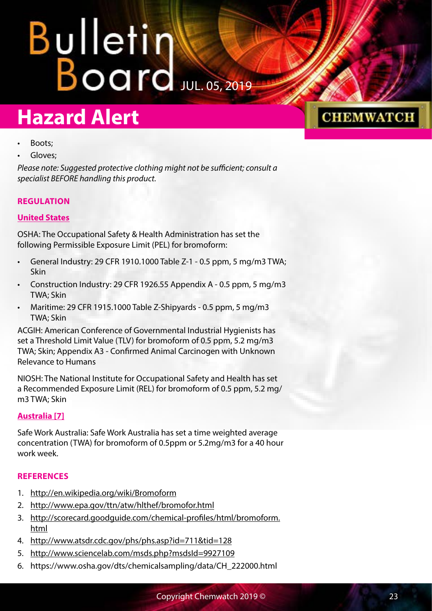## **Hazard Alert**

## **CHEMWATCH**

- Boots;
- Gloves:

*Please note: Suggested protective clothing might not be sufficient; consult a specialist BEFORE handling this product.*

## **REGULATION**

## **United States**

OSHA: The Occupational Safety & Health Administration has set the following Permissible Exposure Limit (PEL) for bromoform:

- General Industry: 29 CFR 1910.1000 Table Z-1 0.5 ppm, 5 mg/m3 TWA; Skin
- Construction Industry: 29 CFR 1926.55 Appendix A 0.5 ppm, 5 mg/m3 TWA; Skin
- Maritime: 29 CFR 1915.1000 Table Z-Shipyards 0.5 ppm, 5 mg/m3 TWA; Skin

ACGIH: American Conference of Governmental Industrial Hygienists has set a Threshold Limit Value (TLV) for bromoform of 0.5 ppm, 5.2 mg/m3 TWA; Skin; Appendix A3 - Confirmed Animal Carcinogen with Unknown Relevance to Humans

NIOSH: The National Institute for Occupational Safety and Health has set a Recommended Exposure Limit (REL) for bromoform of 0.5 ppm, 5.2 mg/ m3 TWA; Skin

## **Australia [7]**

Safe Work Australia: Safe Work Australia has set a time weighted average concentration (TWA) for bromoform of 0.5ppm or 5.2mg/m3 for a 40 hour work week.

## **REFERENCES**

- 1. <http://en.wikipedia.org/wiki/Bromoform>
- 2. <http://www.epa.gov/ttn/atw/hlthef/bromofor.html>
- 3. [http://scorecard.goodguide.com/chemical-profiles/html/bromoform.](http://scorecard.goodguide.com/chemical-profiles/html/bromoform.html) [html](http://scorecard.goodguide.com/chemical-profiles/html/bromoform.html)
- 4. <http://www.atsdr.cdc.gov/phs/phs.asp?id=711&tid=128>
- 5. <http://www.sciencelab.com/msds.php?msdsId=9927109>
- 6. https://www.osha.gov/dts/chemicalsampling/data/CH\_222000.html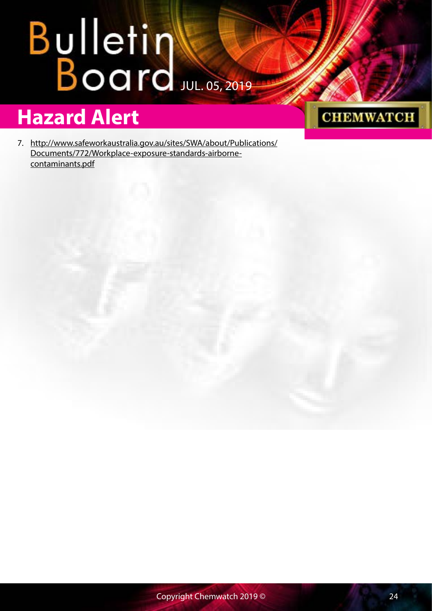## **Hazard Alert**

**CHEMWATCH** 

7. [http://www.safeworkaustralia.gov.au/sites/SWA/about/Publications/](http://www.safeworkaustralia.gov.au/sites/SWA/about/Publications/Documents/772/Workplace-exposure-standards-airborne-contaminants.pdf) [Documents/772/Workplace-exposure-standards-airborne](http://www.safeworkaustralia.gov.au/sites/SWA/about/Publications/Documents/772/Workplace-exposure-standards-airborne-contaminants.pdf)[contaminants.pdf](http://www.safeworkaustralia.gov.au/sites/SWA/about/Publications/Documents/772/Workplace-exposure-standards-airborne-contaminants.pdf)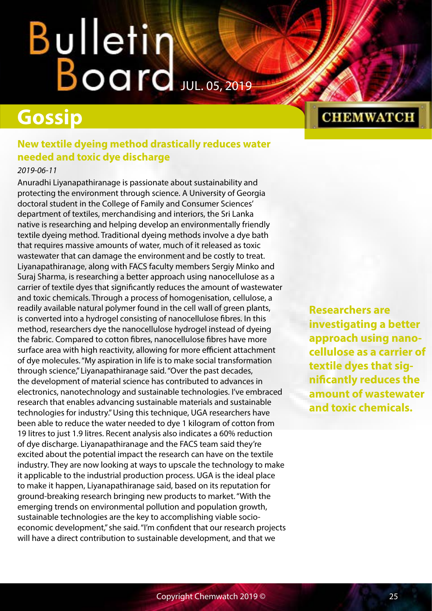## <span id="page-24-0"></span>**Gossip**

## **New textile dyeing method drastically reduces water needed and toxic dye discharge**

## *2019-06-11*

Anuradhi Liyanapathiranage is passionate about sustainability and protecting the environment through science. A University of Georgia doctoral student in the College of Family and Consumer Sciences' department of textiles, merchandising and interiors, the Sri Lanka native is researching and helping develop an environmentally friendly textile dyeing method. Traditional dyeing methods involve a dye bath that requires massive amounts of water, much of it released as toxic wastewater that can damage the environment and be costly to treat. Liyanapathiranage, along with FACS faculty members Sergiy Minko and Suraj Sharma, is researching a better approach using nanocellulose as a carrier of textile dyes that significantly reduces the amount of wastewater and toxic chemicals. Through a process of homogenisation, cellulose, a readily available natural polymer found in the cell wall of green plants, is converted into a hydrogel consisting of nanocellulose fibres. In this method, researchers dye the nanocellulose hydrogel instead of dyeing the fabric. Compared to cotton fibres, nanocellulose fibres have more surface area with high reactivity, allowing for more efficient attachment of dye molecules. "My aspiration in life is to make social transformation through science," Liyanapathiranage said. "Over the past decades, the development of material science has contributed to advances in electronics, nanotechnology and sustainable technologies. I've embraced research that enables advancing sustainable materials and sustainable technologies for industry." Using this technique, UGA researchers have been able to reduce the water needed to dye 1 kilogram of cotton from 19 litres to just 1.9 litres. Recent analysis also indicates a 60% reduction of dye discharge. Liyanapathiranage and the FACS team said they're excited about the potential impact the research can have on the textile industry. They are now looking at ways to upscale the technology to make it applicable to the industrial production process. UGA is the ideal place to make it happen, Liyanapathiranage said, based on its reputation for ground-breaking research bringing new products to market. "With the emerging trends on environmental pollution and population growth, sustainable technologies are the key to accomplishing viable socioeconomic development," she said. "I'm confident that our research projects will have a direct contribution to sustainable development, and that we

**CHEMWATCH** 

**Researchers are investigating a better approach using nanocellulose as a carrier of textile dyes that significantly reduces the amount of wastewater and toxic chemicals.**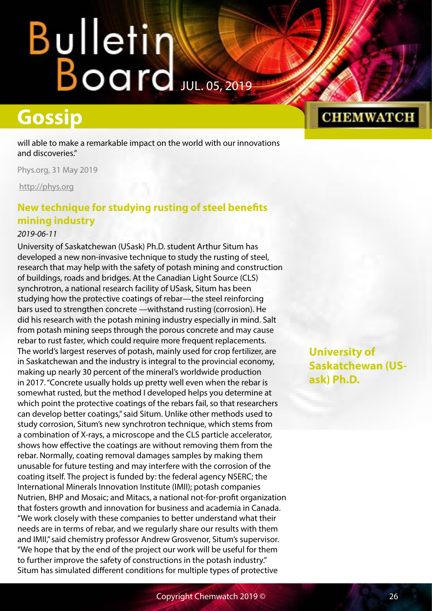# <span id="page-25-0"></span>Bulletin<br>Board

## **Gossip**

will able to make a remarkable impact on the world with our innovations and discoveries."

Phys.org, 31 May 2019

<http://phys.org>

## **New technique for studying rusting of steel benefits mining industry**

### *2019-06-11*

University of Saskatchewan (USask) Ph.D. student Arthur Situm has developed a new non-invasive technique to study the rusting of steel, research that may help with the safety of potash mining and construction of buildings, roads and bridges. At the Canadian Light Source (CLS) synchrotron, a national research facility of USask, Situm has been studying how the protective coatings of rebar—the steel reinforcing bars used to strengthen concrete —withstand rusting (corrosion). He did his research with the potash mining industry especially in mind. Salt from potash mining seeps through the porous concrete and may cause rebar to rust faster, which could require more frequent replacements. The world's largest reserves of potash, mainly used for crop fertilizer, are in Saskatchewan and the industry is integral to the provincial economy, making up nearly 30 percent of the mineral's worldwide production in 2017. "Concrete usually holds up pretty well even when the rebar is somewhat rusted, but the method I developed helps you determine at which point the protective coatings of the rebars fail, so that researchers can develop better coatings," said Situm. Unlike other methods used to study corrosion, Situm's new synchrotron technique, which stems from a combination of X-rays, a microscope and the CLS particle accelerator, shows how effective the coatings are without removing them from the rebar. Normally, coating removal damages samples by making them unusable for future testing and may interfere with the corrosion of the coating itself. The project is funded by: the federal agency NSERC; the International Minerals Innovation Institute (IMII); potash companies Nutrien, BHP and Mosaic; and Mitacs, a national not-for-profit organization that fosters growth and innovation for business and academia in Canada. "We work closely with these companies to better understand what their needs are in terms of rebar, and we regularly share our results with them and IMII," said chemistry professor Andrew Grosvenor, Situm's supervisor. "We hope that by the end of the project our work will be useful for them to further improve the safety of constructions in the potash industry." Situm has simulated different conditions for multiple types of protective

**University of Saskatchewan (USask) Ph.D.**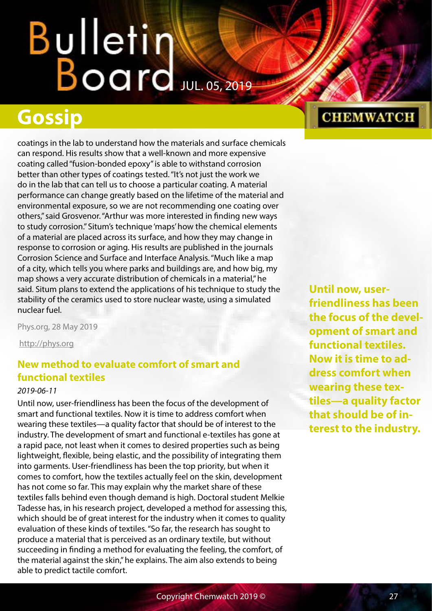## <span id="page-26-0"></span>**Gossip**

coatings in the lab to understand how the materials and surface chemicals can respond. His results show that a well-known and more expensive coating called "fusion-bonded epoxy" is able to withstand corrosion better than other types of coatings tested. "It's not just the work we do in the lab that can tell us to choose a particular coating. A material performance can change greatly based on the lifetime of the material and environmental exposure, so we are not recommending one coating over others," said Grosvenor. "Arthur was more interested in finding new ways to study corrosion." Situm's technique 'maps' how the chemical elements of a material are placed across its surface, and how they may change in response to corrosion or aging. His results are published in the journals Corrosion Science and Surface and Interface Analysis. "Much like a map of a city, which tells you where parks and buildings are, and how big, my map shows a very accurate distribution of chemicals in a material," he said. Situm plans to extend the applications of his technique to study the stability of the ceramics used to store nuclear waste, using a simulated nuclear fuel.

Phys.org, 28 May 2019

<http://phys.org>

## **New method to evaluate comfort of smart and functional textiles**

## *2019-06-11*

Until now, user-friendliness has been the focus of the development of smart and functional textiles. Now it is time to address comfort when wearing these textiles—a quality factor that should be of interest to the industry. The development of smart and functional e-textiles has gone at a rapid pace, not least when it comes to desired properties such as being lightweight, flexible, being elastic, and the possibility of integrating them into garments. User-friendliness has been the top priority, but when it comes to comfort, how the textiles actually feel on the skin, development has not come so far. This may explain why the market share of these textiles falls behind even though demand is high. Doctoral student Melkie Tadesse has, in his research project, developed a method for assessing this, which should be of great interest for the industry when it comes to quality evaluation of these kinds of textiles. "So far, the research has sought to produce a material that is perceived as an ordinary textile, but without succeeding in finding a method for evaluating the feeling, the comfort, of the material against the skin," he explains. The aim also extends to being able to predict tactile comfort.

## **Until now, userfriendliness has been the focus of the development of smart and functional textiles. Now it is time to address comfort when wearing these textiles—a quality factor that should be of interest to the industry.**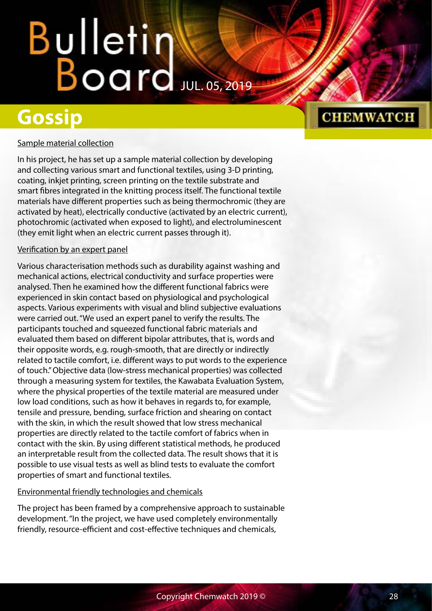## **Gossip**

## **CHEMWATCH**

## Sample material collection

In his project, he has set up a sample material collection by developing and collecting various smart and functional textiles, using 3-D printing, coating, inkjet printing, screen printing on the textile substrate and smart fibres integrated in the knitting process itself. The functional textile materials have different properties such as being thermochromic (they are activated by heat), electrically conductive (activated by an electric current), photochromic (activated when exposed to light), and electroluminescent (they emit light when an electric current passes through it).

## Verification by an expert panel

Various characterisation methods such as durability against washing and mechanical actions, electrical conductivity and surface properties were analysed. Then he examined how the different functional fabrics were experienced in skin contact based on physiological and psychological aspects. Various experiments with visual and blind subjective evaluations were carried out. "We used an expert panel to verify the results. The participants touched and squeezed functional fabric materials and evaluated them based on different bipolar attributes, that is, words and their opposite words, e.g. rough-smooth, that are directly or indirectly related to tactile comfort, i.e. different ways to put words to the experience of touch." Objective data (low-stress mechanical properties) was collected through a measuring system for textiles, the Kawabata Evaluation System, where the physical properties of the textile material are measured under low load conditions, such as how it behaves in regards to, for example, tensile and pressure, bending, surface friction and shearing on contact with the skin, in which the result showed that low stress mechanical properties are directly related to the tactile comfort of fabrics when in contact with the skin. By using different statistical methods, he produced an interpretable result from the collected data. The result shows that it is possible to use visual tests as well as blind tests to evaluate the comfort properties of smart and functional textiles.

## Environmental friendly technologies and chemicals

The project has been framed by a comprehensive approach to sustainable development. "In the project, we have used completely environmentally friendly, resource-efficient and cost-effective techniques and chemicals,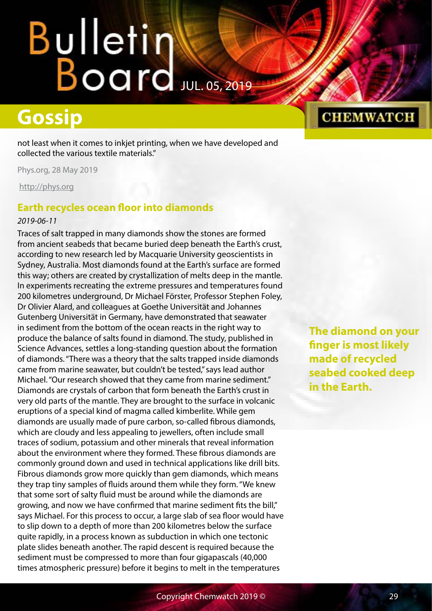## <span id="page-28-0"></span>**Gossip**

not least when it comes to inkjet printing, when we have developed and collected the various textile materials."

Phys.org, 28 May 2019

<http://phys.org>

## **Earth recycles ocean floor into diamonds**

### *2019-06-11*

Traces of salt trapped in many diamonds show the stones are formed from ancient seabeds that became buried deep beneath the Earth's crust, according to new research led by Macquarie University geoscientists in Sydney, Australia. Most diamonds found at the Earth's surface are formed this way; others are created by crystallization of melts deep in the mantle. In experiments recreating the extreme pressures and temperatures found 200 kilometres underground, Dr Michael Förster, Professor Stephen Foley, Dr Olivier Alard, and colleagues at Goethe Universität and Johannes Gutenberg Universität in Germany, have demonstrated that seawater in sediment from the bottom of the ocean reacts in the right way to produce the balance of salts found in diamond. The study, published in Science Advances, settles a long-standing question about the formation of diamonds. "There was a theory that the salts trapped inside diamonds came from marine seawater, but couldn't be tested," says lead author Michael. "Our research showed that they came from marine sediment." Diamonds are crystals of carbon that form beneath the Earth's crust in very old parts of the mantle. They are brought to the surface in volcanic eruptions of a special kind of magma called kimberlite. While gem diamonds are usually made of pure carbon, so-called fibrous diamonds, which are cloudy and less appealing to jewellers, often include small traces of sodium, potassium and other minerals that reveal information about the environment where they formed. These fibrous diamonds are commonly ground down and used in technical applications like drill bits. Fibrous diamonds grow more quickly than gem diamonds, which means they trap tiny samples of fluids around them while they form. "We knew that some sort of salty fluid must be around while the diamonds are growing, and now we have confirmed that marine sediment fits the bill," says Michael. For this process to occur, a large slab of sea floor would have to slip down to a depth of more than 200 kilometres below the surface quite rapidly, in a process known as subduction in which one tectonic plate slides beneath another. The rapid descent is required because the sediment must be compressed to more than four gigapascals (40,000 times atmospheric pressure) before it begins to melt in the temperatures

## **CHEMWATCH**

**The diamond on your finger is most likely made of recycled seabed cooked deep in the Earth.**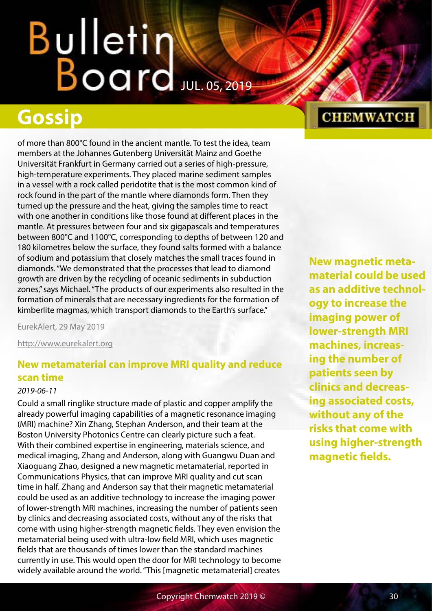## <span id="page-29-0"></span>**Gossip**

of more than 800°C found in the ancient mantle. To test the idea, team members at the Johannes Gutenberg Universität Mainz and Goethe Universität Frankfurt in Germany carried out a series of high-pressure, high-temperature experiments. They placed marine sediment samples in a vessel with a rock called peridotite that is the most common kind of rock found in the part of the mantle where diamonds form. Then they turned up the pressure and the heat, giving the samples time to react with one another in conditions like those found at different places in the mantle. At pressures between four and six gigapascals and temperatures between 800°C and 1100°C, corresponding to depths of between 120 and 180 kilometres below the surface, they found salts formed with a balance of sodium and potassium that closely matches the small traces found in diamonds. "We demonstrated that the processes that lead to diamond growth are driven by the recycling of oceanic sediments in subduction zones," says Michael. "The products of our experiments also resulted in the formation of minerals that are necessary ingredients for the formation of kimberlite magmas, which transport diamonds to the Earth's surface."

EurekAlert, 29 May 2019

<http://www.eurekalert.org>

## **New metamaterial can improve MRI quality and reduce scan time**

### *2019-06-11*

Could a small ringlike structure made of plastic and copper amplify the already powerful imaging capabilities of a magnetic resonance imaging (MRI) machine? Xin Zhang, Stephan Anderson, and their team at the Boston University Photonics Centre can clearly picture such a feat. With their combined expertise in engineering, materials science, and medical imaging, Zhang and Anderson, along with Guangwu Duan and Xiaoguang Zhao, designed a new magnetic metamaterial, reported in Communications Physics, that can improve MRI quality and cut scan time in half. Zhang and Anderson say that their magnetic metamaterial could be used as an additive technology to increase the imaging power of lower-strength MRI machines, increasing the number of patients seen by clinics and decreasing associated costs, without any of the risks that come with using higher-strength magnetic fields. They even envision the metamaterial being used with ultra-low field MRI, which uses magnetic fields that are thousands of times lower than the standard machines currently in use. This would open the door for MRI technology to become widely available around the world. "This [magnetic metamaterial] creates

## **CHEMWATCH**

**New magnetic metamaterial could be used as an additive technology to increase the imaging power of lower-strength MRI machines, increasing the number of patients seen by clinics and decreasing associated costs, without any of the risks that come with using higher-strength magnetic fields.**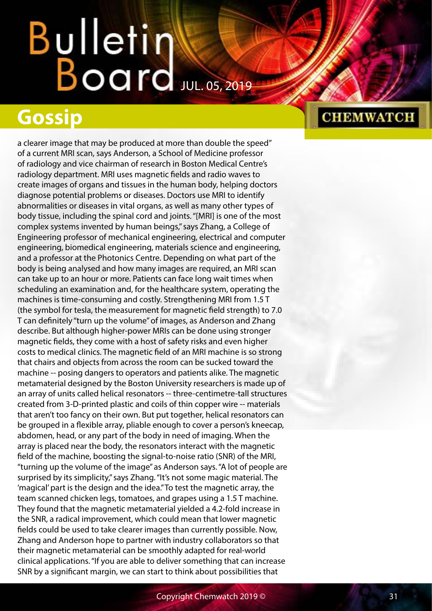## **Gossip**

a clearer image that may be produced at more than double the speed" of a current MRI scan, says Anderson, a School of Medicine professor of radiology and vice chairman of research in Boston Medical Centre's radiology department. MRI uses magnetic fields and radio waves to create images of organs and tissues in the human body, helping doctors diagnose potential problems or diseases. Doctors use MRI to identify abnormalities or diseases in vital organs, as well as many other types of body tissue, including the spinal cord and joints. "[MRI] is one of the most complex systems invented by human beings," says Zhang, a College of Engineering professor of mechanical engineering, electrical and computer engineering, biomedical engineering, materials science and engineering, and a professor at the Photonics Centre. Depending on what part of the body is being analysed and how many images are required, an MRI scan can take up to an hour or more. Patients can face long wait times when scheduling an examination and, for the healthcare system, operating the machines is time-consuming and costly. Strengthening MRI from 1.5 T (the symbol for tesla, the measurement for magnetic field strength) to 7.0 T can definitely "turn up the volume" of images, as Anderson and Zhang describe. But although higher-power MRIs can be done using stronger magnetic fields, they come with a host of safety risks and even higher costs to medical clinics. The magnetic field of an MRI machine is so strong that chairs and objects from across the room can be sucked toward the machine -- posing dangers to operators and patients alike. The magnetic metamaterial designed by the Boston University researchers is made up of an array of units called helical resonators -- three-centimetre-tall structures created from 3-D-printed plastic and coils of thin copper wire -- materials that aren't too fancy on their own. But put together, helical resonators can be grouped in a flexible array, pliable enough to cover a person's kneecap, abdomen, head, or any part of the body in need of imaging. When the array is placed near the body, the resonators interact with the magnetic field of the machine, boosting the signal-to-noise ratio (SNR) of the MRI, "turning up the volume of the image" as Anderson says. "A lot of people are surprised by its simplicity," says Zhang. "It's not some magic material. The 'magical' part is the design and the idea." To test the magnetic array, the team scanned chicken legs, tomatoes, and grapes using a 1.5 T machine. They found that the magnetic metamaterial yielded a 4.2-fold increase in the SNR, a radical improvement, which could mean that lower magnetic fields could be used to take clearer images than currently possible. Now, Zhang and Anderson hope to partner with industry collaborators so that their magnetic metamaterial can be smoothly adapted for real-world clinical applications. "If you are able to deliver something that can increase SNR by a significant margin, we can start to think about possibilities that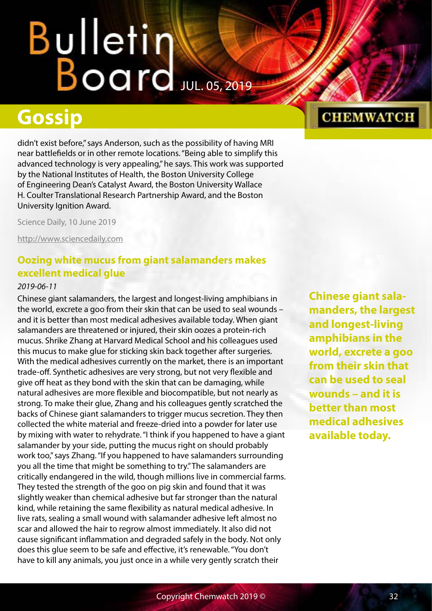# <span id="page-31-0"></span>Bulletin<br>Board

## **Gossip**

didn't exist before," says Anderson, such as the possibility of having MRI near battlefields or in other remote locations. "Being able to simplify this advanced technology is very appealing," he says. This work was supported by the National Institutes of Health, the Boston University College of Engineering Dean's Catalyst Award, the Boston University Wallace H. Coulter Translational Research Partnership Award, and the Boston University Ignition Award.

Science Daily, 10 June 2019

<http://www.sciencedaily.com>

## **Oozing white mucus from giant salamanders makes excellent medical glue**

### *2019-06-11*

Chinese giant salamanders, the largest and longest-living amphibians in the world, excrete a goo from their skin that can be used to seal wounds – and it is better than most medical adhesives available today. When giant salamanders are threatened or injured, their skin oozes a protein-rich mucus. Shrike Zhang at Harvard Medical School and his colleagues used this mucus to make glue for sticking skin back together after surgeries. With the medical adhesives currently on the market, there is an important trade-off. Synthetic adhesives are very strong, but not very flexible and give off heat as they bond with the skin that can be damaging, while natural adhesives are more flexible and biocompatible, but not nearly as strong. To make their glue, Zhang and his colleagues gently scratched the backs of Chinese giant salamanders to trigger mucus secretion. They then collected the white material and freeze-dried into a powder for later use by mixing with water to rehydrate. "I think if you happened to have a giant salamander by your side, putting the mucus right on should probably work too," says Zhang. "If you happened to have salamanders surrounding you all the time that might be something to try." The salamanders are critically endangered in the wild, though millions live in commercial farms. They tested the strength of the goo on pig skin and found that it was slightly weaker than chemical adhesive but far stronger than the natural kind, while retaining the same flexibility as natural medical adhesive. In live rats, sealing a small wound with salamander adhesive left almost no scar and allowed the hair to regrow almost immediately. It also did not cause significant inflammation and degraded safely in the body. Not only does this glue seem to be safe and effective, it's renewable. "You don't have to kill any animals, you just once in a while very gently scratch their

**Chinese giant salamanders, the largest and longest-living amphibians in the world, excrete a goo from their skin that can be used to seal wounds – and it is better than most medical adhesives available today.**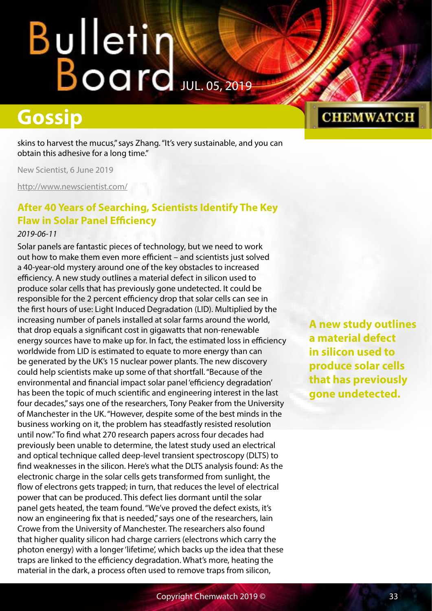## <span id="page-32-0"></span>**Gossip**

skins to harvest the mucus," says Zhang. "It's very sustainable, and you can obtain this adhesive for a long time."

New Scientist, 6 June 2019

<http://www.newscientist.com/>

## **After 40 Years of Searching, Scientists Identify The Key Flaw in Solar Panel Efficiency**

### *2019-06-11*

Solar panels are fantastic pieces of technology, but we need to work out how to make them even more efficient – and scientists just solved a 40-year-old mystery around one of the key obstacles to increased efficiency. A new study outlines a material defect in silicon used to produce solar cells that has previously gone undetected. It could be responsible for the 2 percent efficiency drop that solar cells can see in the first hours of use: Light Induced Degradation (LID). Multiplied by the increasing number of panels installed at solar farms around the world, that drop equals a significant cost in gigawatts that non-renewable energy sources have to make up for. In fact, the estimated loss in efficiency worldwide from LID is estimated to equate to more energy than can be generated by the UK's 15 nuclear power plants. The new discovery could help scientists make up some of that shortfall. "Because of the environmental and financial impact solar panel 'efficiency degradation' has been the topic of much scientific and engineering interest in the last four decades," says one of the researchers, Tony Peaker from the University of Manchester in the UK. "However, despite some of the best minds in the business working on it, the problem has steadfastly resisted resolution until now." To find what 270 research papers across four decades had previously been unable to determine, the latest study used an electrical and optical technique called deep-level transient spectroscopy (DLTS) to find weaknesses in the silicon. Here's what the DLTS analysis found: As the electronic charge in the solar cells gets transformed from sunlight, the flow of electrons gets trapped; in turn, that reduces the level of electrical power that can be produced. This defect lies dormant until the solar panel gets heated, the team found. "We've proved the defect exists, it's now an engineering fix that is needed," says one of the researchers, Iain Crowe from the University of Manchester. The researchers also found that higher quality silicon had charge carriers (electrons which carry the photon energy) with a longer 'lifetime', which backs up the idea that these traps are linked to the efficiency degradation. What's more, heating the material in the dark, a process often used to remove traps from silicon,

**A new study outlines a material defect in silicon used to produce solar cells that has previously gone undetected.**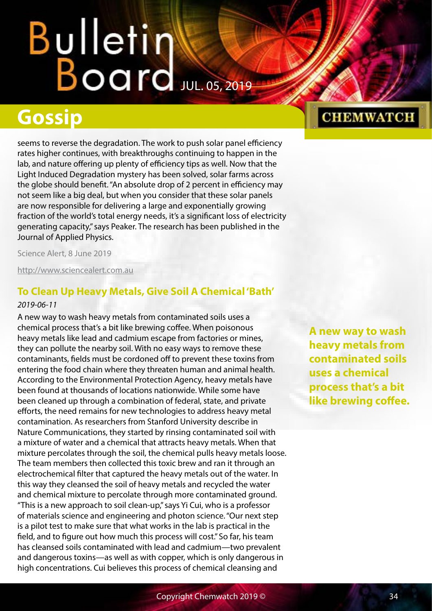## <span id="page-33-0"></span>**Gossip**

seems to reverse the degradation. The work to push solar panel efficiency rates higher continues, with breakthroughs continuing to happen in the lab, and nature offering up plenty of efficiency tips as well. Now that the Light Induced Degradation mystery has been solved, solar farms across the globe should benefit. "An absolute drop of 2 percent in efficiency may not seem like a big deal, but when you consider that these solar panels are now responsible for delivering a large and exponentially growing fraction of the world's total energy needs, it's a significant loss of electricity generating capacity," says Peaker. The research has been published in the Journal of Applied Physics.

Science Alert, 8 June 2019

<http://www.sciencealert.com.au>

## **To Clean Up Heavy Metals, Give Soil A Chemical 'Bath'**

### *2019-06-11*

A new way to wash heavy metals from contaminated soils uses a chemical process that's a bit like brewing coffee. When poisonous heavy metals like lead and cadmium escape from factories or mines, they can pollute the nearby soil. With no easy ways to remove these contaminants, fields must be cordoned off to prevent these toxins from entering the food chain where they threaten human and animal health. According to the Environmental Protection Agency, heavy metals have been found at thousands of locations nationwide. While some have been cleaned up through a combination of federal, state, and private efforts, the need remains for new technologies to address heavy metal contamination. As researchers from Stanford University describe in Nature Communications, they started by rinsing contaminated soil with a mixture of water and a chemical that attracts heavy metals. When that mixture percolates through the soil, the chemical pulls heavy metals loose. The team members then collected this toxic brew and ran it through an electrochemical filter that captured the heavy metals out of the water. In this way they cleansed the soil of heavy metals and recycled the water and chemical mixture to percolate through more contaminated ground. "This is a new approach to soil clean-up," says Yi Cui, who is a professor of materials science and engineering and photon science. "Our next step is a pilot test to make sure that what works in the lab is practical in the field, and to figure out how much this process will cost." So far, his team has cleansed soils contaminated with lead and cadmium—two prevalent and dangerous toxins—as well as with copper, which is only dangerous in high concentrations. Cui believes this process of chemical cleansing and

**A new way to wash heavy metals from contaminated soils uses a chemical process that's a bit like brewing coffee.**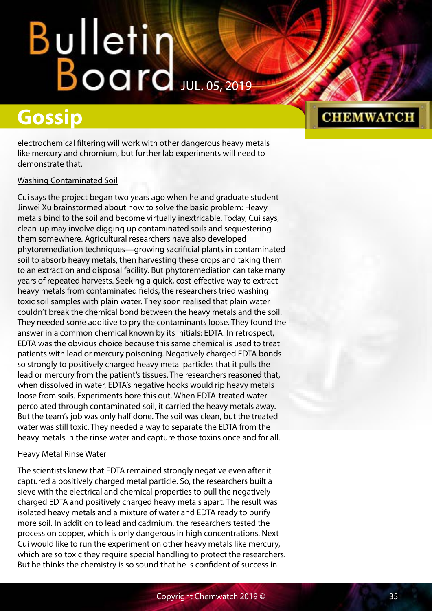# Bulletin Water

## **Gossip**

electrochemical filtering will work with other dangerous heavy metals like mercury and chromium, but further lab experiments will need to demonstrate that.

## Washing Contaminated Soil

Cui says the project began two years ago when he and graduate student Jinwei Xu brainstormed about how to solve the basic problem: Heavy metals bind to the soil and become virtually inextricable. Today, Cui says, clean-up may involve digging up contaminated soils and sequestering them somewhere. Agricultural researchers have also developed phytoremediation techniques—growing sacrificial plants in contaminated soil to absorb heavy metals, then harvesting these crops and taking them to an extraction and disposal facility. But phytoremediation can take many years of repeated harvests. Seeking a quick, cost-effective way to extract heavy metals from contaminated fields, the researchers tried washing toxic soil samples with plain water. They soon realised that plain water couldn't break the chemical bond between the heavy metals and the soil. They needed some additive to pry the contaminants loose. They found the answer in a common chemical known by its initials: EDTA. In retrospect, EDTA was the obvious choice because this same chemical is used to treat patients with lead or mercury poisoning. Negatively charged EDTA bonds so strongly to positively charged heavy metal particles that it pulls the lead or mercury from the patient's tissues. The researchers reasoned that, when dissolved in water, EDTA's negative hooks would rip heavy metals loose from soils. Experiments bore this out. When EDTA-treated water percolated through contaminated soil, it carried the heavy metals away. But the team's job was only half done. The soil was clean, but the treated water was still toxic. They needed a way to separate the EDTA from the heavy metals in the rinse water and capture those toxins once and for all.

## Heavy Metal Rinse Water

The scientists knew that EDTA remained strongly negative even after it captured a positively charged metal particle. So, the researchers built a sieve with the electrical and chemical properties to pull the negatively charged EDTA and positively charged heavy metals apart. The result was isolated heavy metals and a mixture of water and EDTA ready to purify more soil. In addition to lead and cadmium, the researchers tested the process on copper, which is only dangerous in high concentrations. Next Cui would like to run the experiment on other heavy metals like mercury, which are so toxic they require special handling to protect the researchers. But he thinks the chemistry is so sound that he is confident of success in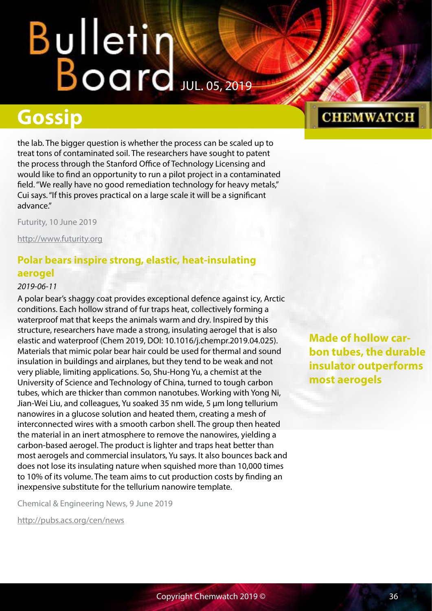## <span id="page-35-0"></span>**Gossip**

the lab. The bigger question is whether the process can be scaled up to treat tons of contaminated soil. The researchers have sought to patent the process through the Stanford Office of Technology Licensing and would like to find an opportunity to run a pilot project in a contaminated field. "We really have no good remediation technology for heavy metals," Cui says. "If this proves practical on a large scale it will be a significant advance."

Futurity, 10 June 2019

<http://www.futurity.org>

## **Polar bears inspire strong, elastic, heat-insulating aerogel**

### *2019-06-11*

A polar bear's shaggy coat provides exceptional defence against icy, Arctic conditions. Each hollow strand of fur traps heat, collectively forming a waterproof mat that keeps the animals warm and dry. Inspired by this structure, researchers have made a strong, insulating aerogel that is also elastic and waterproof (Chem 2019, DOI: 10.1016/j.chempr.2019.04.025). Materials that mimic polar bear hair could be used for thermal and sound insulation in buildings and airplanes, but they tend to be weak and not very pliable, limiting applications. So, Shu-Hong Yu, a chemist at the University of Science and Technology of China, turned to tough carbon tubes, which are thicker than common nanotubes. Working with Yong Ni, Jian-Wei Liu, and colleagues, Yu soaked 35 nm wide, 5 µm long tellurium nanowires in a glucose solution and heated them, creating a mesh of interconnected wires with a smooth carbon shell. The group then heated the material in an inert atmosphere to remove the nanowires, yielding a carbon-based aerogel. The product is lighter and traps heat better than most aerogels and commercial insulators, Yu says. It also bounces back and does not lose its insulating nature when squished more than 10,000 times to 10% of its volume. The team aims to cut production costs by finding an inexpensive substitute for the tellurium nanowire template.

Chemical & Engineering News, 9 June 2019

<http://pubs.acs.org/cen/news>

## **CHEMWATCH**

**Made of hollow carbon tubes, the durable insulator outperforms most aerogels**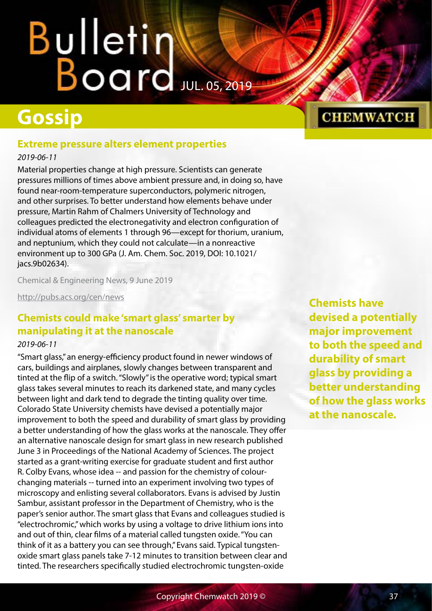### **Gossip**

#### **Extreme pressure alters element properties**

*2019-06-11*

Material properties change at high pressure. Scientists can generate pressures millions of times above ambient pressure and, in doing so, have found near-room-temperature superconductors, polymeric nitrogen, and other surprises. To better understand how elements behave under pressure, Martin Rahm of Chalmers University of Technology and colleagues predicted the electronegativity and electron configuration of individual atoms of elements 1 through 96—except for thorium, uranium, and neptunium, which they could not calculate—in a nonreactive environment up to 300 GPa (J. Am. Chem. Soc. 2019, DOI: 10.1021/ jacs.9b02634).

Chemical & Engineering News, 9 June 2019

<http://pubs.acs.org/cen/news>

#### **Chemists could make 'smart glass' smarter by manipulating it at the nanoscale**

#### *2019-06-11*

"Smart glass," an energy-efficiency product found in newer windows of cars, buildings and airplanes, slowly changes between transparent and tinted at the flip of a switch. "Slowly" is the operative word; typical smart glass takes several minutes to reach its darkened state, and many cycles between light and dark tend to degrade the tinting quality over time. Colorado State University chemists have devised a potentially major improvement to both the speed and durability of smart glass by providing a better understanding of how the glass works at the nanoscale. They offer an alternative nanoscale design for smart glass in new research published June 3 in Proceedings of the National Academy of Sciences. The project started as a grant-writing exercise for graduate student and first author R. Colby Evans, whose idea -- and passion for the chemistry of colourchanging materials -- turned into an experiment involving two types of microscopy and enlisting several collaborators. Evans is advised by Justin Sambur, assistant professor in the Department of Chemistry, who is the paper's senior author. The smart glass that Evans and colleagues studied is "electrochromic," which works by using a voltage to drive lithium ions into and out of thin, clear films of a material called tungsten oxide. "You can think of it as a battery you can see through," Evans said. Typical tungstenoxide smart glass panels take 7-12 minutes to transition between clear and tinted. The researchers specifically studied electrochromic tungsten-oxide

**Chemists have devised a potentially major improvement to both the speed and durability of smart glass by providing a better understanding of how the glass works at the nanoscale.**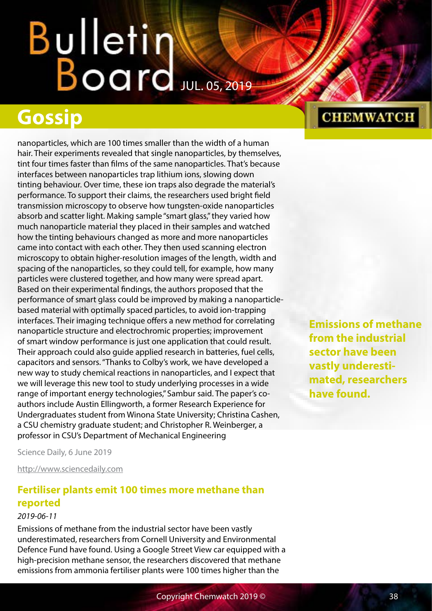## Bulletin Water

### **Gossip**

nanoparticles, which are 100 times smaller than the width of a human hair. Their experiments revealed that single nanoparticles, by themselves, tint four times faster than films of the same nanoparticles. That's because interfaces between nanoparticles trap lithium ions, slowing down tinting behaviour. Over time, these ion traps also degrade the material's performance. To support their claims, the researchers used bright field transmission microscopy to observe how tungsten-oxide nanoparticles absorb and scatter light. Making sample "smart glass," they varied how much nanoparticle material they placed in their samples and watched how the tinting behaviours changed as more and more nanoparticles came into contact with each other. They then used scanning electron microscopy to obtain higher-resolution images of the length, width and spacing of the nanoparticles, so they could tell, for example, how many particles were clustered together, and how many were spread apart. Based on their experimental findings, the authors proposed that the performance of smart glass could be improved by making a nanoparticlebased material with optimally spaced particles, to avoid ion-trapping interfaces. Their imaging technique offers a new method for correlating nanoparticle structure and electrochromic properties; improvement of smart window performance is just one application that could result. Their approach could also guide applied research in batteries, fuel cells, capacitors and sensors. "Thanks to Colby's work, we have developed a new way to study chemical reactions in nanoparticles, and I expect that we will leverage this new tool to study underlying processes in a wide range of important energy technologies," Sambur said. The paper's coauthors include Austin Ellingworth, a former Research Experience for Undergraduates student from Winona State University; Christina Cashen, a CSU chemistry graduate student; and Christopher R. Weinberger, a professor in CSU's Department of Mechanical Engineering

**CHEMWATCH** 

**Emissions of methane from the industrial sector have been vastly underestimated, researchers have found.**

Science Daily, 6 June 2019

<http://www.sciencedaily.com>

#### **Fertiliser plants emit 100 times more methane than reported**

#### *2019-06-11*

Emissions of methane from the industrial sector have been vastly underestimated, researchers from Cornell University and Environmental Defence Fund have found. Using a Google Street View car equipped with a high-precision methane sensor, the researchers discovered that methane emissions from ammonia fertiliser plants were 100 times higher than the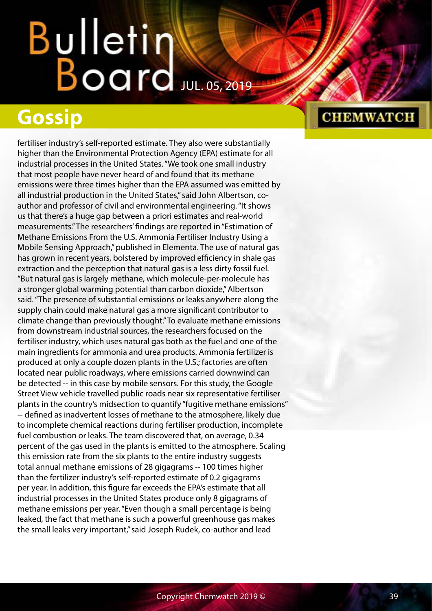### **Gossip**

fertiliser industry's self-reported estimate. They also were substantially higher than the Environmental Protection Agency (EPA) estimate for all industrial processes in the United States. "We took one small industry that most people have never heard of and found that its methane emissions were three times higher than the EPA assumed was emitted by all industrial production in the United States," said John Albertson, coauthor and professor of civil and environmental engineering. "It shows us that there's a huge gap between a priori estimates and real-world measurements." The researchers' findings are reported in "Estimation of Methane Emissions From the U.S. Ammonia Fertiliser Industry Using a Mobile Sensing Approach," published in Elementa. The use of natural gas has grown in recent years, bolstered by improved efficiency in shale gas extraction and the perception that natural gas is a less dirty fossil fuel. "But natural gas is largely methane, which molecule-per-molecule has a stronger global warming potential than carbon dioxide," Albertson said. "The presence of substantial emissions or leaks anywhere along the supply chain could make natural gas a more significant contributor to climate change than previously thought." To evaluate methane emissions from downstream industrial sources, the researchers focused on the fertiliser industry, which uses natural gas both as the fuel and one of the main ingredients for ammonia and urea products. Ammonia fertilizer is produced at only a couple dozen plants in the U.S.; factories are often located near public roadways, where emissions carried downwind can be detected -- in this case by mobile sensors. For this study, the Google Street View vehicle travelled public roads near six representative fertiliser plants in the country's midsection to quantify "fugitive methane emissions" -- defined as inadvertent losses of methane to the atmosphere, likely due to incomplete chemical reactions during fertiliser production, incomplete fuel combustion or leaks. The team discovered that, on average, 0.34 percent of the gas used in the plants is emitted to the atmosphere. Scaling this emission rate from the six plants to the entire industry suggests total annual methane emissions of 28 gigagrams -- 100 times higher than the fertilizer industry's self-reported estimate of 0.2 gigagrams per year. In addition, this figure far exceeds the EPA's estimate that all industrial processes in the United States produce only 8 gigagrams of methane emissions per year. "Even though a small percentage is being leaked, the fact that methane is such a powerful greenhouse gas makes the small leaks very important," said Joseph Rudek, co-author and lead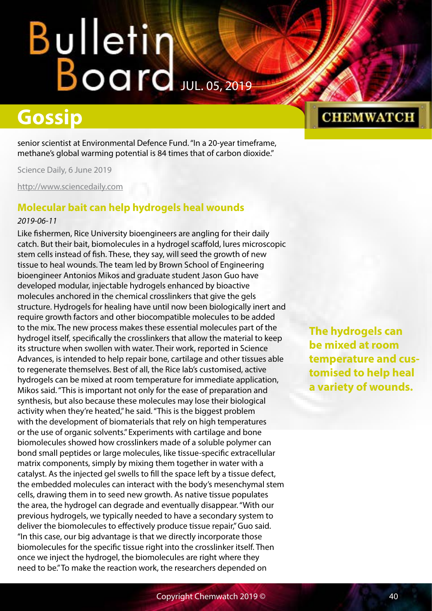# Bulletin<br>Board

### **Gossip**

senior scientist at Environmental Defence Fund. "In a 20-year timeframe, methane's global warming potential is 84 times that of carbon dioxide."

Science Daily, 6 June 2019

<http://www.sciencedaily.com>

#### **Molecular bait can help hydrogels heal wounds**

#### *2019-06-11*

Like fishermen, Rice University bioengineers are angling for their daily catch. But their bait, biomolecules in a hydrogel scaffold, lures microscopic stem cells instead of fish. These, they say, will seed the growth of new tissue to heal wounds. The team led by Brown School of Engineering bioengineer Antonios Mikos and graduate student Jason Guo have developed modular, injectable hydrogels enhanced by bioactive molecules anchored in the chemical crosslinkers that give the gels structure. Hydrogels for healing have until now been biologically inert and require growth factors and other biocompatible molecules to be added to the mix. The new process makes these essential molecules part of the hydrogel itself, specifically the crosslinkers that allow the material to keep its structure when swollen with water. Their work, reported in Science Advances, is intended to help repair bone, cartilage and other tissues able to regenerate themselves. Best of all, the Rice lab's customised, active hydrogels can be mixed at room temperature for immediate application, Mikos said. "This is important not only for the ease of preparation and synthesis, but also because these molecules may lose their biological activity when they're heated," he said. "This is the biggest problem with the development of biomaterials that rely on high temperatures or the use of organic solvents." Experiments with cartilage and bone biomolecules showed how crosslinkers made of a soluble polymer can bond small peptides or large molecules, like tissue-specific extracellular matrix components, simply by mixing them together in water with a catalyst. As the injected gel swells to fill the space left by a tissue defect, the embedded molecules can interact with the body's mesenchymal stem cells, drawing them in to seed new growth. As native tissue populates the area, the hydrogel can degrade and eventually disappear. "With our previous hydrogels, we typically needed to have a secondary system to deliver the biomolecules to effectively produce tissue repair," Guo said. "In this case, our big advantage is that we directly incorporate those biomolecules for the specific tissue right into the crosslinker itself. Then once we inject the hydrogel, the biomolecules are right where they need to be." To make the reaction work, the researchers depended on

#### **CHEMWATCH**

**The hydrogels can be mixed at room temperature and customised to help heal a variety of wounds.**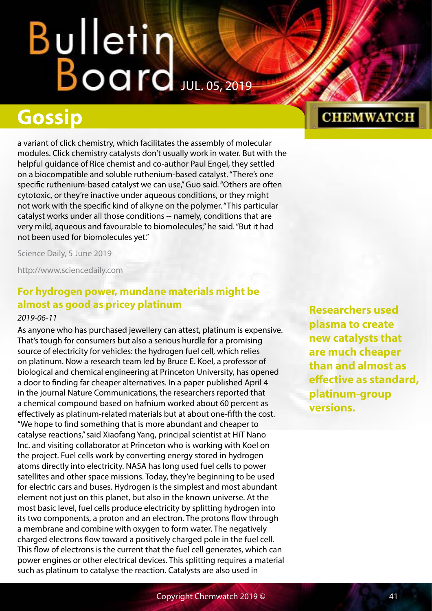### **Gossip**

a variant of click chemistry, which facilitates the assembly of molecular modules. Click chemistry catalysts don't usually work in water. But with the helpful guidance of Rice chemist and co-author Paul Engel, they settled on a biocompatible and soluble ruthenium-based catalyst. "There's one specific ruthenium-based catalyst we can use," Guo said. "Others are often cytotoxic, or they're inactive under aqueous conditions, or they might not work with the specific kind of alkyne on the polymer. "This particular catalyst works under all those conditions -- namely, conditions that are very mild, aqueous and favourable to biomolecules," he said. "But it had not been used for biomolecules yet."

Science Daily, 5 June 2019

<http://www.sciencedaily.com>

#### **For hydrogen power, mundane materials might be almost as good as pricey platinum**

#### *2019-06-11*

As anyone who has purchased jewellery can attest, platinum is expensive. That's tough for consumers but also a serious hurdle for a promising source of electricity for vehicles: the hydrogen fuel cell, which relies on platinum. Now a research team led by Bruce E. Koel, a professor of biological and chemical engineering at Princeton University, has opened a door to finding far cheaper alternatives. In a paper published April 4 in the journal Nature Communications, the researchers reported that a chemical compound based on hafnium worked about 60 percent as effectively as platinum-related materials but at about one-fifth the cost. "We hope to find something that is more abundant and cheaper to catalyse reactions," said Xiaofang Yang, principal scientist at HiT Nano Inc. and visiting collaborator at Princeton who is working with Koel on the project. Fuel cells work by converting energy stored in hydrogen atoms directly into electricity. NASA has long used fuel cells to power satellites and other space missions. Today, they're beginning to be used for electric cars and buses. Hydrogen is the simplest and most abundant element not just on this planet, but also in the known universe. At the most basic level, fuel cells produce electricity by splitting hydrogen into its two components, a proton and an electron. The protons flow through a membrane and combine with oxygen to form water. The negatively charged electrons flow toward a positively charged pole in the fuel cell. This flow of electrons is the current that the fuel cell generates, which can power engines or other electrical devices. This splitting requires a material such as platinum to catalyse the reaction. Catalysts are also used in

**Researchers used plasma to create new catalysts that are much cheaper than and almost as effective as standard, platinum-group versions.**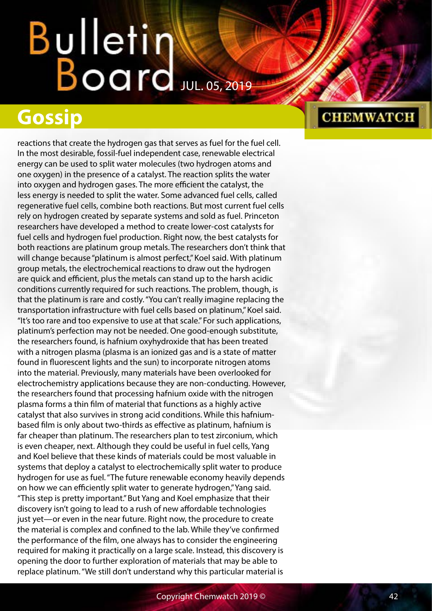# Bulletin<br>Board

### **Gossip**

reactions that create the hydrogen gas that serves as fuel for the fuel cell. In the most desirable, fossil-fuel independent case, renewable electrical energy can be used to split water molecules (two hydrogen atoms and one oxygen) in the presence of a catalyst. The reaction splits the water into oxygen and hydrogen gases. The more efficient the catalyst, the less energy is needed to split the water. Some advanced fuel cells, called regenerative fuel cells, combine both reactions. But most current fuel cells rely on hydrogen created by separate systems and sold as fuel. Princeton researchers have developed a method to create lower-cost catalysts for fuel cells and hydrogen fuel production. Right now, the best catalysts for both reactions are platinum group metals. The researchers don't think that will change because "platinum is almost perfect," Koel said. With platinum group metals, the electrochemical reactions to draw out the hydrogen are quick and efficient, plus the metals can stand up to the harsh acidic conditions currently required for such reactions. The problem, though, is that the platinum is rare and costly. "You can't really imagine replacing the transportation infrastructure with fuel cells based on platinum," Koel said. "It's too rare and too expensive to use at that scale." For such applications, platinum's perfection may not be needed. One good-enough substitute, the researchers found, is hafnium oxyhydroxide that has been treated with a nitrogen plasma (plasma is an ionized gas and is a state of matter found in fluorescent lights and the sun) to incorporate nitrogen atoms into the material. Previously, many materials have been overlooked for electrochemistry applications because they are non-conducting. However, the researchers found that processing hafnium oxide with the nitrogen plasma forms a thin film of material that functions as a highly active catalyst that also survives in strong acid conditions. While this hafniumbased film is only about two-thirds as effective as platinum, hafnium is far cheaper than platinum. The researchers plan to test zirconium, which is even cheaper, next. Although they could be useful in fuel cells, Yang and Koel believe that these kinds of materials could be most valuable in systems that deploy a catalyst to electrochemically split water to produce hydrogen for use as fuel. "The future renewable economy heavily depends on how we can efficiently split water to generate hydrogen," Yang said. "This step is pretty important." But Yang and Koel emphasize that their discovery isn't going to lead to a rush of new affordable technologies just yet—or even in the near future. Right now, the procedure to create the material is complex and confined to the lab. While they've confirmed the performance of the film, one always has to consider the engineering required for making it practically on a large scale. Instead, this discovery is opening the door to further exploration of materials that may be able to replace platinum. "We still don't understand why this particular material is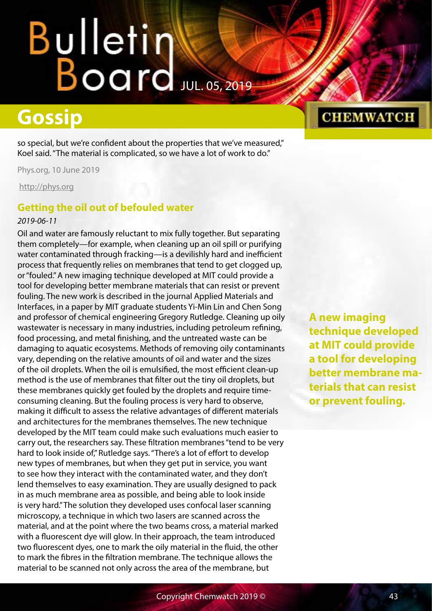## Bulletin Water

### **Gossip**

so special, but we're confident about the properties that we've measured," Koel said. "The material is complicated, so we have a lot of work to do."

Phys.org, 10 June 2019

<http://phys.org>

#### **Getting the oil out of befouled water**

#### *2019-06-11*

Oil and water are famously reluctant to mix fully together. But separating them completely—for example, when cleaning up an oil spill or purifying water contaminated through fracking—is a devilishly hard and inefficient process that frequently relies on membranes that tend to get clogged up, or "fouled." A new imaging technique developed at MIT could provide a tool for developing better membrane materials that can resist or prevent fouling. The new work is described in the journal Applied Materials and Interfaces, in a paper by MIT graduate students Yi-Min Lin and Chen Song and professor of chemical engineering Gregory Rutledge. Cleaning up oily wastewater is necessary in many industries, including petroleum refining, food processing, and metal finishing, and the untreated waste can be damaging to aquatic ecosystems. Methods of removing oily contaminants vary, depending on the relative amounts of oil and water and the sizes of the oil droplets. When the oil is emulsified, the most efficient clean-up method is the use of membranes that filter out the tiny oil droplets, but these membranes quickly get fouled by the droplets and require timeconsuming cleaning. But the fouling process is very hard to observe, making it difficult to assess the relative advantages of different materials and architectures for the membranes themselves. The new technique developed by the MIT team could make such evaluations much easier to carry out, the researchers say. These filtration membranes "tend to be very hard to look inside of," Rutledge says. "There's a lot of effort to develop new types of membranes, but when they get put in service, you want to see how they interact with the contaminated water, and they don't lend themselves to easy examination. They are usually designed to pack in as much membrane area as possible, and being able to look inside is very hard." The solution they developed uses confocal laser scanning microscopy, a technique in which two lasers are scanned across the material, and at the point where the two beams cross, a material marked with a fluorescent dye will glow. In their approach, the team introduced two fluorescent dyes, one to mark the oily material in the fluid, the other to mark the fibres in the filtration membrane. The technique allows the material to be scanned not only across the area of the membrane, but

**A new imaging technique developed at MIT could provide a tool for developing better membrane materials that can resist or prevent fouling.**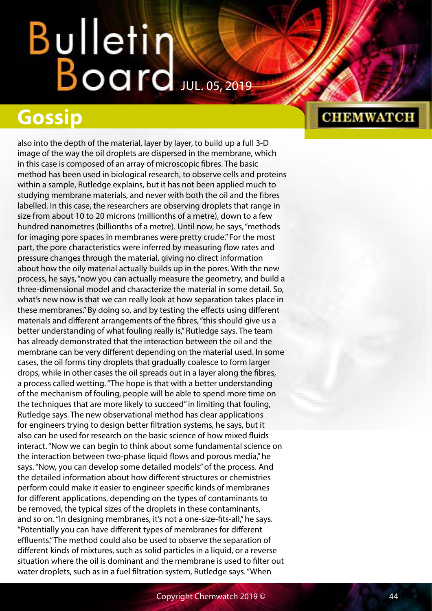### **Gossip**

also into the depth of the material, layer by layer, to build up a full 3-D image of the way the oil droplets are dispersed in the membrane, which in this case is composed of an array of microscopic fibres. The basic method has been used in biological research, to observe cells and proteins within a sample, Rutledge explains, but it has not been applied much to studying membrane materials, and never with both the oil and the fibres labelled. In this case, the researchers are observing droplets that range in size from about 10 to 20 microns (millionths of a metre), down to a few hundred nanometres (billionths of a metre). Until now, he says, "methods for imaging pore spaces in membranes were pretty crude." For the most part, the pore characteristics were inferred by measuring flow rates and pressure changes through the material, giving no direct information about how the oily material actually builds up in the pores. With the new process, he says, "now you can actually measure the geometry, and build a three-dimensional model and characterize the material in some detail. So, what's new now is that we can really look at how separation takes place in these membranes." By doing so, and by testing the effects using different materials and different arrangements of the fibres, "this should give us a better understanding of what fouling really is," Rutledge says. The team has already demonstrated that the interaction between the oil and the membrane can be very different depending on the material used. In some cases, the oil forms tiny droplets that gradually coalesce to form larger drops, while in other cases the oil spreads out in a layer along the fibres, a process called wetting. "The hope is that with a better understanding of the mechanism of fouling, people will be able to spend more time on the techniques that are more likely to succeed" in limiting that fouling, Rutledge says. The new observational method has clear applications for engineers trying to design better filtration systems, he says, but it also can be used for research on the basic science of how mixed fluids interact. "Now we can begin to think about some fundamental science on the interaction between two-phase liquid flows and porous media," he says. "Now, you can develop some detailed models" of the process. And the detailed information about how different structures or chemistries perform could make it easier to engineer specific kinds of membranes for different applications, depending on the types of contaminants to be removed, the typical sizes of the droplets in these contaminants, and so on. "In designing membranes, it's not a one-size-fits-all," he says. "Potentially you can have different types of membranes for different effluents." The method could also be used to observe the separation of different kinds of mixtures, such as solid particles in a liquid, or a reverse situation where the oil is dominant and the membrane is used to filter out water droplets, such as in a fuel filtration system, Rutledge says. "When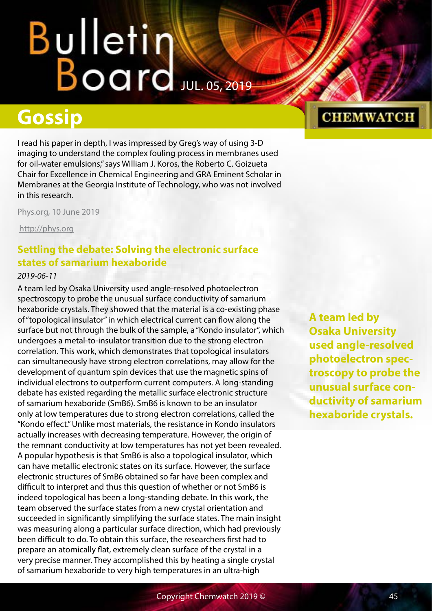### **Gossip**

I read his paper in depth, I was impressed by Greg's way of using 3-D imaging to understand the complex fouling process in membranes used for oil-water emulsions," says William J. Koros, the Roberto C. Goizueta Chair for Excellence in Chemical Engineering and GRA Eminent Scholar in Membranes at the Georgia Institute of Technology, who was not involved in this research.

Phys.org, 10 June 2019

<http://phys.org>

#### **Settling the debate: Solving the electronic surface states of samarium hexaboride**

#### *2019-06-11*

A team led by Osaka University used angle-resolved photoelectron spectroscopy to probe the unusual surface conductivity of samarium hexaboride crystals. They showed that the material is a co-existing phase of "topological insulator" in which electrical current can flow along the surface but not through the bulk of the sample, a "Kondo insulator", which undergoes a metal-to-insulator transition due to the strong electron correlation. This work, which demonstrates that topological insulators can simultaneously have strong electron correlations, may allow for the development of quantum spin devices that use the magnetic spins of individual electrons to outperform current computers. A long-standing debate has existed regarding the metallic surface electronic structure of samarium hexaboride (SmB6). SmB6 is known to be an insulator only at low temperatures due to strong electron correlations, called the "Kondo effect." Unlike most materials, the resistance in Kondo insulators actually increases with decreasing temperature. However, the origin of the remnant conductivity at low temperatures has not yet been revealed. A popular hypothesis is that SmB6 is also a topological insulator, which can have metallic electronic states on its surface. However, the surface electronic structures of SmB6 obtained so far have been complex and difficult to interpret and thus this question of whether or not SmB6 is indeed topological has been a long-standing debate. In this work, the team observed the surface states from a new crystal orientation and succeeded in significantly simplifying the surface states. The main insight was measuring along a particular surface direction, which had previously been difficult to do. To obtain this surface, the researchers first had to prepare an atomically flat, extremely clean surface of the crystal in a very precise manner. They accomplished this by heating a single crystal of samarium hexaboride to very high temperatures in an ultra-high

**A team led by Osaka University used angle-resolved photoelectron spectroscopy to probe the unusual surface conductivity of samarium hexaboride crystals.**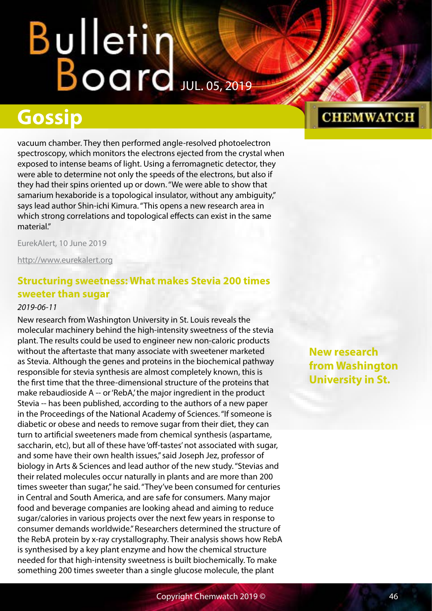## Bulletin Water

### **Gossip**

vacuum chamber. They then performed angle-resolved photoelectron spectroscopy, which monitors the electrons ejected from the crystal when exposed to intense beams of light. Using a ferromagnetic detector, they were able to determine not only the speeds of the electrons, but also if they had their spins oriented up or down. "We were able to show that samarium hexaboride is a topological insulator, without any ambiguity," says lead author Shin-ichi Kimura. "This opens a new research area in which strong correlations and topological effects can exist in the same material."

EurekAlert, 10 June 2019

<http://www.eurekalert.org>

#### **Structuring sweetness: What makes Stevia 200 times sweeter than sugar**

#### *2019-06-11*

New research from Washington University in St. Louis reveals the molecular machinery behind the high-intensity sweetness of the stevia plant. The results could be used to engineer new non-caloric products without the aftertaste that many associate with sweetener marketed as Stevia. Although the genes and proteins in the biochemical pathway responsible for stevia synthesis are almost completely known, this is the first time that the three-dimensional structure of the proteins that make rebaudioside A -- or 'RebA,' the major ingredient in the product Stevia -- has been published, according to the authors of a new paper in the Proceedings of the National Academy of Sciences. "If someone is diabetic or obese and needs to remove sugar from their diet, they can turn to artificial sweeteners made from chemical synthesis (aspartame, saccharin, etc), but all of these have 'off-tastes' not associated with sugar, and some have their own health issues," said Joseph Jez, professor of biology in Arts & Sciences and lead author of the new study. "Stevias and their related molecules occur naturally in plants and are more than 200 times sweeter than sugar," he said. "They've been consumed for centuries in Central and South America, and are safe for consumers. Many major food and beverage companies are looking ahead and aiming to reduce sugar/calories in various projects over the next few years in response to consumer demands worldwide." Researchers determined the structure of the RebA protein by x-ray crystallography. Their analysis shows how RebA is synthesised by a key plant enzyme and how the chemical structure needed for that high-intensity sweetness is built biochemically. To make something 200 times sweeter than a single glucose molecule, the plant

**New research from Washington University in St.**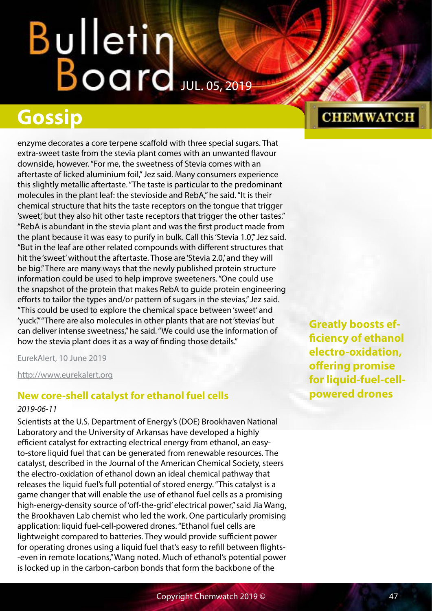# Bulletin<br>Board

### **Gossip**

enzyme decorates a core terpene scaffold with three special sugars. That extra-sweet taste from the stevia plant comes with an unwanted flavour downside, however. "For me, the sweetness of Stevia comes with an aftertaste of licked aluminium foil," Jez said. Many consumers experience this slightly metallic aftertaste. "The taste is particular to the predominant molecules in the plant leaf: the stevioside and RebA," he said. "It is their chemical structure that hits the taste receptors on the tongue that trigger 'sweet,' but they also hit other taste receptors that trigger the other tastes." "RebA is abundant in the stevia plant and was the first product made from the plant because it was easy to purify in bulk. Call this 'Stevia 1.0", Jez said. "But in the leaf are other related compounds with different structures that hit the 'sweet' without the aftertaste. Those are 'Stevia 2.0,' and they will be big." There are many ways that the newly published protein structure information could be used to help improve sweeteners. "One could use the snapshot of the protein that makes RebA to guide protein engineering efforts to tailor the types and/or pattern of sugars in the stevias," Jez said. "This could be used to explore the chemical space between 'sweet' and 'yuck'." "There are also molecules in other plants that are not 'stevias' but can deliver intense sweetness," he said. "We could use the information of how the stevia plant does it as a way of finding those details."

EurekAlert, 10 June 2019

<http://www.eurekalert.org>

#### **New core-shell catalyst for ethanol fuel cells**

#### *2019-06-11*

Scientists at the U.S. Department of Energy's (DOE) Brookhaven National Laboratory and the University of Arkansas have developed a highly efficient catalyst for extracting electrical energy from ethanol, an easyto-store liquid fuel that can be generated from renewable resources. The catalyst, described in the Journal of the American Chemical Society, steers the electro-oxidation of ethanol down an ideal chemical pathway that releases the liquid fuel's full potential of stored energy. "This catalyst is a game changer that will enable the use of ethanol fuel cells as a promising high-energy-density source of 'off-the-grid' electrical power," said Jia Wang, the Brookhaven Lab chemist who led the work. One particularly promising application: liquid fuel-cell-powered drones. "Ethanol fuel cells are lightweight compared to batteries. They would provide sufficient power for operating drones using a liquid fuel that's easy to refill between flights- -even in remote locations," Wang noted. Much of ethanol's potential power is locked up in the carbon-carbon bonds that form the backbone of the

#### **Greatly boosts efficiency of ethanol electro-oxidation, offering promise for liquid-fuel-cellpowered drones**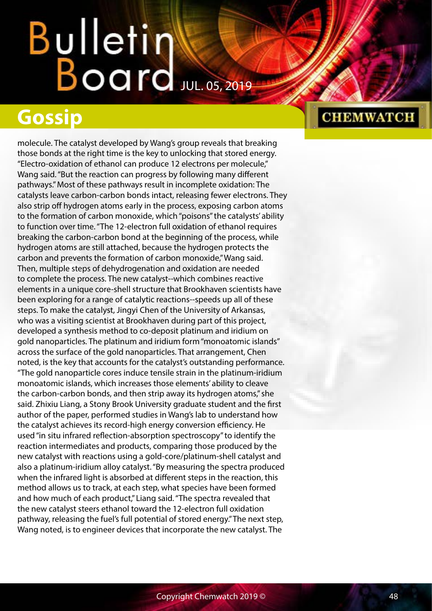### **Gossip**

molecule. The catalyst developed by Wang's group reveals that breaking those bonds at the right time is the key to unlocking that stored energy. "Electro-oxidation of ethanol can produce 12 electrons per molecule," Wang said. "But the reaction can progress by following many different pathways." Most of these pathways result in incomplete oxidation: The catalysts leave carbon-carbon bonds intact, releasing fewer electrons. They also strip off hydrogen atoms early in the process, exposing carbon atoms to the formation of carbon monoxide, which "poisons" the catalysts' ability to function over time. "The 12-electron full oxidation of ethanol requires breaking the carbon-carbon bond at the beginning of the process, while hydrogen atoms are still attached, because the hydrogen protects the carbon and prevents the formation of carbon monoxide," Wang said. Then, multiple steps of dehydrogenation and oxidation are needed to complete the process. The new catalyst--which combines reactive elements in a unique core-shell structure that Brookhaven scientists have been exploring for a range of catalytic reactions--speeds up all of these steps. To make the catalyst, Jingyi Chen of the University of Arkansas, who was a visiting scientist at Brookhaven during part of this project, developed a synthesis method to co-deposit platinum and iridium on gold nanoparticles. The platinum and iridium form "monoatomic islands" across the surface of the gold nanoparticles. That arrangement, Chen noted, is the key that accounts for the catalyst's outstanding performance. "The gold nanoparticle cores induce tensile strain in the platinum-iridium monoatomic islands, which increases those elements' ability to cleave the carbon-carbon bonds, and then strip away its hydrogen atoms," she said. Zhixiu Liang, a Stony Brook University graduate student and the first author of the paper, performed studies in Wang's lab to understand how the catalyst achieves its record-high energy conversion efficiency. He used "in situ infrared reflection-absorption spectroscopy" to identify the reaction intermediates and products, comparing those produced by the new catalyst with reactions using a gold-core/platinum-shell catalyst and also a platinum-iridium alloy catalyst. "By measuring the spectra produced when the infrared light is absorbed at different steps in the reaction, this method allows us to track, at each step, what species have been formed and how much of each product," Liang said. "The spectra revealed that the new catalyst steers ethanol toward the 12-electron full oxidation pathway, releasing the fuel's full potential of stored energy." The next step, Wang noted, is to engineer devices that incorporate the new catalyst. The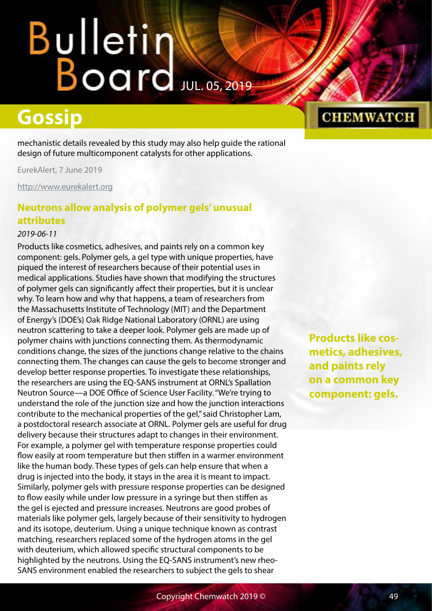### **Gossip**

mechanistic details revealed by this study may also help guide the rational design of future multicomponent catalysts for other applications.

EurekAlert, 7 June 2019

<http://www.eurekalert.org>

#### **Neutrons allow analysis of polymer gels' unusual attributes**

#### *2019-06-11*

Products like cosmetics, adhesives, and paints rely on a common key component: gels. Polymer gels, a gel type with unique properties, have piqued the interest of researchers because of their potential uses in medical applications. Studies have shown that modifying the structures of polymer gels can significantly affect their properties, but it is unclear why. To learn how and why that happens, a team of researchers from the Massachusetts Institute of Technology (MIT) and the Department of Energy's (DOE's) Oak Ridge National Laboratory (ORNL) are using neutron scattering to take a deeper look. Polymer gels are made up of polymer chains with junctions connecting them. As thermodynamic conditions change, the sizes of the junctions change relative to the chains connecting them. The changes can cause the gels to become stronger and develop better response properties. To investigate these relationships, the researchers are using the EQ-SANS instrument at ORNL's Spallation Neutron Source—a DOE Office of Science User Facility. "We're trying to understand the role of the junction size and how the junction interactions contribute to the mechanical properties of the gel," said Christopher Lam, a postdoctoral research associate at ORNL. Polymer gels are useful for drug delivery because their structures adapt to changes in their environment. For example, a polymer gel with temperature response properties could flow easily at room temperature but then stiffen in a warmer environment like the human body. These types of gels can help ensure that when a drug is injected into the body, it stays in the area it is meant to impact. Similarly, polymer gels with pressure response properties can be designed to flow easily while under low pressure in a syringe but then stiffen as the gel is ejected and pressure increases. Neutrons are good probes of materials like polymer gels, largely because of their sensitivity to hydrogen and its isotope, deuterium. Using a unique technique known as contrast matching, researchers replaced some of the hydrogen atoms in the gel with deuterium, which allowed specific structural components to be highlighted by the neutrons. Using the EQ-SANS instrument's new rheo-SANS environment enabled the researchers to subject the gels to shear

**Products like cosmetics, adhesives, and paints rely on a common key component: gels.**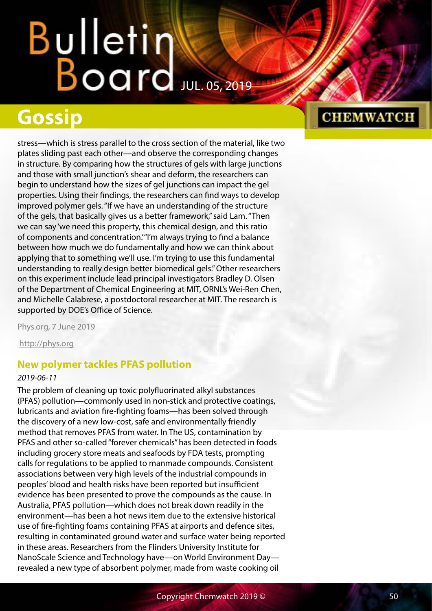### **Gossip**

stress—which is stress parallel to the cross section of the material, like two plates sliding past each other—and observe the corresponding changes in structure. By comparing how the structures of gels with large junctions and those with small junction's shear and deform, the researchers can begin to understand how the sizes of gel junctions can impact the gel properties. Using their findings, the researchers can find ways to develop improved polymer gels. "If we have an understanding of the structure of the gels, that basically gives us a better framework," said Lam. "Then we can say 'we need this property, this chemical design, and this ratio of components and concentration.' "I'm always trying to find a balance between how much we do fundamentally and how we can think about applying that to something we'll use. I'm trying to use this fundamental understanding to really design better biomedical gels." Other researchers on this experiment include lead principal investigators Bradley D. Olsen of the Department of Chemical Engineering at MIT, ORNL's Wei-Ren Chen, and Michelle Calabrese, a postdoctoral researcher at MIT. The research is supported by DOE's Office of Science.

Phys.org, 7 June 2019

<http://phys.org>

#### **New polymer tackles PFAS pollution**

#### *2019-06-11*

The problem of cleaning up toxic polyfluorinated alkyl substances (PFAS) pollution—commonly used in non-stick and protective coatings, lubricants and aviation fire-fighting foams—has been solved through the discovery of a new low-cost, safe and environmentally friendly method that removes PFAS from water. In The US, contamination by PFAS and other so-called "forever chemicals" has been detected in foods including grocery store meats and seafoods by FDA tests, prompting calls for regulations to be applied to manmade compounds. Consistent associations between very high levels of the industrial compounds in peoples' blood and health risks have been reported but insufficient evidence has been presented to prove the compounds as the cause. In Australia, PFAS pollution—which does not break down readily in the environment—has been a hot news item due to the extensive historical use of fire-fighting foams containing PFAS at airports and defence sites, resulting in contaminated ground water and surface water being reported in these areas. Researchers from the Flinders University Institute for NanoScale Science and Technology have—on World Environment Day revealed a new type of absorbent polymer, made from waste cooking oil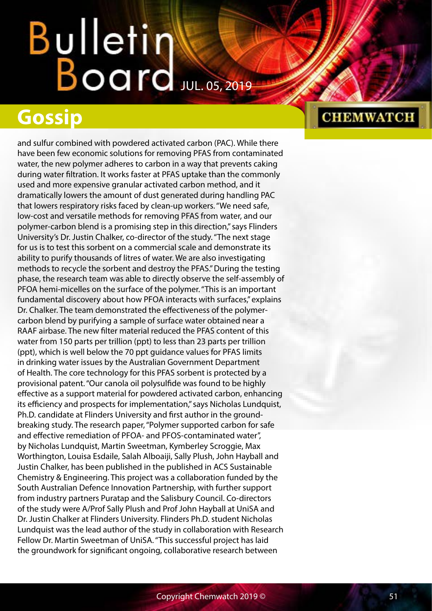### **Gossip**

and sulfur combined with powdered activated carbon (PAC). While there have been few economic solutions for removing PFAS from contaminated water, the new polymer adheres to carbon in a way that prevents caking during water filtration. It works faster at PFAS uptake than the commonly used and more expensive granular activated carbon method, and it dramatically lowers the amount of dust generated during handling PAC that lowers respiratory risks faced by clean-up workers. "We need safe, low-cost and versatile methods for removing PFAS from water, and our polymer-carbon blend is a promising step in this direction," says Flinders University's Dr. Justin Chalker, co-director of the study. "The next stage for us is to test this sorbent on a commercial scale and demonstrate its ability to purify thousands of litres of water. We are also investigating methods to recycle the sorbent and destroy the PFAS." During the testing phase, the research team was able to directly observe the self-assembly of PFOA hemi-micelles on the surface of the polymer. "This is an important fundamental discovery about how PFOA interacts with surfaces," explains Dr. Chalker. The team demonstrated the effectiveness of the polymercarbon blend by purifying a sample of surface water obtained near a RAAF airbase. The new filter material reduced the PFAS content of this water from 150 parts per trillion (ppt) to less than 23 parts per trillion (ppt), which is well below the 70 ppt guidance values for PFAS limits in drinking water issues by the Australian Government Department of Health. The core technology for this PFAS sorbent is protected by a provisional patent. "Our canola oil polysulfide was found to be highly effective as a support material for powdered activated carbon, enhancing its efficiency and prospects for implementation," says Nicholas Lundquist, Ph.D. candidate at Flinders University and first author in the groundbreaking study. The research paper, "Polymer supported carbon for safe and effective remediation of PFOA- and PFOS-contaminated water", by Nicholas Lundquist, Martin Sweetman, Kymberley Scroggie, Max Worthington, Louisa Esdaile, Salah Alboaiji, Sally Plush, John Hayball and Justin Chalker, has been published in the published in ACS Sustainable Chemistry & Engineering. This project was a collaboration funded by the South Australian Defence Innovation Partnership, with further support from industry partners Puratap and the Salisbury Council. Co-directors of the study were A/Prof Sally Plush and Prof John Hayball at UniSA and Dr. Justin Chalker at Flinders University. Flinders Ph.D. student Nicholas Lundquist was the lead author of the study in collaboration with Research Fellow Dr. Martin Sweetman of UniSA. "This successful project has laid the groundwork for significant ongoing, collaborative research between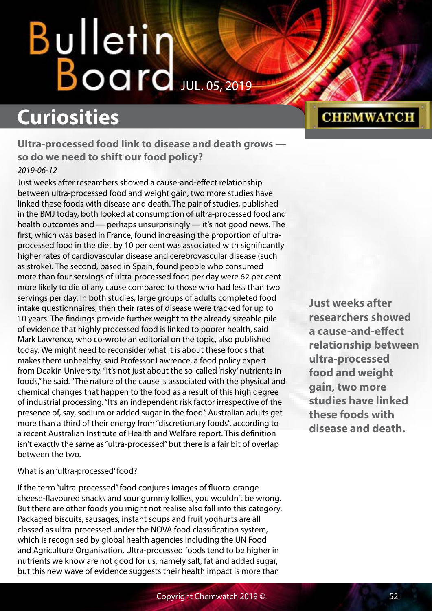## Bulletin Board JUL. 05, 2019

## **Curiosities**

**Ultra-processed food link to disease and death grows so do we need to shift our food policy?** *2019-06-12*

Just weeks after researchers showed a cause-and-effect relationship between ultra-processed food and weight gain, two more studies have linked these foods with disease and death. The pair of studies, published in the BMJ today, both looked at consumption of ultra-processed food and health outcomes and — perhaps unsurprisingly — it's not good news. The first, which was based in France, found increasing the proportion of ultraprocessed food in the diet by 10 per cent was associated with significantly higher rates of cardiovascular disease and cerebrovascular disease (such as stroke). The second, based in Spain, found people who consumed more than four servings of ultra-processed food per day were 62 per cent more likely to die of any cause compared to those who had less than two servings per day. In both studies, large groups of adults completed food intake questionnaires, then their rates of disease were tracked for up to 10 years. The findings provide further weight to the already sizeable pile of evidence that highly processed food is linked to poorer health, said Mark Lawrence, who co-wrote an editorial on the topic, also published today. We might need to reconsider what it is about these foods that makes them unhealthy, said Professor Lawrence, a food policy expert from Deakin University. "It's not just about the so-called 'risky' nutrients in foods," he said. "The nature of the cause is associated with the physical and chemical changes that happen to the food as a result of this high degree of industrial processing. "It's an independent risk factor irrespective of the presence of, say, sodium or added sugar in the food." Australian adults get more than a third of their energy from "discretionary foods", according to a recent Australian Institute of Health and Welfare report. This definition isn't exactly the same as "ultra-processed" but there is a fair bit of overlap between the two.

#### What is an 'ultra-processed' food?

If the term "ultra-processed" food conjures images of fluoro-orange cheese-flavoured snacks and sour gummy lollies, you wouldn't be wrong. But there are other foods you might not realise also fall into this category. Packaged biscuits, sausages, instant soups and fruit yoghurts are all classed as ultra-processed under the NOVA food classification system, which is recognised by global health agencies including the UN Food and Agriculture Organisation. Ultra-processed foods tend to be higher in nutrients we know are not good for us, namely salt, fat and added sugar, but this new wave of evidence suggests their health impact is more than

## **CHEMWATCH**

**Just weeks after researchers showed a cause-and-effect relationship between ultra-processed food and weight gain, two more studies have linked these foods with disease and death.**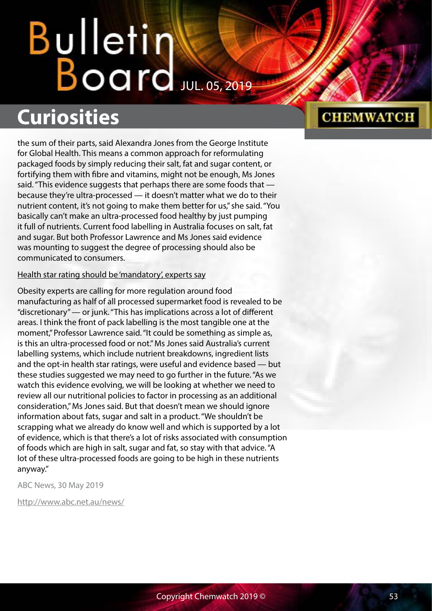### **Curiosities**

the sum of their parts, said Alexandra Jones from the George Institute for Global Health. This means a common approach for reformulating packaged foods by simply reducing their salt, fat and sugar content, or fortifying them with fibre and vitamins, might not be enough, Ms Jones said. "This evidence suggests that perhaps there are some foods that because they're ultra-processed — it doesn't matter what we do to their nutrient content, it's not going to make them better for us," she said. "You basically can't make an ultra-processed food healthy by just pumping it full of nutrients. Current food labelling in Australia focuses on salt, fat and sugar. But both Professor Lawrence and Ms Jones said evidence was mounting to suggest the degree of processing should also be communicated to consumers.

#### Health star rating should be 'mandatory', experts say

Obesity experts are calling for more regulation around food manufacturing as half of all processed supermarket food is revealed to be "discretionary" — or junk. "This has implications across a lot of different areas. I think the front of pack labelling is the most tangible one at the moment," Professor Lawrence said. "It could be something as simple as, is this an ultra-processed food or not." Ms Jones said Australia's current labelling systems, which include nutrient breakdowns, ingredient lists and the opt-in health star ratings, were useful and evidence based — but these studies suggested we may need to go further in the future. "As we watch this evidence evolving, we will be looking at whether we need to review all our nutritional policies to factor in processing as an additional consideration," Ms Jones said. But that doesn't mean we should ignore information about fats, sugar and salt in a product. "We shouldn't be scrapping what we already do know well and which is supported by a lot of evidence, which is that there's a lot of risks associated with consumption of foods which are high in salt, sugar and fat, so stay with that advice. "A lot of these ultra-processed foods are going to be high in these nutrients anyway."

ABC News, 30 May 2019

<http://www.abc.net.au/news/>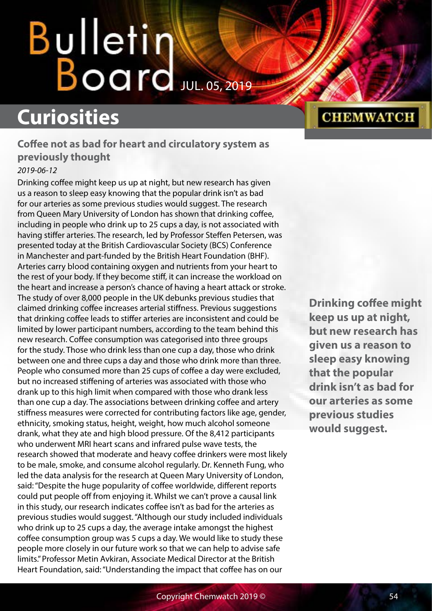## Bulletin  $B$ oard Jul. 05, 2019

### **Curiosities**

#### **Coffee not as bad for heart and circulatory system as previously thought** *2019-06-12*

Drinking coffee might keep us up at night, but new research has given us a reason to sleep easy knowing that the popular drink isn't as bad for our arteries as some previous studies would suggest. The research from Queen Mary University of London has shown that drinking coffee, including in people who drink up to 25 cups a day, is not associated with having stiffer arteries. The research, led by Professor Steffen Petersen, was presented today at the British Cardiovascular Society (BCS) Conference in Manchester and part-funded by the British Heart Foundation (BHF). Arteries carry blood containing oxygen and nutrients from your heart to the rest of your body. If they become stiff, it can increase the workload on the heart and increase a person's chance of having a heart attack or stroke. The study of over 8,000 people in the UK debunks previous studies that claimed drinking coffee increases arterial stiffness. Previous suggestions that drinking coffee leads to stiffer arteries are inconsistent and could be limited by lower participant numbers, according to the team behind this new research. Coffee consumption was categorised into three groups for the study. Those who drink less than one cup a day, those who drink between one and three cups a day and those who drink more than three. People who consumed more than 25 cups of coffee a day were excluded, but no increased stiffening of arteries was associated with those who drank up to this high limit when compared with those who drank less than one cup a day. The associations between drinking coffee and artery stiffness measures were corrected for contributing factors like age, gender, ethnicity, smoking status, height, weight, how much alcohol someone drank, what they ate and high blood pressure. Of the 8,412 participants who underwent MRI heart scans and infrared pulse wave tests, the research showed that moderate and heavy coffee drinkers were most likely to be male, smoke, and consume alcohol regularly. Dr. Kenneth Fung, who led the data analysis for the research at Queen Mary University of London, said: "Despite the huge popularity of coffee worldwide, different reports could put people off from enjoying it. Whilst we can't prove a causal link in this study, our research indicates coffee isn't as bad for the arteries as previous studies would suggest. "Although our study included individuals who drink up to 25 cups a day, the average intake amongst the highest coffee consumption group was 5 cups a day. We would like to study these people more closely in our future work so that we can help to advise safe limits." Professor Metin Avkiran, Associate Medical Director at the British Heart Foundation, said: "Understanding the impact that coffee has on our

#### **CHEMWATCH**

**Drinking coffee might keep us up at night, but new research has given us a reason to sleep easy knowing that the popular drink isn't as bad for our arteries as some previous studies would suggest.**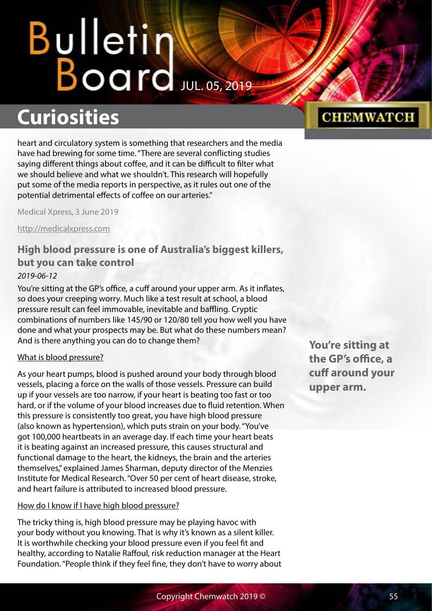## **Curiosities**

heart and circulatory system is something that researchers and the media have had brewing for some time. "There are several conflicting studies saying different things about coffee, and it can be difficult to filter what we should believe and what we shouldn't. This research will hopefully put some of the media reports in perspective, as it rules out one of the potential detrimental effects of coffee on our arteries."

Medical Xpress, 3 June 2019

<http://medicalxpress.com>

#### **High blood pressure is one of Australia's biggest killers, but you can take control** *2019-06-12*

You're sitting at the GP's office, a cuff around your upper arm. As it inflates, so does your creeping worry. Much like a test result at school, a blood pressure result can feel immovable, inevitable and baffling. Cryptic combinations of numbers like 145/90 or 120/80 tell you how well you have done and what your prospects may be. But what do these numbers mean? And is there anything you can do to change them?

#### What is blood pressure?

As your heart pumps, blood is pushed around your body through blood vessels, placing a force on the walls of those vessels. Pressure can build up if your vessels are too narrow, if your heart is beating too fast or too hard, or if the volume of your blood increases due to fluid retention. When this pressure is consistently too great, you have high blood pressure (also known as hypertension), which puts strain on your body. "You've got 100,000 heartbeats in an average day. If each time your heart beats it is beating against an increased pressure, this causes structural and functional damage to the heart, the kidneys, the brain and the arteries themselves," explained James Sharman, deputy director of the Menzies Institute for Medical Research. "Over 50 per cent of heart disease, stroke, and heart failure is attributed to increased blood pressure.

#### How do I know if I have high blood pressure?

The tricky thing is, high blood pressure may be playing havoc with your body without you knowing. That is why it's known as a silent killer. It is worthwhile checking your blood pressure even if you feel fit and healthy, according to Natalie Raffoul, risk reduction manager at the Heart Foundation. "People think if they feel fine, they don't have to worry about **You're sitting at the GP's office, a cuff around your upper arm.**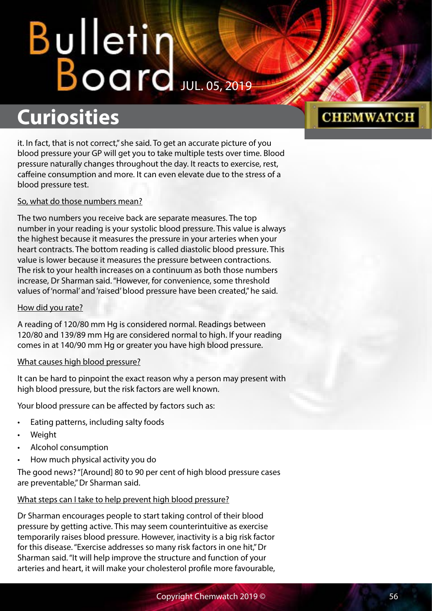### **Curiosities**

it. In fact, that is not correct," she said. To get an accurate picture of you blood pressure your GP will get you to take multiple tests over time. Blood pressure naturally changes throughout the day. It reacts to exercise, rest, caffeine consumption and more. It can even elevate due to the stress of a blood pressure test.

#### So, what do those numbers mean?

The two numbers you receive back are separate measures. The top number in your reading is your systolic blood pressure. This value is always the highest because it measures the pressure in your arteries when your heart contracts. The bottom reading is called diastolic blood pressure. This value is lower because it measures the pressure between contractions. The risk to your health increases on a continuum as both those numbers increase, Dr Sharman said. "However, for convenience, some threshold values of 'normal' and 'raised' blood pressure have been created," he said.

#### How did you rate?

A reading of 120/80 mm Hg is considered normal. Readings between 120/80 and 139/89 mm Hg are considered normal to high. If your reading comes in at 140/90 mm Hg or greater you have high blood pressure.

#### What causes high blood pressure?

It can be hard to pinpoint the exact reason why a person may present with high blood pressure, but the risk factors are well known.

Your blood pressure can be affected by factors such as:

- Eating patterns, including salty foods
- **Weight**
- Alcohol consumption
- How much physical activity you do

The good news? "[Around] 80 to 90 per cent of high blood pressure cases are preventable," Dr Sharman said.

#### What steps can I take to help prevent high blood pressure?

Dr Sharman encourages people to start taking control of their blood pressure by getting active. This may seem counterintuitive as exercise temporarily raises blood pressure. However, inactivity is a big risk factor for this disease. "Exercise addresses so many risk factors in one hit," Dr Sharman said. "It will help improve the structure and function of your arteries and heart, it will make your cholesterol profile more favourable,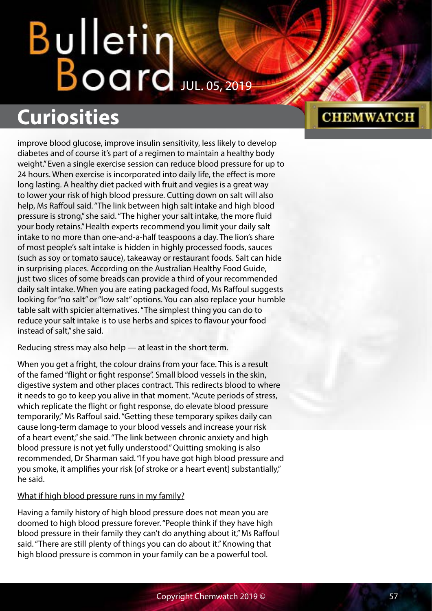## Bulletin Water

## **Curiosities**

improve blood glucose, improve insulin sensitivity, less likely to develop diabetes and of course it's part of a regimen to maintain a healthy body weight." Even a single exercise session can reduce blood pressure for up to 24 hours. When exercise is incorporated into daily life, the effect is more long lasting. A healthy diet packed with fruit and vegies is a great way to lower your risk of high blood pressure. Cutting down on salt will also help, Ms Raffoul said. "The link between high salt intake and high blood pressure is strong," she said. "The higher your salt intake, the more fluid your body retains." Health experts recommend you limit your daily salt intake to no more than one-and-a-half teaspoons a day. The lion's share of most people's salt intake is hidden in highly processed foods, sauces (such as soy or tomato sauce), takeaway or restaurant foods. Salt can hide in surprising places. According on the Australian Healthy Food Guide, just two slices of some breads can provide a third of your recommended daily salt intake. When you are eating packaged food, Ms Raffoul suggests looking for "no salt" or "low salt" options. You can also replace your humble table salt with spicier alternatives. "The simplest thing you can do to reduce your salt intake is to use herbs and spices to flavour your food instead of salt," she said.

Reducing stress may also help — at least in the short term.

When you get a fright, the colour drains from your face. This is a result of the famed "flight or fight response". Small blood vessels in the skin, digestive system and other places contract. This redirects blood to where it needs to go to keep you alive in that moment. "Acute periods of stress, which replicate the flight or fight response, do elevate blood pressure temporarily," Ms Raffoul said. "Getting these temporary spikes daily can cause long-term damage to your blood vessels and increase your risk of a heart event," she said. "The link between chronic anxiety and high blood pressure is not yet fully understood." Quitting smoking is also recommended, Dr Sharman said. "If you have got high blood pressure and you smoke, it amplifies your risk [of stroke or a heart event] substantially," he said.

#### What if high blood pressure runs in my family?

Having a family history of high blood pressure does not mean you are doomed to high blood pressure forever. "People think if they have high blood pressure in their family they can't do anything about it," Ms Raffoul said. "There are still plenty of things you can do about it." Knowing that high blood pressure is common in your family can be a powerful tool.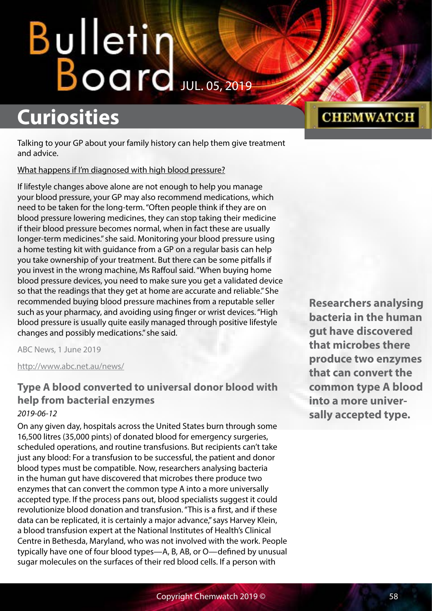## Bulletin Water

### **Curiosities**

Talking to your GP about your family history can help them give treatment and advice.

What happens if I'm diagnosed with high blood pressure?

If lifestyle changes above alone are not enough to help you manage your blood pressure, your GP may also recommend medications, which need to be taken for the long-term. "Often people think if they are on blood pressure lowering medicines, they can stop taking their medicine if their blood pressure becomes normal, when in fact these are usually longer-term medicines." she said. Monitoring your blood pressure using a home testing kit with guidance from a GP on a regular basis can help you take ownership of your treatment. But there can be some pitfalls if you invest in the wrong machine, Ms Raffoul said. "When buying home blood pressure devices, you need to make sure you get a validated device so that the readings that they get at home are accurate and reliable." She recommended buying blood pressure machines from a reputable seller such as your pharmacy, and avoiding using finger or wrist devices. "High blood pressure is usually quite easily managed through positive lifestyle changes and possibly medications." she said.

ABC News, 1 June 2019

<http://www.abc.net.au/news/>

#### **Type A blood converted to universal donor blood with help from bacterial enzymes**

#### *2019-06-12*

On any given day, hospitals across the United States burn through some 16,500 litres (35,000 pints) of donated blood for emergency surgeries, scheduled operations, and routine transfusions. But recipients can't take just any blood: For a transfusion to be successful, the patient and donor blood types must be compatible. Now, researchers analysing bacteria in the human gut have discovered that microbes there produce two enzymes that can convert the common type A into a more universally accepted type. If the process pans out, blood specialists suggest it could revolutionize blood donation and transfusion. "This is a first, and if these data can be replicated, it is certainly a major advance," says Harvey Klein, a blood transfusion expert at the National Institutes of Health's Clinical Centre in Bethesda, Maryland, who was not involved with the work. People typically have one of four blood types—A, B, AB, or O—defined by unusual sugar molecules on the surfaces of their red blood cells. If a person with

**Researchers analysing bacteria in the human gut have discovered that microbes there produce two enzymes that can convert the common type A blood into a more universally accepted type.**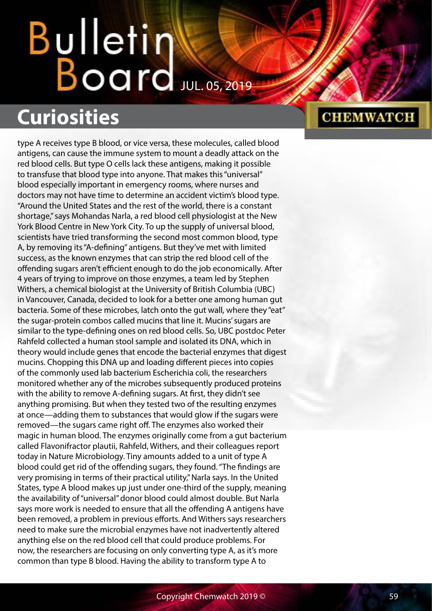## **Curiosities**

type A receives type B blood, or vice versa, these molecules, called blood antigens, can cause the immune system to mount a deadly attack on the red blood cells. But type O cells lack these antigens, making it possible to transfuse that blood type into anyone. That makes this "universal" blood especially important in emergency rooms, where nurses and doctors may not have time to determine an accident victim's blood type. "Around the United States and the rest of the world, there is a constant shortage," says Mohandas Narla, a red blood cell physiologist at the New York Blood Centre in New York City. To up the supply of universal blood, scientists have tried transforming the second most common blood, type A, by removing its "A-defining" antigens. But they've met with limited success, as the known enzymes that can strip the red blood cell of the offending sugars aren't efficient enough to do the job economically. After 4 years of trying to improve on those enzymes, a team led by Stephen Withers, a chemical biologist at the University of British Columbia (UBC) in Vancouver, Canada, decided to look for a better one among human gut bacteria. Some of these microbes, latch onto the gut wall, where they "eat" the sugar-protein combos called mucins that line it. Mucins' sugars are similar to the type-defining ones on red blood cells. So, UBC postdoc Peter Rahfeld collected a human stool sample and isolated its DNA, which in theory would include genes that encode the bacterial enzymes that digest mucins. Chopping this DNA up and loading different pieces into copies of the commonly used lab bacterium Escherichia coli, the researchers monitored whether any of the microbes subsequently produced proteins with the ability to remove A-defining sugars. At first, they didn't see anything promising. But when they tested two of the resulting enzymes at once—adding them to substances that would glow if the sugars were removed—the sugars came right off. The enzymes also worked their magic in human blood. The enzymes originally come from a gut bacterium called Flavonifractor plautii, Rahfeld, Withers, and their colleagues report today in Nature Microbiology. Tiny amounts added to a unit of type A blood could get rid of the offending sugars, they found. "The findings are very promising in terms of their practical utility," Narla says. In the United States, type A blood makes up just under one-third of the supply, meaning the availability of "universal" donor blood could almost double. But Narla says more work is needed to ensure that all the offending A antigens have been removed, a problem in previous efforts. And Withers says researchers need to make sure the microbial enzymes have not inadvertently altered anything else on the red blood cell that could produce problems. For now, the researchers are focusing on only converting type A, as it's more common than type B blood. Having the ability to transform type A to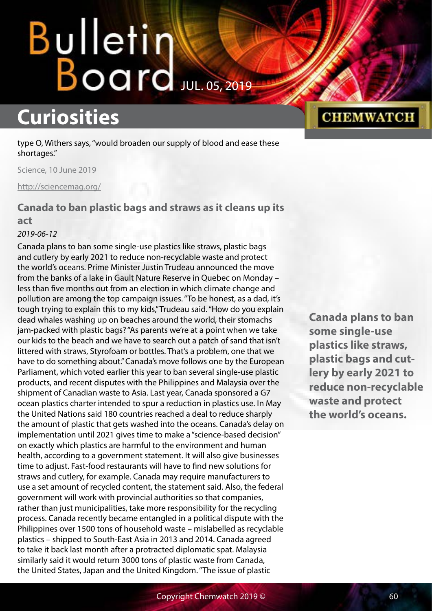### **Curiosities**

type O, Withers says, "would broaden our supply of blood and ease these shortages."

Science, 10 June 2019

<http://sciencemag.org/>

#### **Canada to ban plastic bags and straws as it cleans up its act**

#### *2019-06-12*

Canada plans to ban some single-use plastics like straws, plastic bags and cutlery by early 2021 to reduce non-recyclable waste and protect the world's oceans. Prime Minister Justin Trudeau announced the move from the banks of a lake in Gault Nature Reserve in Quebec on Monday – less than five months out from an election in which climate change and pollution are among the top campaign issues. "To be honest, as a dad, it's tough trying to explain this to my kids," Trudeau said. "How do you explain dead whales washing up on beaches around the world, their stomachs jam-packed with plastic bags? "As parents we're at a point when we take our kids to the beach and we have to search out a patch of sand that isn't littered with straws, Styrofoam or bottles. That's a problem, one that we have to do something about." Canada's move follows one by the European Parliament, which voted earlier this year to ban several single-use plastic products, and recent disputes with the Philippines and Malaysia over the shipment of Canadian waste to Asia. Last year, Canada sponsored a G7 ocean plastics charter intended to spur a reduction in plastics use. In May the United Nations said 180 countries reached a deal to reduce sharply the amount of plastic that gets washed into the oceans. Canada's delay on implementation until 2021 gives time to make a "science-based decision" on exactly which plastics are harmful to the environment and human health, according to a government statement. It will also give businesses time to adjust. Fast-food restaurants will have to find new solutions for straws and cutlery, for example. Canada may require manufacturers to use a set amount of recycled content, the statement said. Also, the federal government will work with provincial authorities so that companies, rather than just municipalities, take more responsibility for the recycling process. Canada recently became entangled in a political dispute with the Philippines over 1500 tons of household waste – mislabelled as recyclable plastics – shipped to South-East Asia in 2013 and 2014. Canada agreed to take it back last month after a protracted diplomatic spat. Malaysia similarly said it would return 3000 tons of plastic waste from Canada, the United States, Japan and the United Kingdom. "The issue of plastic

#### **Canada plans to ban some single-use plastics like straws, plastic bags and cutlery by early 2021 to reduce non-recyclable waste and protect the world's oceans.**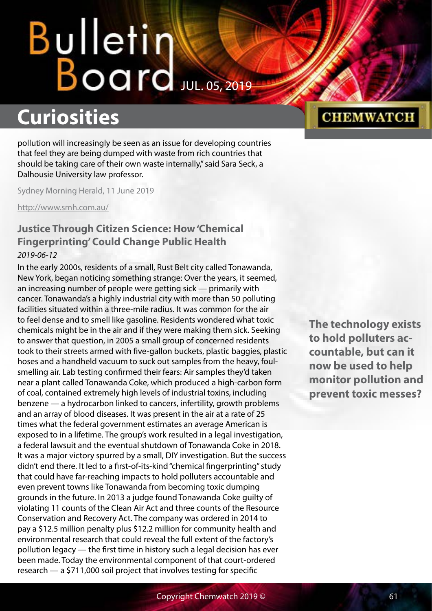## Bulletin Water

### **Curiosities**

pollution will increasingly be seen as an issue for developing countries that feel they are being dumped with waste from rich countries that should be taking care of their own waste internally," said Sara Seck, a Dalhousie University law professor.

Sydney Morning Herald, 11 June 2019

<http://www.smh.com.au/>

#### **Justice Through Citizen Science: How 'Chemical Fingerprinting' Could Change Public Health** *2019-06-12*

In the early 2000s, residents of a small, Rust Belt city called Tonawanda, New York, began noticing something strange: Over the years, it seemed, an increasing number of people were getting sick — primarily with cancer. Tonawanda's a highly industrial city with more than 50 polluting facilities situated within a three-mile radius. It was common for the air to feel dense and to smell like gasoline. Residents wondered what toxic chemicals might be in the air and if they were making them sick. Seeking to answer that question, in 2005 a small group of concerned residents took to their streets armed with five-gallon buckets, plastic baggies, plastic hoses and a handheld vacuum to suck out samples from the heavy, foulsmelling air. Lab testing confirmed their fears: Air samples they'd taken near a plant called Tonawanda Coke, which produced a high-carbon form of coal, contained extremely high levels of industrial toxins, including benzene — a hydrocarbon linked to cancers, infertility, growth problems and an array of blood diseases. It was present in the air at a rate of 25 times what the federal government estimates an average American is exposed to in a lifetime. The group's work resulted in a legal investigation, a federal lawsuit and the eventual shutdown of Tonawanda Coke in 2018. It was a major victory spurred by a small, DIY investigation. But the success didn't end there. It led to a first-of-its-kind "chemical fingerprinting" study that could have far-reaching impacts to hold polluters accountable and even prevent towns like Tonawanda from becoming toxic dumping grounds in the future. In 2013 a judge found Tonawanda Coke guilty of violating 11 counts of the Clean Air Act and three counts of the Resource Conservation and Recovery Act. The company was ordered in 2014 to pay a \$12.5 million penalty plus \$12.2 million for community health and environmental research that could reveal the full extent of the factory's pollution legacy — the first time in history such a legal decision has ever been made. Today the environmental component of that court-ordered research — a \$711,000 soil project that involves testing for specific

#### **CHEMWATCH**

**The technology exists to hold polluters accountable, but can it now be used to help monitor pollution and prevent toxic messes?**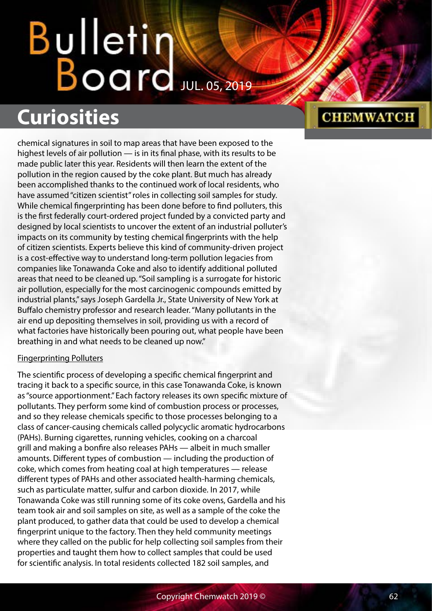# Bulletin<br>Board

## **Curiosities**

chemical signatures in soil to map areas that have been exposed to the highest levels of air pollution — is in its final phase, with its results to be made public later this year. Residents will then learn the extent of the pollution in the region caused by the coke plant. But much has already been accomplished thanks to the continued work of local residents, who have assumed "citizen scientist" roles in collecting soil samples for study. While chemical fingerprinting has been done before to find polluters, this is the first federally court-ordered project funded by a convicted party and designed by local scientists to uncover the extent of an industrial polluter's impacts on its community by testing chemical fingerprints with the help of citizen scientists. Experts believe this kind of community-driven project is a cost-effective way to understand long-term pollution legacies from companies like Tonawanda Coke and also to identify additional polluted areas that need to be cleaned up. "Soil sampling is a surrogate for historic air pollution, especially for the most carcinogenic compounds emitted by industrial plants," says Joseph Gardella Jr., State University of New York at Buffalo chemistry professor and research leader. "Many pollutants in the air end up depositing themselves in soil, providing us with a record of what factories have historically been pouring out, what people have been breathing in and what needs to be cleaned up now."

#### Fingerprinting Polluters

The scientific process of developing a specific chemical fingerprint and tracing it back to a specific source, in this case Tonawanda Coke, is known as "source apportionment." Each factory releases its own specific mixture of pollutants. They perform some kind of combustion process or processes, and so they release chemicals specific to those processes belonging to a class of cancer-causing chemicals called polycyclic aromatic hydrocarbons (PAHs). Burning cigarettes, running vehicles, cooking on a charcoal grill and making a bonfire also releases PAHs — albeit in much smaller amounts. Different types of combustion — including the production of coke, which comes from heating coal at high temperatures — release different types of PAHs and other associated health-harming chemicals, such as particulate matter, sulfur and carbon dioxide. In 2017, while Tonawanda Coke was still running some of its coke ovens, Gardella and his team took air and soil samples on site, as well as a sample of the coke the plant produced, to gather data that could be used to develop a chemical fingerprint unique to the factory. Then they held community meetings where they called on the public for help collecting soil samples from their properties and taught them how to collect samples that could be used for scientific analysis. In total residents collected 182 soil samples, and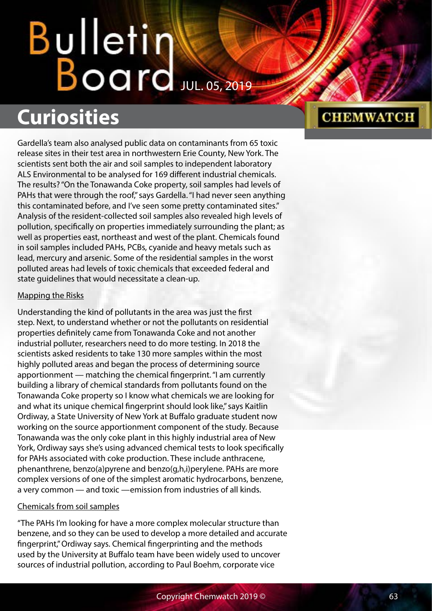## **Curiosities**

Gardella's team also analysed public data on contaminants from 65 toxic release sites in their test area in northwestern Erie County, New York. The scientists sent both the air and soil samples to independent laboratory ALS Environmental to be analysed for 169 different industrial chemicals. The results? "On the Tonawanda Coke property, soil samples had levels of PAHs that were through the roof," says Gardella. "I had never seen anything this contaminated before, and I've seen some pretty contaminated sites." Analysis of the resident-collected soil samples also revealed high levels of pollution, specifically on properties immediately surrounding the plant; as well as properties east, northeast and west of the plant. Chemicals found in soil samples included PAHs, PCBs, cyanide and heavy metals such as lead, mercury and arsenic. Some of the residential samples in the worst polluted areas had levels of toxic chemicals that exceeded federal and state guidelines that would necessitate a clean-up.

#### Mapping the Risks

Understanding the kind of pollutants in the area was just the first step. Next, to understand whether or not the pollutants on residential properties definitely came from Tonawanda Coke and not another industrial polluter, researchers need to do more testing. In 2018 the scientists asked residents to take 130 more samples within the most highly polluted areas and began the process of determining source apportionment — matching the chemical fingerprint. "I am currently building a library of chemical standards from pollutants found on the Tonawanda Coke property so I know what chemicals we are looking for and what its unique chemical fingerprint should look like," says Kaitlin Ordiway, a State University of New York at Buffalo graduate student now working on the source apportionment component of the study. Because Tonawanda was the only coke plant in this highly industrial area of New York, Ordiway says she's using advanced chemical tests to look specifically for PAHs associated with coke production. These include anthracene, phenanthrene, benzo(a)pyrene and benzo(g,h,i)perylene. PAHs are more complex versions of one of the simplest aromatic hydrocarbons, benzene, a very common — and toxic —emission from industries of all kinds.

#### Chemicals from soil samples

"The PAHs I'm looking for have a more complex molecular structure than benzene, and so they can be used to develop a more detailed and accurate fingerprint," Ordiway says. Chemical fingerprinting and the methods used by the University at Buffalo team have been widely used to uncover sources of industrial pollution, according to Paul Boehm, corporate vice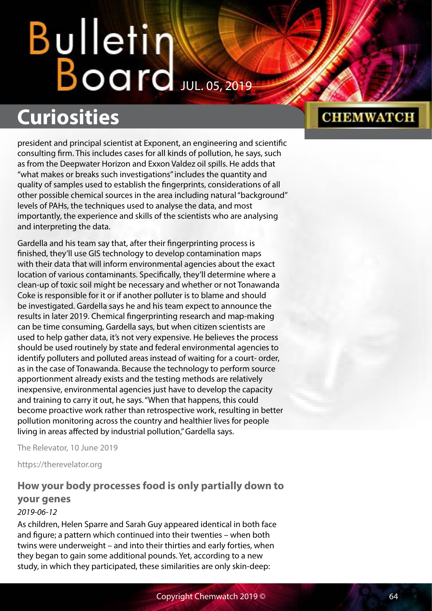### **Curiosities**

president and principal scientist at Exponent, an engineering and scientific consulting firm. This includes cases for all kinds of pollution, he says, such as from the Deepwater Horizon and Exxon Valdez oil spills. He adds that "what makes or breaks such investigations" includes the quantity and quality of samples used to establish the fingerprints, considerations of all other possible chemical sources in the area including natural "background" levels of PAHs, the techniques used to analyse the data, and most importantly, the experience and skills of the scientists who are analysing and interpreting the data.

Gardella and his team say that, after their fingerprinting process is finished, they'll use GIS technology to develop contamination maps with their data that will inform environmental agencies about the exact location of various contaminants. Specifically, they'll determine where a clean-up of toxic soil might be necessary and whether or not Tonawanda Coke is responsible for it or if another polluter is to blame and should be investigated. Gardella says he and his team expect to announce the results in later 2019. Chemical fingerprinting research and map-making can be time consuming, Gardella says, but when citizen scientists are used to help gather data, it's not very expensive. He believes the process should be used routinely by state and federal environmental agencies to identify polluters and polluted areas instead of waiting for a court- order, as in the case of Tonawanda. Because the technology to perform source apportionment already exists and the testing methods are relatively inexpensive, environmental agencies just have to develop the capacity and training to carry it out, he says. "When that happens, this could become proactive work rather than retrospective work, resulting in better pollution monitoring across the country and healthier lives for people living in areas affected by industrial pollution," Gardella says.

The Relevator, 10 June 2019

https://therevelator.org

#### **How your body processes food is only partially down to your genes**

#### *2019-06-12*

As children, Helen Sparre and Sarah Guy appeared identical in both face and figure; a pattern which continued into their twenties – when both twins were underweight – and into their thirties and early forties, when they began to gain some additional pounds. Yet, according to a new study, in which they participated, these similarities are only skin-deep: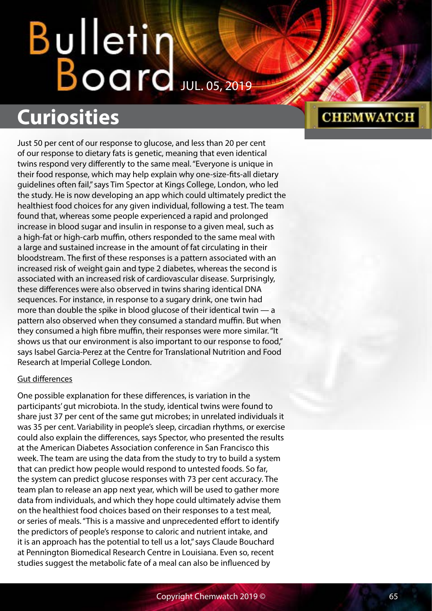# Bulletin<br>Board

### **Curiosities**

Just 50 per cent of our response to glucose, and less than 20 per cent of our response to dietary fats is genetic, meaning that even identical twins respond very differently to the same meal. "Everyone is unique in their food response, which may help explain why one-size-fits-all dietary guidelines often fail," says Tim Spector at Kings College, London, who led the study. He is now developing an app which could ultimately predict the healthiest food choices for any given individual, following a test. The team found that, whereas some people experienced a rapid and prolonged increase in blood sugar and insulin in response to a given meal, such as a high-fat or high-carb muffin, others responded to the same meal with a large and sustained increase in the amount of fat circulating in their bloodstream. The first of these responses is a pattern associated with an increased risk of weight gain and type 2 diabetes, whereas the second is associated with an increased risk of cardiovascular disease. Surprisingly, these differences were also observed in twins sharing identical DNA sequences. For instance, in response to a sugary drink, one twin had more than double the spike in blood glucose of their identical twin — a pattern also observed when they consumed a standard muffin. But when they consumed a high fibre muffin, their responses were more similar. "It shows us that our environment is also important to our response to food," says Isabel Garcia-Perez at the Centre for Translational Nutrition and Food Research at Imperial College London.

#### Gut differences

One possible explanation for these differences, is variation in the participants' gut microbiota. In the study, identical twins were found to share just 37 per cent of the same gut microbes; in unrelated individuals it was 35 per cent. Variability in people's sleep, circadian rhythms, or exercise could also explain the differences, says Spector, who presented the results at the American Diabetes Association conference in San Francisco this week. The team are using the data from the study to try to build a system that can predict how people would respond to untested foods. So far, the system can predict glucose responses with 73 per cent accuracy. The team plan to release an app next year, which will be used to gather more data from individuals, and which they hope could ultimately advise them on the healthiest food choices based on their responses to a test meal, or series of meals. "This is a massive and unprecedented effort to identify the predictors of people's response to caloric and nutrient intake, and it is an approach has the potential to tell us a lot," says Claude Bouchard at Pennington Biomedical Research Centre in Louisiana. Even so, recent studies suggest the metabolic fate of a meal can also be influenced by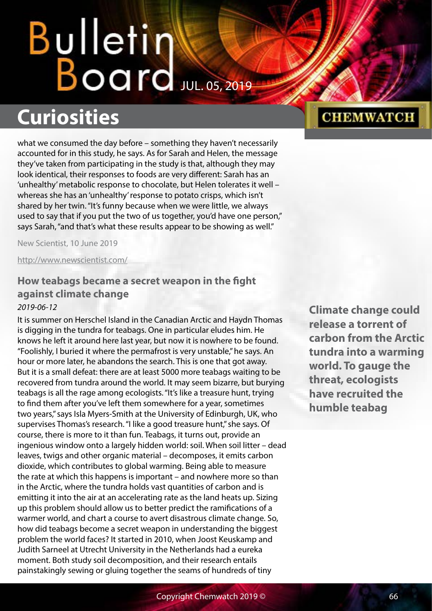### **Curiosities**

what we consumed the day before – something they haven't necessarily accounted for in this study, he says. As for Sarah and Helen, the message they've taken from participating in the study is that, although they may look identical, their responses to foods are very different: Sarah has an 'unhealthy' metabolic response to chocolate, but Helen tolerates it well – whereas she has an 'unhealthy' response to potato crisps, which isn't shared by her twin. "It's funny because when we were little, we always used to say that if you put the two of us together, you'd have one person," says Sarah, "and that's what these results appear to be showing as well."

New Scientist, 10 June 2019

<http://www.newscientist.com/>

#### **How teabags became a secret weapon in the fight against climate change**

#### *2019-06-12*

It is summer on Herschel Island in the Canadian Arctic and Haydn Thomas is digging in the tundra for teabags. One in particular eludes him. He knows he left it around here last year, but now it is nowhere to be found. "Foolishly, I buried it where the permafrost is very unstable," he says. An hour or more later, he abandons the search. This is one that got away. But it is a small defeat: there are at least 5000 more teabags waiting to be recovered from tundra around the world. It may seem bizarre, but burying teabags is all the rage among ecologists. "It's like a treasure hunt, trying to find them after you've left them somewhere for a year, sometimes two years," says Isla Myers-Smith at the University of Edinburgh, UK, who supervises Thomas's research. "I like a good treasure hunt," she says. Of course, there is more to it than fun. Teabags, it turns out, provide an ingenious window onto a largely hidden world: soil. When soil litter – dead leaves, twigs and other organic material – decomposes, it emits carbon dioxide, which contributes to global warming. Being able to measure the rate at which this happens is important – and nowhere more so than in the Arctic, where the tundra holds vast quantities of carbon and is emitting it into the air at an accelerating rate as the land heats up. Sizing up this problem should allow us to better predict the ramifications of a warmer world, and chart a course to avert disastrous climate change. So, how did teabags become a secret weapon in understanding the biggest problem the world faces? It started in 2010, when Joost Keuskamp and Judith Sarneel at Utrecht University in the Netherlands had a eureka moment. Both study soil decomposition, and their research entails painstakingly sewing or gluing together the seams of hundreds of tiny

**Climate change could release a torrent of carbon from the Arctic tundra into a warming world. To gauge the threat, ecologists have recruited the humble teabag**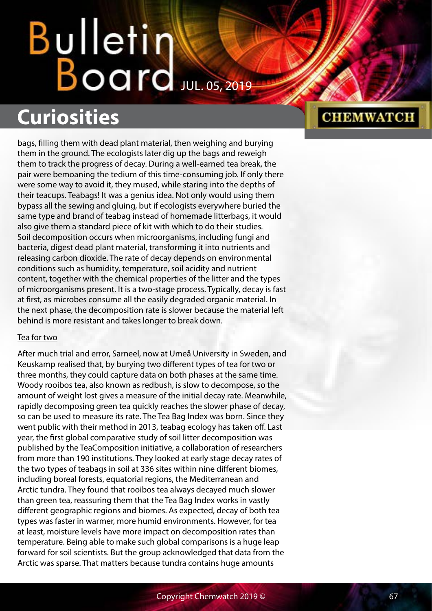### **Curiosities**

bags, filling them with dead plant material, then weighing and burying them in the ground. The ecologists later dig up the bags and reweigh them to track the progress of decay. During a well-earned tea break, the pair were bemoaning the tedium of this time-consuming job. If only there were some way to avoid it, they mused, while staring into the depths of their teacups. Teabags! It was a genius idea. Not only would using them bypass all the sewing and gluing, but if ecologists everywhere buried the same type and brand of teabag instead of homemade litterbags, it would also give them a standard piece of kit with which to do their studies. Soil decomposition occurs when microorganisms, including fungi and bacteria, digest dead plant material, transforming it into nutrients and releasing carbon dioxide. The rate of decay depends on environmental conditions such as humidity, temperature, soil acidity and nutrient content, together with the chemical properties of the litter and the types of microorganisms present. It is a two-stage process. Typically, decay is fast at first, as microbes consume all the easily degraded organic material. In the next phase, the decomposition rate is slower because the material left behind is more resistant and takes longer to break down.

#### Tea for two

After much trial and error, Sarneel, now at Umeå University in Sweden, and Keuskamp realised that, by burying two different types of tea for two or three months, they could capture data on both phases at the same time. Woody rooibos tea, also known as redbush, is slow to decompose, so the amount of weight lost gives a measure of the initial decay rate. Meanwhile, rapidly decomposing green tea quickly reaches the slower phase of decay, so can be used to measure its rate. The Tea Bag Index was born. Since they went public with their method in 2013, teabag ecology has taken off. Last year, the first global comparative study of soil litter decomposition was published by the TeaComposition initiative, a collaboration of researchers from more than 190 institutions. They looked at early stage decay rates of the two types of teabags in soil at 336 sites within nine different biomes, including boreal forests, equatorial regions, the Mediterranean and Arctic tundra. They found that rooibos tea always decayed much slower than green tea, reassuring them that the Tea Bag Index works in vastly different geographic regions and biomes. As expected, decay of both tea types was faster in warmer, more humid environments. However, for tea at least, moisture levels have more impact on decomposition rates than temperature. Being able to make such global comparisons is a huge leap forward for soil scientists. But the group acknowledged that data from the Arctic was sparse. That matters because tundra contains huge amounts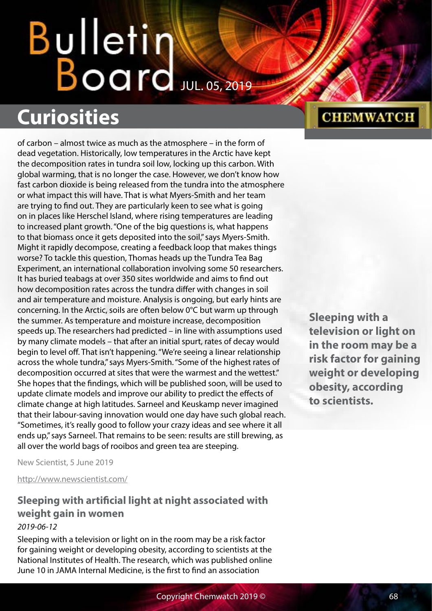# Bulletin<br>Board

## **Curiosities**

of carbon – almost twice as much as the atmosphere – in the form of dead vegetation. Historically, low temperatures in the Arctic have kept the decomposition rates in tundra soil low, locking up this carbon. With global warming, that is no longer the case. However, we don't know how fast carbon dioxide is being released from the tundra into the atmosphere or what impact this will have. That is what Myers-Smith and her team are trying to find out. They are particularly keen to see what is going on in places like Herschel Island, where rising temperatures are leading to increased plant growth. "One of the big questions is, what happens to that biomass once it gets deposited into the soil," says Myers-Smith. Might it rapidly decompose, creating a feedback loop that makes things worse? To tackle this question, Thomas heads up the Tundra Tea Bag Experiment, an international collaboration involving some 50 researchers. It has buried teabags at over 350 sites worldwide and aims to find out how decomposition rates across the tundra differ with changes in soil and air temperature and moisture. Analysis is ongoing, but early hints are concerning. In the Arctic, soils are often below 0°C but warm up through the summer. As temperature and moisture increase, decomposition speeds up. The researchers had predicted – in line with assumptions used by many climate models – that after an initial spurt, rates of decay would begin to level off. That isn't happening. "We're seeing a linear relationship across the whole tundra," says Myers-Smith. "Some of the highest rates of decomposition occurred at sites that were the warmest and the wettest." She hopes that the findings, which will be published soon, will be used to update climate models and improve our ability to predict the effects of climate change at high latitudes. Sarneel and Keuskamp never imagined that their labour-saving innovation would one day have such global reach. "Sometimes, it's really good to follow your crazy ideas and see where it all ends up," says Sarneel. That remains to be seen: results are still brewing, as all over the world bags of rooibos and green tea are steeping.

**CHEMWATCH** 

**television or light on in the room may be a risk factor for gaining weight or developing obesity, according to scientists.**

**Sleeping with a** 

New Scientist, 5 June 2019

<http://www.newscientist.com/>

#### **Sleeping with artificial light at night associated with weight gain in women** *2019-06-12*

Sleeping with a television or light on in the room may be a risk factor for gaining weight or developing obesity, according to scientists at the National Institutes of Health. The research, which was published online June 10 in JAMA Internal Medicine, is the first to find an association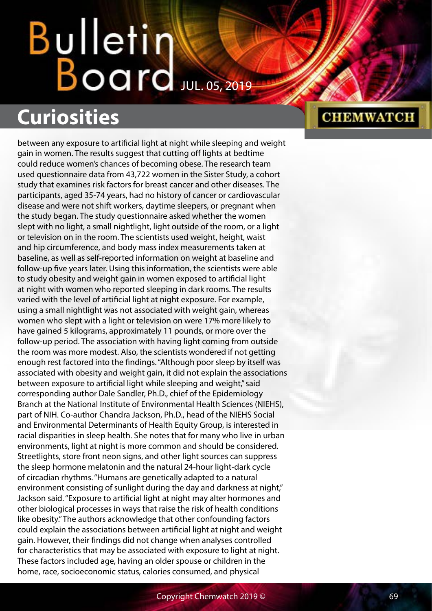## Bulletin  $B$ oard  $JUL.$  05, 2019

## **Curiosities**

between any exposure to artificial light at night while sleeping and weight gain in women. The results suggest that cutting off lights at bedtime could reduce women's chances of becoming obese. The research team used questionnaire data from 43,722 women in the Sister Study, a cohort study that examines risk factors for breast cancer and other diseases. The participants, aged 35-74 years, had no history of cancer or cardiovascular disease and were not shift workers, daytime sleepers, or pregnant when the study began. The study questionnaire asked whether the women slept with no light, a small nightlight, light outside of the room, or a light or television on in the room. The scientists used weight, height, waist and hip circumference, and body mass index measurements taken at baseline, as well as self-reported information on weight at baseline and follow-up five years later. Using this information, the scientists were able to study obesity and weight gain in women exposed to artificial light at night with women who reported sleeping in dark rooms. The results varied with the level of artificial light at night exposure. For example, using a small nightlight was not associated with weight gain, whereas women who slept with a light or television on were 17% more likely to have gained 5 kilograms, approximately 11 pounds, or more over the follow-up period. The association with having light coming from outside the room was more modest. Also, the scientists wondered if not getting enough rest factored into the findings. "Although poor sleep by itself was associated with obesity and weight gain, it did not explain the associations between exposure to artificial light while sleeping and weight," said corresponding author Dale Sandler, Ph.D., chief of the Epidemiology Branch at the National Institute of Environmental Health Sciences (NIEHS), part of NIH. Co-author Chandra Jackson, Ph.D., head of the NIEHS Social and Environmental Determinants of Health Equity Group, is interested in racial disparities in sleep health. She notes that for many who live in urban environments, light at night is more common and should be considered. Streetlights, store front neon signs, and other light sources can suppress the sleep hormone melatonin and the natural 24-hour light-dark cycle of circadian rhythms. "Humans are genetically adapted to a natural environment consisting of sunlight during the day and darkness at night," Jackson said. "Exposure to artificial light at night may alter hormones and other biological processes in ways that raise the risk of health conditions like obesity." The authors acknowledge that other confounding factors could explain the associations between artificial light at night and weight gain. However, their findings did not change when analyses controlled for characteristics that may be associated with exposure to light at night. These factors included age, having an older spouse or children in the home, race, socioeconomic status, calories consumed, and physical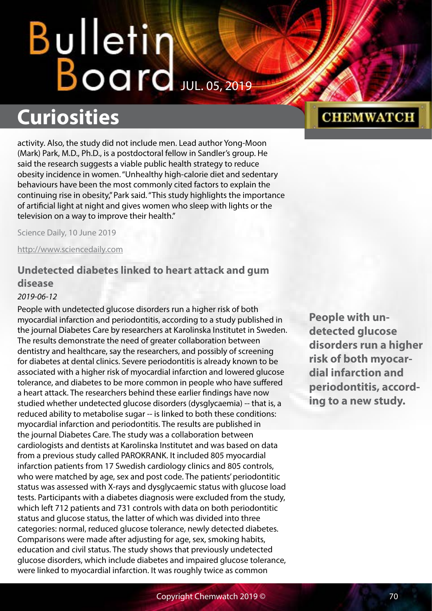# Bulletin Water

### **Curiosities**

activity. Also, the study did not include men. Lead author Yong-Moon (Mark) Park, M.D., Ph.D., is a postdoctoral fellow in Sandler's group. He said the research suggests a viable public health strategy to reduce obesity incidence in women. "Unhealthy high-calorie diet and sedentary behaviours have been the most commonly cited factors to explain the continuing rise in obesity," Park said. "This study highlights the importance of artificial light at night and gives women who sleep with lights or the television on a way to improve their health."

Science Daily, 10 June 2019

<http://www.sciencedaily.com>

#### **Undetected diabetes linked to heart attack and gum disease**

#### *2019-06-12*

People with undetected glucose disorders run a higher risk of both myocardial infarction and periodontitis, according to a study published in the journal Diabetes Care by researchers at Karolinska Institutet in Sweden. The results demonstrate the need of greater collaboration between dentistry and healthcare, say the researchers, and possibly of screening for diabetes at dental clinics. Severe periodontitis is already known to be associated with a higher risk of myocardial infarction and lowered glucose tolerance, and diabetes to be more common in people who have suffered a heart attack. The researchers behind these earlier findings have now studied whether undetected glucose disorders (dysglycaemia) -- that is, a reduced ability to metabolise sugar -- is linked to both these conditions: myocardial infarction and periodontitis. The results are published in the journal Diabetes Care. The study was a collaboration between cardiologists and dentists at Karolinska Institutet and was based on data from a previous study called PAROKRANK. It included 805 myocardial infarction patients from 17 Swedish cardiology clinics and 805 controls, who were matched by age, sex and post code. The patients' periodontitic status was assessed with X-rays and dysglycaemic status with glucose load tests. Participants with a diabetes diagnosis were excluded from the study, which left 712 patients and 731 controls with data on both periodontitic status and glucose status, the latter of which was divided into three categories: normal, reduced glucose tolerance, newly detected diabetes. Comparisons were made after adjusting for age, sex, smoking habits, education and civil status. The study shows that previously undetected glucose disorders, which include diabetes and impaired glucose tolerance, were linked to myocardial infarction. It was roughly twice as common

**People with undetected glucose disorders run a higher risk of both myocardial infarction and periodontitis, according to a new study.**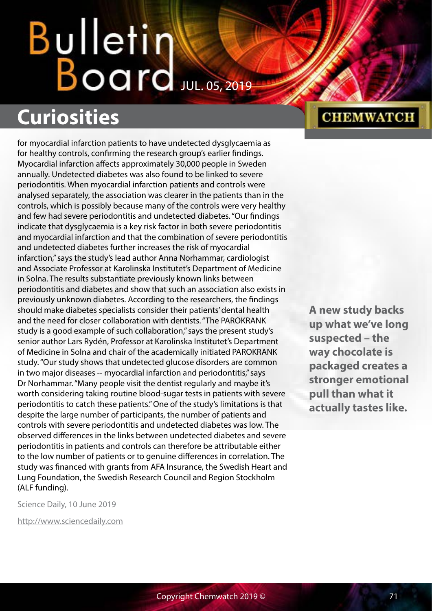## Bulletin Board Jul. 05, 2019

## **Curiosities**

for myocardial infarction patients to have undetected dysglycaemia as for healthy controls, confirming the research group's earlier findings. Myocardial infarction affects approximately 30,000 people in Sweden annually. Undetected diabetes was also found to be linked to severe periodontitis. When myocardial infarction patients and controls were analysed separately, the association was clearer in the patients than in the controls, which is possibly because many of the controls were very healthy and few had severe periodontitis and undetected diabetes. "Our findings indicate that dysglycaemia is a key risk factor in both severe periodontitis and myocardial infarction and that the combination of severe periodontitis and undetected diabetes further increases the risk of myocardial infarction," says the study's lead author Anna Norhammar, cardiologist and Associate Professor at Karolinska Institutet's Department of Medicine in Solna. The results substantiate previously known links between periodontitis and diabetes and show that such an association also exists in previously unknown diabetes. According to the researchers, the findings should make diabetes specialists consider their patients' dental health and the need for closer collaboration with dentists. "The PAROKRANK study is a good example of such collaboration," says the present study's senior author Lars Rydén, Professor at Karolinska Institutet's Department of Medicine in Solna and chair of the academically initiated PAROKRANK study. "Our study shows that undetected glucose disorders are common in two major diseases -- myocardial infarction and periodontitis," says Dr Norhammar. "Many people visit the dentist regularly and maybe it's worth considering taking routine blood-sugar tests in patients with severe periodontitis to catch these patients." One of the study's limitations is that despite the large number of participants, the number of patients and controls with severe periodontitis and undetected diabetes was low. The observed differences in the links between undetected diabetes and severe periodontitis in patients and controls can therefore be attributable either to the low number of patients or to genuine differences in correlation. The study was financed with grants from AFA Insurance, the Swedish Heart and Lung Foundation, the Swedish Research Council and Region Stockholm (ALF funding).

Science Daily, 10 June 2019

<http://www.sciencedaily.com>

#### **CHEMWATCH**

**A new study backs up what we've long suspected – the way chocolate is packaged creates a stronger emotional pull than what it actually tastes like.**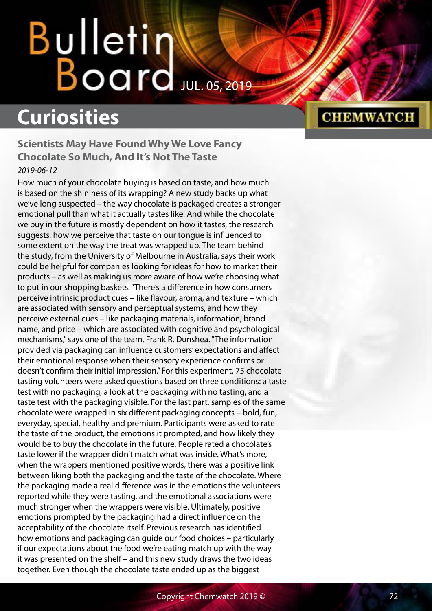## **Curiosities**

#### **Scientists May Have Found Why We Love Fancy Chocolate So Much, And It's Not The Taste** *2019-06-12*

How much of your chocolate buying is based on taste, and how much is based on the shininess of its wrapping? A new study backs up what we've long suspected – the way chocolate is packaged creates a stronger emotional pull than what it actually tastes like. And while the chocolate we buy in the future is mostly dependent on how it tastes, the research suggests, how we perceive that taste on our tongue is influenced to some extent on the way the treat was wrapped up. The team behind the study, from the University of Melbourne in Australia, says their work could be helpful for companies looking for ideas for how to market their products – as well as making us more aware of how we're choosing what to put in our shopping baskets. "There's a difference in how consumers perceive intrinsic product cues – like flavour, aroma, and texture – which are associated with sensory and perceptual systems, and how they perceive external cues – like packaging materials, information, brand name, and price – which are associated with cognitive and psychological mechanisms," says one of the team, Frank R. Dunshea. "The information provided via packaging can influence customers' expectations and affect their emotional response when their sensory experience confirms or doesn't confirm their initial impression." For this experiment, 75 chocolate tasting volunteers were asked questions based on three conditions: a taste test with no packaging, a look at the packaging with no tasting, and a taste test with the packaging visible. For the last part, samples of the same chocolate were wrapped in six different packaging concepts – bold, fun, everyday, special, healthy and premium. Participants were asked to rate the taste of the product, the emotions it prompted, and how likely they would be to buy the chocolate in the future. People rated a chocolate's taste lower if the wrapper didn't match what was inside. What's more, when the wrappers mentioned positive words, there was a positive link between liking both the packaging and the taste of the chocolate. Where the packaging made a real difference was in the emotions the volunteers reported while they were tasting, and the emotional associations were much stronger when the wrappers were visible. Ultimately, positive emotions prompted by the packaging had a direct influence on the acceptability of the chocolate itself. Previous research has identified how emotions and packaging can guide our food choices – particularly if our expectations about the food we're eating match up with the way it was presented on the shelf – and this new study draws the two ideas together. Even though the chocolate taste ended up as the biggest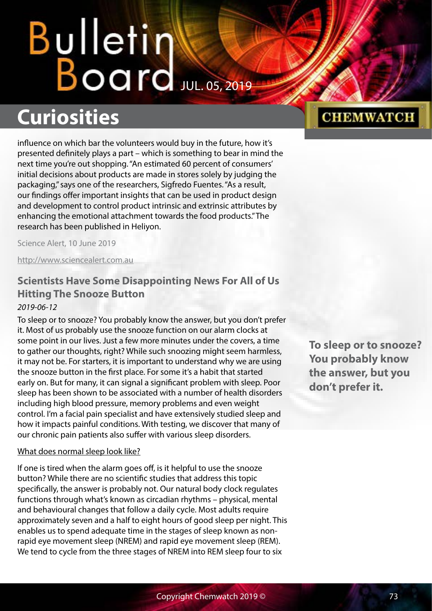# Bulletin<br>Board

## **Curiosities**

influence on which bar the volunteers would buy in the future, how it's presented definitely plays a part – which is something to bear in mind the next time you're out shopping. "An estimated 60 percent of consumers' initial decisions about products are made in stores solely by judging the packaging," says one of the researchers, Sigfredo Fuentes. "As a result, our findings offer important insights that can be used in product design and development to control product intrinsic and extrinsic attributes by enhancing the emotional attachment towards the food products." The research has been published in Heliyon.

Science Alert, 10 June 2019

<http://www.sciencealert.com.au>

### **Scientists Have Some Disappointing News For All of Us Hitting The Snooze Button**

#### *2019-06-12*

To sleep or to snooze? You probably know the answer, but you don't prefer it. Most of us probably use the snooze function on our alarm clocks at some point in our lives. Just a few more minutes under the covers, a time to gather our thoughts, right? While such snoozing might seem harmless, it may not be. For starters, it is important to understand why we are using the snooze button in the first place. For some it's a habit that started early on. But for many, it can signal a significant problem with sleep. Poor sleep has been shown to be associated with a number of health disorders including high blood pressure, memory problems and even weight control. I'm a facial pain specialist and have extensively studied sleep and how it impacts painful conditions. With testing, we discover that many of our chronic pain patients also suffer with various sleep disorders.

#### What does normal sleep look like?

If one is tired when the alarm goes off, is it helpful to use the snooze button? While there are no scientific studies that address this topic specifically, the answer is probably not. Our natural body clock regulates functions through what's known as circadian rhythms – physical, mental and behavioural changes that follow a daily cycle. Most adults require approximately seven and a half to eight hours of good sleep per night. This enables us to spend adequate time in the stages of sleep known as nonrapid eye movement sleep (NREM) and rapid eye movement sleep (REM). We tend to cycle from the three stages of NREM into REM sleep four to six

**To sleep or to snooze? You probably know the answer, but you don't prefer it.**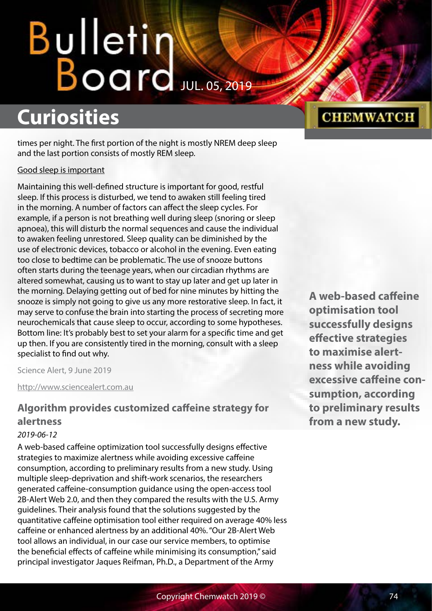# Bulletin Water

## **Curiosities**

times per night. The first portion of the night is mostly NREM deep sleep and the last portion consists of mostly REM sleep.

#### Good sleep is important

Maintaining this well-defined structure is important for good, restful sleep. If this process is disturbed, we tend to awaken still feeling tired in the morning. A number of factors can affect the sleep cycles. For example, if a person is not breathing well during sleep (snoring or sleep apnoea), this will disturb the normal sequences and cause the individual to awaken feeling unrestored. Sleep quality can be diminished by the use of electronic devices, tobacco or alcohol in the evening. Even eating too close to bedtime can be problematic. The use of snooze buttons often starts during the teenage years, when our circadian rhythms are altered somewhat, causing us to want to stay up later and get up later in the morning. Delaying getting out of bed for nine minutes by hitting the snooze is simply not going to give us any more restorative sleep. In fact, it may serve to confuse the brain into starting the process of secreting more neurochemicals that cause sleep to occur, according to some hypotheses. Bottom line: It's probably best to set your alarm for a specific time and get up then. If you are consistently tired in the morning, consult with a sleep specialist to find out why.

Science Alert, 9 June 2019

<http://www.sciencealert.com.au>

### **Algorithm provides customized caffeine strategy for alertness**

#### *2019-06-12*

A web-based caffeine optimization tool successfully designs effective strategies to maximize alertness while avoiding excessive caffeine consumption, according to preliminary results from a new study. Using multiple sleep-deprivation and shift-work scenarios, the researchers generated caffeine-consumption guidance using the open-access tool 2B-Alert Web 2.0, and then they compared the results with the U.S. Army guidelines. Their analysis found that the solutions suggested by the quantitative caffeine optimisation tool either required on average 40% less caffeine or enhanced alertness by an additional 40%. "Our 2B-Alert Web tool allows an individual, in our case our service members, to optimise the beneficial effects of caffeine while minimising its consumption," said principal investigator Jaques Reifman, Ph.D., a Department of the Army

## **CHEMWATCH**

**A web-based caffeine optimisation tool successfully designs effective strategies to maximise alertness while avoiding excessive caffeine consumption, according to preliminary results from a new study.**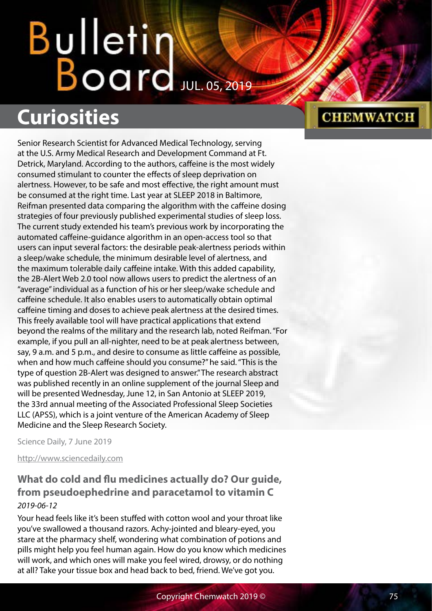# **Curiosities**

Senior Research Scientist for Advanced Medical Technology, serving at the U.S. Army Medical Research and Development Command at Ft. Detrick, Maryland. According to the authors, caffeine is the most widely consumed stimulant to counter the effects of sleep deprivation on alertness. However, to be safe and most effective, the right amount must be consumed at the right time. Last year at SLEEP 2018 in Baltimore, Reifman presented data comparing the algorithm with the caffeine dosing strategies of four previously published experimental studies of sleep loss. The current study extended his team's previous work by incorporating the automated caffeine-guidance algorithm in an open-access tool so that users can input several factors: the desirable peak-alertness periods within a sleep/wake schedule, the minimum desirable level of alertness, and the maximum tolerable daily caffeine intake. With this added capability, the 2B-Alert Web 2.0 tool now allows users to predict the alertness of an "average" individual as a function of his or her sleep/wake schedule and caffeine schedule. It also enables users to automatically obtain optimal caffeine timing and doses to achieve peak alertness at the desired times. This freely available tool will have practical applications that extend beyond the realms of the military and the research lab, noted Reifman. "For example, if you pull an all-nighter, need to be at peak alertness between, say, 9 a.m. and 5 p.m., and desire to consume as little caffeine as possible, when and how much caffeine should you consume?" he said. "This is the type of question 2B-Alert was designed to answer." The research abstract was published recently in an online supplement of the journal Sleep and will be presented Wednesday, June 12, in San Antonio at SLEEP 2019, the 33rd annual meeting of the Associated Professional Sleep Societies LLC (APSS), which is a joint venture of the American Academy of Sleep Medicine and the Sleep Research Society.

Science Daily, 7 June 2019

<http://www.sciencedaily.com>

### **What do cold and flu medicines actually do? Our guide, from pseudoephedrine and paracetamol to vitamin C** *2019-06-12*

Your head feels like it's been stuffed with cotton wool and your throat like you've swallowed a thousand razors. Achy-jointed and bleary-eyed, you stare at the pharmacy shelf, wondering what combination of potions and pills might help you feel human again. How do you know which medicines will work, and which ones will make you feel wired, drowsy, or do nothing at all? Take your tissue box and head back to bed, friend. We've got you.

#### Copyright Chemwatch 2019 © 75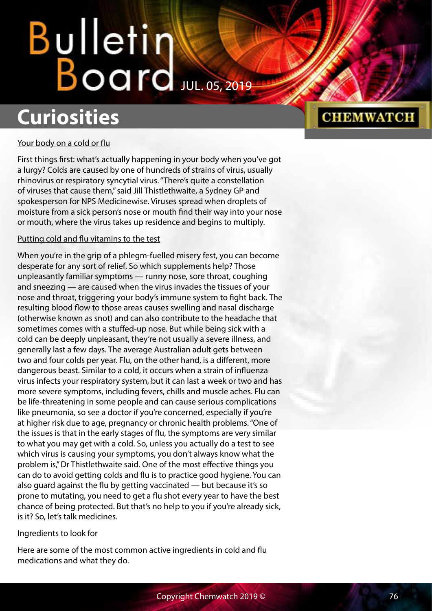# **Curiosities**

## **CHEMWATCH**

#### Your body on a cold or flu

First things first: what's actually happening in your body when you've got a lurgy? Colds are caused by one of hundreds of strains of virus, usually rhinovirus or respiratory syncytial virus. "There's quite a constellation of viruses that cause them," said Jill Thistlethwaite, a Sydney GP and spokesperson for NPS Medicinewise. Viruses spread when droplets of moisture from a sick person's nose or mouth find their way into your nose or mouth, where the virus takes up residence and begins to multiply.

#### Putting cold and flu vitamins to the test

When you're in the grip of a phlegm-fuelled misery fest, you can become desperate for any sort of relief. So which supplements help? Those unpleasantly familiar symptoms — runny nose, sore throat, coughing and sneezing — are caused when the virus invades the tissues of your nose and throat, triggering your body's immune system to fight back. The resulting blood flow to those areas causes swelling and nasal discharge (otherwise known as snot) and can also contribute to the headache that sometimes comes with a stuffed-up nose. But while being sick with a cold can be deeply unpleasant, they're not usually a severe illness, and generally last a few days. The average Australian adult gets between two and four colds per year. Flu, on the other hand, is a different, more dangerous beast. Similar to a cold, it occurs when a strain of influenza virus infects your respiratory system, but it can last a week or two and has more severe symptoms, including fevers, chills and muscle aches. Flu can be life-threatening in some people and can cause serious complications like pneumonia, so see a doctor if you're concerned, especially if you're at higher risk due to age, pregnancy or chronic health problems. "One of the issues is that in the early stages of flu, the symptoms are very similar to what you may get with a cold. So, unless you actually do a test to see which virus is causing your symptoms, you don't always know what the problem is," Dr Thistlethwaite said. One of the most effective things you can do to avoid getting colds and flu is to practice good hygiene. You can also guard against the flu by getting vaccinated — but because it's so prone to mutating, you need to get a flu shot every year to have the best chance of being protected. But that's no help to you if you're already sick, is it? So, let's talk medicines.

#### Ingredients to look for

Here are some of the most common active ingredients in cold and flu medications and what they do.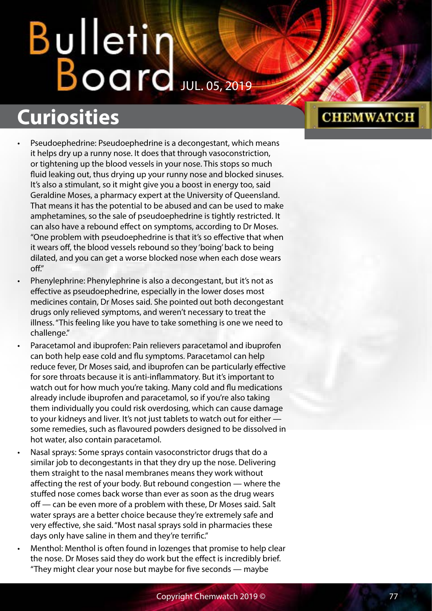# Bulletin<br>Board

## **Curiosities**

- Pseudoephedrine: Pseudoephedrine is a decongestant, which means it helps dry up a runny nose. It does that through vasoconstriction, or tightening up the blood vessels in your nose. This stops so much fluid leaking out, thus drying up your runny nose and blocked sinuses. It's also a stimulant, so it might give you a boost in energy too, said Geraldine Moses, a pharmacy expert at the University of Queensland. That means it has the potential to be abused and can be used to make amphetamines, so the sale of pseudoephedrine is tightly restricted. It can also have a rebound effect on symptoms, according to Dr Moses. "One problem with pseudoephedrine is that it's so effective that when it wears off, the blood vessels rebound so they 'boing' back to being dilated, and you can get a worse blocked nose when each dose wears off."
- Phenylephrine: Phenylephrine is also a decongestant, but it's not as effective as pseudoephedrine, especially in the lower doses most medicines contain, Dr Moses said. She pointed out both decongestant drugs only relieved symptoms, and weren't necessary to treat the illness. "This feeling like you have to take something is one we need to challenge."
- Paracetamol and ibuprofen: Pain relievers paracetamol and ibuprofen can both help ease cold and flu symptoms. Paracetamol can help reduce fever, Dr Moses said, and ibuprofen can be particularly effective for sore throats because it is anti-inflammatory. But it's important to watch out for how much you're taking. Many cold and flu medications already include ibuprofen and paracetamol, so if you're also taking them individually you could risk overdosing, which can cause damage to your kidneys and liver. It's not just tablets to watch out for either some remedies, such as flavoured powders designed to be dissolved in hot water, also contain paracetamol.
- Nasal sprays: Some sprays contain vasoconstrictor drugs that do a similar job to decongestants in that they dry up the nose. Delivering them straight to the nasal membranes means they work without affecting the rest of your body. But rebound congestion — where the stuffed nose comes back worse than ever as soon as the drug wears off — can be even more of a problem with these, Dr Moses said. Salt water sprays are a better choice because they're extremely safe and very effective, she said. "Most nasal sprays sold in pharmacies these days only have saline in them and they're terrific."
- Menthol: Menthol is often found in lozenges that promise to help clear the nose. Dr Moses said they do work but the effect is incredibly brief. "They might clear your nose but maybe for five seconds — maybe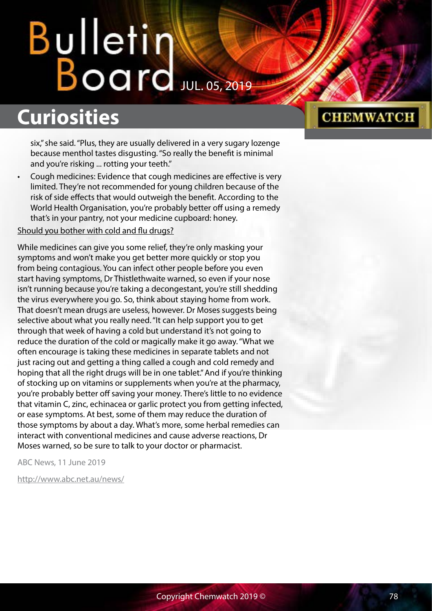## **Curiosities**

six," she said. "Plus, they are usually delivered in a very sugary lozenge because menthol tastes disgusting. "So really the benefit is minimal and you're risking ... rotting your teeth."

• Cough medicines: Evidence that cough medicines are effective is very limited. They're not recommended for young children because of the risk of side effects that would outweigh the benefit. According to the World Health Organisation, you're probably better off using a remedy that's in your pantry, not your medicine cupboard: honey.

#### Should you bother with cold and flu drugs?

While medicines can give you some relief, they're only masking your symptoms and won't make you get better more quickly or stop you from being contagious. You can infect other people before you even start having symptoms, Dr Thistlethwaite warned, so even if your nose isn't running because you're taking a decongestant, you're still shedding the virus everywhere you go. So, think about staying home from work. That doesn't mean drugs are useless, however. Dr Moses suggests being selective about what you really need. "It can help support you to get through that week of having a cold but understand it's not going to reduce the duration of the cold or magically make it go away. "What we often encourage is taking these medicines in separate tablets and not just racing out and getting a thing called a cough and cold remedy and hoping that all the right drugs will be in one tablet." And if you're thinking of stocking up on vitamins or supplements when you're at the pharmacy, you're probably better off saving your money. There's little to no evidence that vitamin C, zinc, echinacea or garlic protect you from getting infected, or ease symptoms. At best, some of them may reduce the duration of those symptoms by about a day. What's more, some herbal remedies can interact with conventional medicines and cause adverse reactions, Dr Moses warned, so be sure to talk to your doctor or pharmacist.

ABC News, 11 June 2019

<http://www.abc.net.au/news/>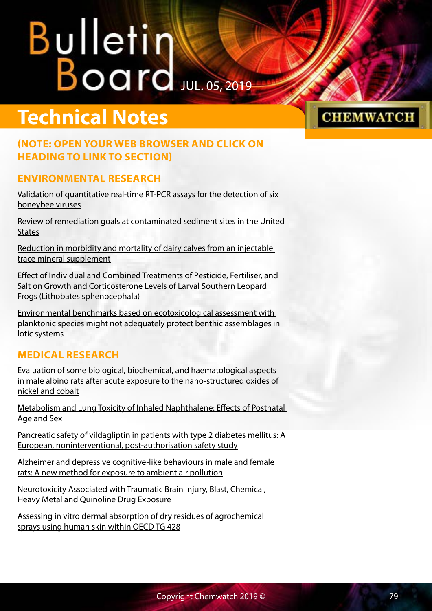## **Technical Notes**

#### **(NOTE: OPEN YOUR WEB BROWSER AND CLICK ON HEADING TO LINK TO SECTION)**

#### **ENVIRONMENTAL RESEARCH**

[Validation of quantitative real-time RT-PCR assays for the detection of six](ftp://ftp.chemwatch.net/pub/chemwatch/Bulletin/2019/07/050719/190705-Technical.pdf)  [honeybee viruses](ftp://ftp.chemwatch.net/pub/chemwatch/Bulletin/2019/07/050719/190705-Technical.pdf)

[Review of remediation goals at contaminated sediment sites in the United](ftp://ftp.chemwatch.net/pub/chemwatch/Bulletin/2019/07/050719/190705-Technical.pdf)  **[States](ftp://ftp.chemwatch.net/pub/chemwatch/Bulletin/2019/07/050719/190705-Technical.pdf)** 

[Reduction in morbidity and mortality of dairy calves from an injectable](ftp://ftp.chemwatch.net/pub/chemwatch/Bulletin/2019/07/050719/190705-Technical.pdf)  [trace mineral supplement](ftp://ftp.chemwatch.net/pub/chemwatch/Bulletin/2019/07/050719/190705-Technical.pdf)

[Effect of Individual and Combined Treatments of Pesticide, Fertiliser, and](ftp://ftp.chemwatch.net/pub/chemwatch/Bulletin/2019/07/050719/190705-Technical.pdf)  [Salt on Growth and Corticosterone Levels of Larval Southern Leopard](ftp://ftp.chemwatch.net/pub/chemwatch/Bulletin/2019/07/050719/190705-Technical.pdf)  [Frogs \(Lithobates sphenocephala\)](ftp://ftp.chemwatch.net/pub/chemwatch/Bulletin/2019/07/050719/190705-Technical.pdf)

[Environmental benchmarks based on ecotoxicological assessment with](ftp://ftp.chemwatch.net/pub/chemwatch/Bulletin/2019/07/050719/190705-Technical.pdf)  [planktonic species might not adequately protect benthic assemblages in](ftp://ftp.chemwatch.net/pub/chemwatch/Bulletin/2019/07/050719/190705-Technical.pdf)  [lotic systems](ftp://ftp.chemwatch.net/pub/chemwatch/Bulletin/2019/07/050719/190705-Technical.pdf)

#### **MEDICAL RESEARCH**

[Evaluation of some biological, biochemical, and haematological aspects](ftp://ftp.chemwatch.net/pub/chemwatch/Bulletin/2019/07/050719/190705-Technical.pdf)  [in male albino rats after acute exposure to the nano-structured oxides of](ftp://ftp.chemwatch.net/pub/chemwatch/Bulletin/2019/07/050719/190705-Technical.pdf)  [nickel and cobalt](ftp://ftp.chemwatch.net/pub/chemwatch/Bulletin/2019/07/050719/190705-Technical.pdf)

[Metabolism and Lung Toxicity of Inhaled Naphthalene: Effects of Postnatal](ftp://ftp.chemwatch.net/pub/chemwatch/Bulletin/2019/07/050719/190705-Technical.pdf)  [Age and Sex](ftp://ftp.chemwatch.net/pub/chemwatch/Bulletin/2019/07/050719/190705-Technical.pdf)

[Pancreatic safety of vildagliptin in patients with type 2 diabetes mellitus: A](ftp://ftp.chemwatch.net/pub/chemwatch/Bulletin/2019/07/050719/190705-Technical.pdf)  [European, noninterventional, post-authorisation safety study](ftp://ftp.chemwatch.net/pub/chemwatch/Bulletin/2019/07/050719/190705-Technical.pdf)

[Alzheimer and depressive cognitive-like behaviours in male and female](ftp://ftp.chemwatch.net/pub/chemwatch/Bulletin/2019/07/050719/190705-Technical.pdf)  [rats: A new method for exposure to ambient air pollution](ftp://ftp.chemwatch.net/pub/chemwatch/Bulletin/2019/07/050719/190705-Technical.pdf)

[Neurotoxicity Associated with Traumatic Brain Injury, Blast, Chemical,](ftp://ftp.chemwatch.net/pub/chemwatch/Bulletin/2019/07/050719/190705-Technical.pdf)  [Heavy Metal and Quinoline Drug Exposure](ftp://ftp.chemwatch.net/pub/chemwatch/Bulletin/2019/07/050719/190705-Technical.pdf)

Assessing in vitro dermal absorption of dry residues of agrochemical [sprays using human skin within OECD TG 428](ftp://ftp.chemwatch.net/pub/chemwatch/Bulletin/2019/07/050719/190705-Technical.pdf)